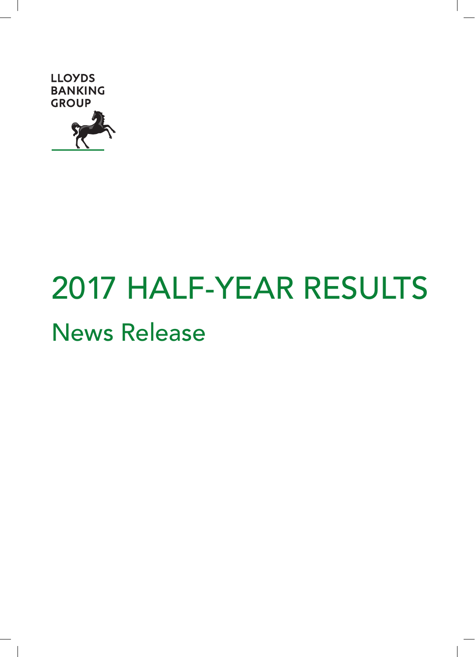

# 2017 HALF-YEAR RESULTS News Release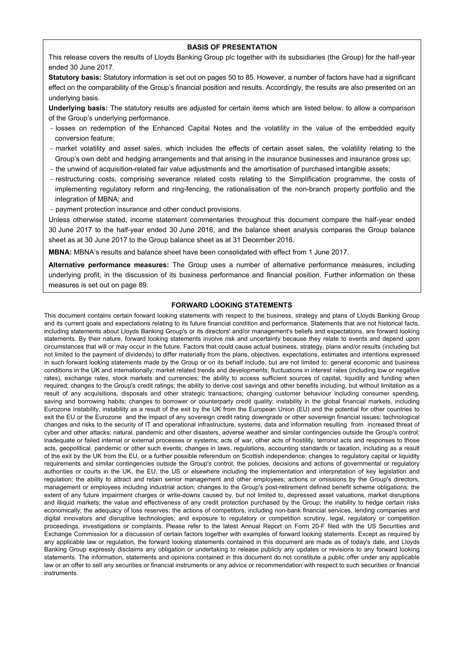#### **BASIS OF PRESENTATION**

This release covers the results of Lloyds Banking Group plc together with its subsidiaries (the Group) for the half-year ended 30 June 2017.

**Statutory basis:** Statutory information is set out on pages 50 to 85. However, a number of factors have had a significant effect on the comparability of the Group's financial position and results. Accordingly, the results are also presented on an underlying basis.

**Underlying basis:** The statutory results are adjusted for certain items which are listed below, to allow a comparison of the Group's underlying performance.

- losses on redemption of the Enhanced Capital Notes and the volatility in the value of the embedded equity conversion feature;
- market volatility and asset sales, which includes the effects of certain asset sales, the volatility relating to the Group's own debt and hedging arrangements and that arising in the insurance businesses and insurance gross up;
- the unwind of acquisition-related fair value adjustments and the amortisation of purchased intangible assets;
- restructuring costs, comprising severance related costs relating to the Simplification programme, the costs of implementing regulatory reform and ring-fencing, the rationalisation of the non-branch property portfolio and the integration of MBNA; and
- payment protection insurance and other conduct provisions.

Unless otherwise stated, income statement commentaries throughout this document compare the half-year ended 30 June 2017 to the half-year ended 30 June 2016, and the balance sheet analysis compares the Group balance sheet as at 30 June 2017 to the Group balance sheet as at 31 December 2016.

**MBNA:** MBNA's results and balance sheet have been consolidated with effect from 1 June 2017.

**Alternative performance measures:** The Group uses a number of alternative performance measures, including underlying profit, in the discussion of its business performance and financial position. Further information on these measures is set out on page 89.

#### **FORWARD LOOKING STATEMENTS**

This document contains certain forward looking statements with respect to the business, strategy and plans of Lloyds Banking Group and its current goals and expectations relating to its future financial condition and performance. Statements that are not historical facts, including statements about Lloyds Banking Group's or its directors' and/or management's beliefs and expectations, are forward looking statements. By their nature, forward looking statements involve risk and uncertainty because they relate to events and depend upon circumstances that will or may occur in the future. Factors that could cause actual business, strategy, plans and/or results (including but not limited to the payment of dividends) to differ materially from the plans, objectives, expectations, estimates and intentions expressed in such forward looking statements made by the Group or on its behalf include, but are not limited to: general economic and business conditions in the UK and internationally; market related trends and developments; fluctuations in interest rates (including low or negative rates), exchange rates, stock markets and currencies; the ability to access sufficient sources of capital, liquidity and funding when required; changes to the Group's credit ratings; the ability to derive cost savings and other benefits including, but without limitation as a result of any acquisitions, disposals and other strategic transactions; changing customer behaviour including consumer spending, saving and borrowing habits; changes to borrower or counterparty credit quality; instability in the global financial markets, including Eurozone instability, instability as a result of the exit by the UK from the European Union (EU) and the potential for other countries to exit the EU or the Eurozone and the impact of any sovereign credit rating downgrade or other sovereign financial issues; technological changes and risks to the security of IT and operational infrastructure, systems, data and information resulting from increased threat of cyber and other attacks; natural, pandemic and other disasters, adverse weather and similar contingencies outside the Group's control; inadequate or failed internal or external processes or systems; acts of war, other acts of hostility, terrorist acts and responses to those acts, geopolitical, pandemic or other such events; changes in laws, regulations, accounting standards or taxation, including as a result of the exit by the UK from the EU, or a further possible referendum on Scottish independence; changes to regulatory capital or liquidity requirements and similar contingencies outside the Group's control; the policies, decisions and actions of governmental or regulatory authorities or courts in the UK, the EU, the US or elsewhere including the implementation and interpretation of key legislation and regulation; the ability to attract and retain senior management and other employees; actions or omissions by the Group's directors, management or employees including industrial action; changes to the Group's post-retirement defined benefit scheme obligations; the extent of any future impairment charges or write-downs caused by, but not limited to, depressed asset valuations, market disruptions and illiquid markets; the value and effectiveness of any credit protection purchased by the Group; the inability to hedge certain risks economically; the adequacy of loss reserves; the actions of competitors, including non-bank financial services, lending companies and digital innovators and disruptive technologies; and exposure to regulatory or competition scrutiny, legal, regulatory or competition proceedings, investigations or complaints. Please refer to the latest Annual Report on Form 20-F filed with the US Securities and Exchange Commission for a discussion of certain factors together with examples of forward looking statements. Except as required by any applicable law or regulation, the forward looking statements contained in this document are made as of today's date, and Lloyds Banking Group expressly disclaims any obligation or undertaking to release publicly any updates or revisions to any forward looking statements. The information, statements and opinions contained in this document do not constitute a public offer under any applicable law or an offer to sell any securities or financial instruments or any advice or recommendation with respect to such securities or financial instruments.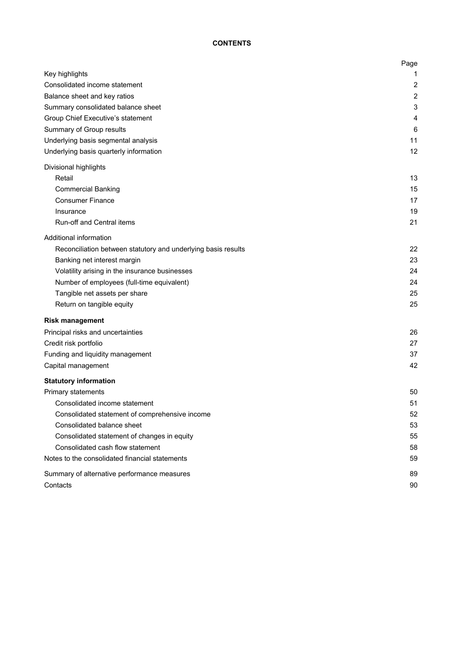# **CONTENTS**

|                                                               | Page           |
|---------------------------------------------------------------|----------------|
| Key highlights                                                | 1              |
| Consolidated income statement                                 | 2              |
| Balance sheet and key ratios                                  | $\overline{2}$ |
| Summary consolidated balance sheet                            | 3              |
| Group Chief Executive's statement                             | 4              |
| Summary of Group results                                      | 6              |
| Underlying basis segmental analysis                           | 11             |
| Underlying basis quarterly information                        | 12             |
| Divisional highlights                                         |                |
| Retail                                                        | 13             |
| <b>Commercial Banking</b>                                     | 15             |
| <b>Consumer Finance</b>                                       | 17             |
| Insurance                                                     | 19             |
| Run-off and Central items                                     | 21             |
| Additional information                                        |                |
| Reconciliation between statutory and underlying basis results | 22             |
| Banking net interest margin                                   | 23             |
| Volatility arising in the insurance businesses                | 24             |
| Number of employees (full-time equivalent)                    | 24             |
| Tangible net assets per share                                 | 25             |
| Return on tangible equity                                     | 25             |
| <b>Risk management</b>                                        |                |
| Principal risks and uncertainties                             | 26             |
| Credit risk portfolio                                         | 27             |
| Funding and liquidity management                              | 37             |
| Capital management                                            | 42             |
| <b>Statutory information</b>                                  |                |
| Primary statements                                            | 50             |
| Consolidated income statement                                 | 51             |
| Consolidated statement of comprehensive income                | 52             |
| Consolidated balance sheet                                    | 53             |
| Consolidated statement of changes in equity                   | 55             |
| Consolidated cash flow statement                              | 58             |
| Notes to the consolidated financial statements                | 59             |
| Summary of alternative performance measures                   | 89             |
| Contacts                                                      | 90             |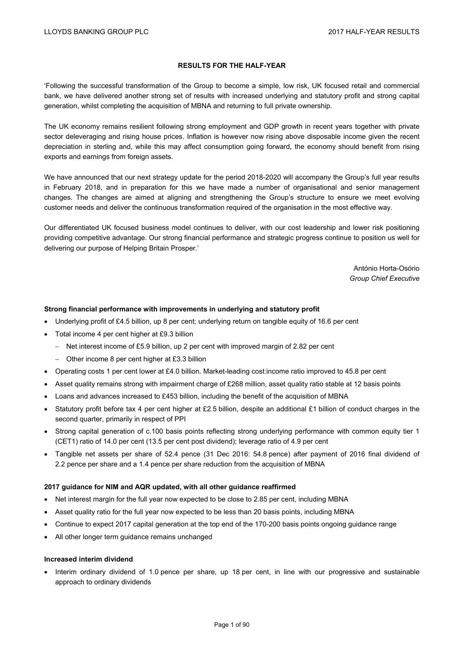## **RESULTS FOR THE HALF-YEAR**

'Following the successful transformation of the Group to become a simple, low risk, UK focused retail and commercial bank, we have delivered another strong set of results with increased underlying and statutory profit and strong capital generation, whilst completing the acquisition of MBNA and returning to full private ownership.

The UK economy remains resilient following strong employment and GDP growth in recent years together with private sector deleveraging and rising house prices. Inflation is however now rising above disposable income given the recent depreciation in sterling and, while this may affect consumption going forward, the economy should benefit from rising exports and earnings from foreign assets.

We have announced that our next strategy update for the period 2018-2020 will accompany the Group's full year results in February 2018, and in preparation for this we have made a number of organisational and senior management changes. The changes are aimed at aligning and strengthening the Group's structure to ensure we meet evolving customer needs and deliver the continuous transformation required of the organisation in the most effective way.

Our differentiated UK focused business model continues to deliver, with our cost leadership and lower risk positioning providing competitive advantage. Our strong financial performance and strategic progress continue to position us well for delivering our purpose of Helping Britain Prosper.'

> António Horta-Osório *Group Chief Executive*

#### **Strong financial performance with improvements in underlying and statutory profit**

- Underlying profit of £4.5 billion, up 8 per cent; underlying return on tangible equity of 16.6 per cent
- Total income 4 per cent higher at £9.3 billion
	- Net interest income of £5.9 billion, up 2 per cent with improved margin of 2.82 per cent
	- Other income 8 per cent higher at £3.3 billion
- Operating costs 1 per cent lower at £4.0 billion. Market-leading cost:income ratio improved to 45.8 per cent
- Asset quality remains strong with impairment charge of £268 million, asset quality ratio stable at 12 basis points
- Loans and advances increased to £453 billion, including the benefit of the acquisition of MBNA
- Statutory profit before tax 4 per cent higher at £2.5 billion, despite an additional £1 billion of conduct charges in the second quarter, primarily in respect of PPI
- Strong capital generation of c.100 basis points reflecting strong underlying performance with common equity tier 1 (CET1) ratio of 14.0 per cent (13.5 per cent post dividend); leverage ratio of 4.9 per cent
- Tangible net assets per share of 52.4 pence (31 Dec 2016: 54.8 pence) after payment of 2016 final dividend of 2.2 pence per share and a 1.4 pence per share reduction from the acquisition of MBNA

#### **2017 guidance for NIM and AQR updated, with all other guidance reaffirmed**

- Net interest margin for the full year now expected to be close to 2.85 per cent, including MBNA
- Asset quality ratio for the full year now expected to be less than 20 basis points, including MBNA
- Continue to expect 2017 capital generation at the top end of the 170-200 basis points ongoing guidance range
- All other longer term guidance remains unchanged

#### **Increased interim dividend**

 Interim ordinary dividend of 1.0 pence per share, up 18 per cent, in line with our progressive and sustainable approach to ordinary dividends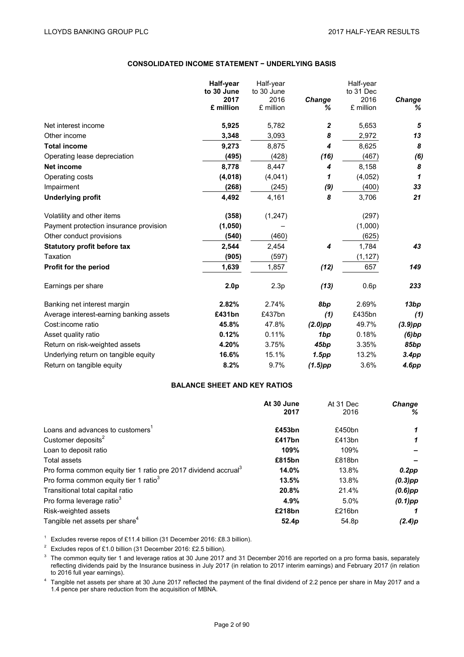#### **CONSOLIDATED INCOME STATEMENT − UNDERLYING BASIS**

|                                         | Half-year          | Half-year          |             | Half-year         |                    |
|-----------------------------------------|--------------------|--------------------|-------------|-------------------|--------------------|
|                                         | to 30 June<br>2017 | to 30 June<br>2016 |             | to 31 Dec<br>2016 |                    |
|                                         | £ million          | £ million          | Change<br>℅ | £ million         | <b>Change</b><br>℅ |
| Net interest income                     | 5,925              | 5,782              | 2           | 5,653             | 5                  |
| Other income                            | 3,348              | 3,093              | 8           | 2,972             | 13                 |
| <b>Total income</b>                     | 9,273              | 8,875              | 4           | 8,625             | 8                  |
| Operating lease depreciation            | (495)              | (428)              | (16)        | (467)             | (6)                |
| <b>Net income</b>                       | 8,778              | 8,447              | 4           | 8,158             | 8                  |
| Operating costs                         | (4,018)            | (4,041)            | 1           | (4,052)           | 1                  |
| Impairment                              | (268)              | (245)              | (9)         | (400)             | 33                 |
| <b>Underlying profit</b>                | 4,492              | 4,161              | 8           | 3,706             | 21                 |
| Volatility and other items              | (358)              | (1, 247)           |             | (297)             |                    |
| Payment protection insurance provision  | (1,050)            |                    |             | (1,000)           |                    |
| Other conduct provisions                | (540)              | (460)              |             | (625)             |                    |
| Statutory profit before tax             | 2,544              | 2,454              | 4           | 1,784             | 43                 |
| Taxation                                | (905)              | (597)              |             | (1, 127)          |                    |
| <b>Profit for the period</b>            | 1,639              | 1,857              | (12)        | 657               | 149                |
| Earnings per share                      | 2.0 <sub>p</sub>   | 2.3p               | (13)        | 0.6p              | 233                |
| Banking net interest margin             | 2.82%              | 2.74%              | 8bp         | 2.69%             | 13bp               |
| Average interest-earning banking assets | £431bn             | £437bn             | (1)         | £435bn            | (1)                |
| Cost:income ratio                       | 45.8%              | 47.8%              | $(2.0)$ pp  | 49.7%             | $(3.9)$ pp         |
| Asset quality ratio                     | 0.12%              | 0.11%              | 1bp         | 0.18%             | (6)bp              |
| Return on risk-weighted assets          | 4.20%              | 3.75%              | 45bp        | 3.35%             | 85bp               |
| Underlying return on tangible equity    | 16.6%              | 15.1%              | 1.5pp       | 13.2%             | 3.4pp              |
| Return on tangible equity               | 8.2%               | 9.7%               | (1.5)pp     | 3.6%              | 4.6pp              |

#### **BALANCE SHEET AND KEY RATIOS**

|                                                                             | At 30 June | At 31 Dec         | <b>Change</b> |
|-----------------------------------------------------------------------------|------------|-------------------|---------------|
|                                                                             | 2017       | 2016              | %             |
| Loans and advances to customers <sup>1</sup>                                | £453bn     | £450bn            | 1             |
| Customer deposits <sup>2</sup>                                              | £417bn     | £413bn            |               |
| Loan to deposit ratio                                                       | 109%       | 109%              |               |
| Total assets                                                                | £815bn     | £818bn            |               |
| Pro forma common equity tier 1 ratio pre 2017 dividend accrual <sup>3</sup> | 14.0%      | 13.8%             | $0.2$ pp      |
| Pro forma common equity tier 1 ratio <sup>3</sup>                           | 13.5%      | 13.8%             | $(0.3)$ pp    |
| Transitional total capital ratio                                            | 20.8%      | 21.4%             | $(0.6)$ pp    |
| Pro forma leverage ratio <sup>3</sup>                                       | 4.9%       | 5.0%              | $(0.1)$ pp    |
| Risk-weighted assets                                                        | £218bn     | £216bn            |               |
| Tangible net assets per share <sup>4</sup>                                  | 52.4p      | 54.8 <sub>p</sub> | (2.4)p        |

<sup>1</sup> Excludes reverse repos of £11.4 billion (31 December 2016: £8.3 billion).

<sup>2</sup> Excludes repos of £1.0 billion (31 December 2016: £2.5 billion).

 $3$  The common equity tier 1 and leverage ratios at 30 June 2017 and 31 December 2016 are reported on a pro forma basis, separately reflecting dividends paid by the Insurance business in July 2017 (in relation to 2017 interim earnings) and February 2017 (in relation to 2016 full year earnings).

<sup>4</sup> Tangible net assets per share at 30 June 2017 reflected the payment of the final dividend of 2.2 pence per share in May 2017 and a 1.4 pence per share reduction from the acquisition of MBNA.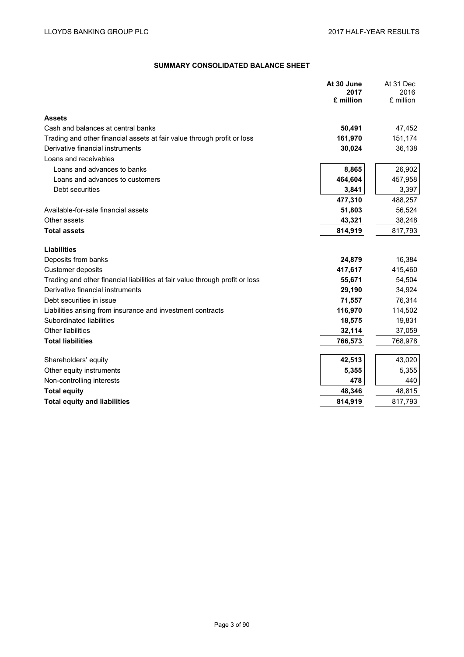# **SUMMARY CONSOLIDATED BALANCE SHEET**

|                                                                              | At 30 June<br>2017<br>£ million | At 31 Dec<br>2016<br>£ million |
|------------------------------------------------------------------------------|---------------------------------|--------------------------------|
| <b>Assets</b>                                                                |                                 |                                |
| Cash and balances at central banks                                           | 50,491                          | 47,452                         |
| Trading and other financial assets at fair value through profit or loss      | 161,970                         | 151,174                        |
| Derivative financial instruments                                             | 30,024                          | 36,138                         |
| Loans and receivables                                                        |                                 |                                |
| Loans and advances to banks                                                  | 8,865                           | 26,902                         |
| Loans and advances to customers                                              | 464,604                         | 457,958                        |
| Debt securities                                                              | 3,841                           | 3,397                          |
|                                                                              | 477,310                         | 488,257                        |
| Available-for-sale financial assets                                          | 51,803                          | 56,524                         |
| Other assets                                                                 | 43,321                          | 38,248                         |
| <b>Total assets</b>                                                          | 814,919                         | 817,793                        |
| <b>Liabilities</b>                                                           |                                 |                                |
| Deposits from banks                                                          | 24,879                          | 16,384                         |
| Customer deposits                                                            | 417,617                         | 415,460                        |
| Trading and other financial liabilities at fair value through profit or loss | 55,671                          | 54,504                         |
| Derivative financial instruments                                             | 29,190                          | 34,924                         |
| Debt securities in issue                                                     | 71,557                          | 76,314                         |
| Liabilities arising from insurance and investment contracts                  | 116,970                         | 114,502                        |
| Subordinated liabilities                                                     | 18,575                          | 19,831                         |
| Other liabilities                                                            | 32,114                          | 37,059                         |
| <b>Total liabilities</b>                                                     | 766,573                         | 768,978                        |
| Shareholders' equity                                                         | 42,513                          | 43,020                         |
| Other equity instruments                                                     | 5,355                           | 5,355                          |
| Non-controlling interests                                                    | 478                             | 440                            |
| <b>Total equity</b>                                                          | 48,346                          | 48,815                         |
| <b>Total equity and liabilities</b>                                          | 814,919                         | 817,793                        |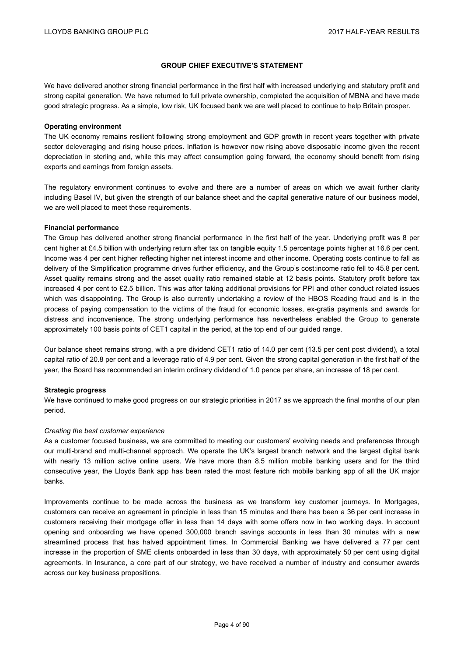#### **GROUP CHIEF EXECUTIVE'S STATEMENT**

We have delivered another strong financial performance in the first half with increased underlying and statutory profit and strong capital generation. We have returned to full private ownership, completed the acquisition of MBNA and have made good strategic progress. As a simple, low risk, UK focused bank we are well placed to continue to help Britain prosper.

#### **Operating environment**

The UK economy remains resilient following strong employment and GDP growth in recent years together with private sector deleveraging and rising house prices. Inflation is however now rising above disposable income given the recent depreciation in sterling and, while this may affect consumption going forward, the economy should benefit from rising exports and earnings from foreign assets.

The regulatory environment continues to evolve and there are a number of areas on which we await further clarity including Basel IV, but given the strength of our balance sheet and the capital generative nature of our business model, we are well placed to meet these requirements.

#### **Financial performance**

The Group has delivered another strong financial performance in the first half of the year. Underlying profit was 8 per cent higher at £4.5 billion with underlying return after tax on tangible equity 1.5 percentage points higher at 16.6 per cent. Income was 4 per cent higher reflecting higher net interest income and other income. Operating costs continue to fall as delivery of the Simplification programme drives further efficiency, and the Group's cost:income ratio fell to 45.8 per cent. Asset quality remains strong and the asset quality ratio remained stable at 12 basis points. Statutory profit before tax increased 4 per cent to £2.5 billion. This was after taking additional provisions for PPI and other conduct related issues which was disappointing. The Group is also currently undertaking a review of the HBOS Reading fraud and is in the process of paying compensation to the victims of the fraud for economic losses, ex-gratia payments and awards for distress and inconvenience. The strong underlying performance has nevertheless enabled the Group to generate approximately 100 basis points of CET1 capital in the period, at the top end of our guided range.

Our balance sheet remains strong, with a pre dividend CET1 ratio of 14.0 per cent (13.5 per cent post dividend), a total capital ratio of 20.8 per cent and a leverage ratio of 4.9 per cent. Given the strong capital generation in the first half of the year, the Board has recommended an interim ordinary dividend of 1.0 pence per share, an increase of 18 per cent.

#### **Strategic progress**

We have continued to make good progress on our strategic priorities in 2017 as we approach the final months of our plan period.

#### *Creating the best customer experience*

As a customer focused business, we are committed to meeting our customers' evolving needs and preferences through our multi-brand and multi-channel approach. We operate the UK's largest branch network and the largest digital bank with nearly 13 million active online users. We have more than 8.5 million mobile banking users and for the third consecutive year, the Lloyds Bank app has been rated the most feature rich mobile banking app of all the UK major banks.

Improvements continue to be made across the business as we transform key customer journeys. In Mortgages, customers can receive an agreement in principle in less than 15 minutes and there has been a 36 per cent increase in customers receiving their mortgage offer in less than 14 days with some offers now in two working days. In account opening and onboarding we have opened 300,000 branch savings accounts in less than 30 minutes with a new streamlined process that has halved appointment times. In Commercial Banking we have delivered a 77 per cent increase in the proportion of SME clients onboarded in less than 30 days, with approximately 50 per cent using digital agreements. In Insurance, a core part of our strategy, we have received a number of industry and consumer awards across our key business propositions.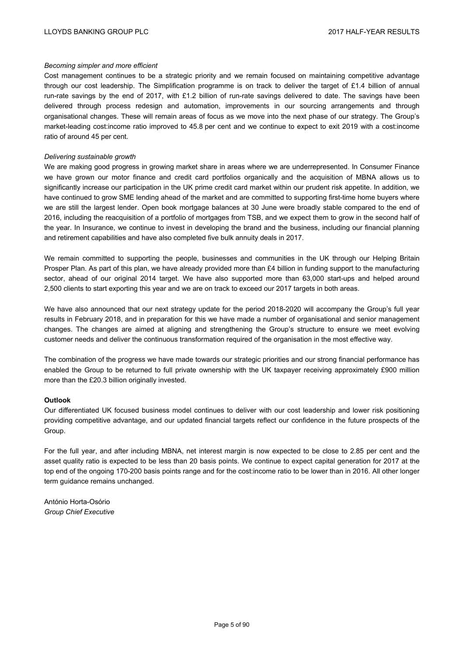#### *Becoming simpler and more efficient*

Cost management continues to be a strategic priority and we remain focused on maintaining competitive advantage through our cost leadership. The Simplification programme is on track to deliver the target of £1.4 billion of annual run-rate savings by the end of 2017, with £1.2 billion of run-rate savings delivered to date. The savings have been delivered through process redesign and automation, improvements in our sourcing arrangements and through organisational changes. These will remain areas of focus as we move into the next phase of our strategy. The Group's market-leading cost:income ratio improved to 45.8 per cent and we continue to expect to exit 2019 with a cost:income ratio of around 45 per cent.

#### *Delivering sustainable growth*

We are making good progress in growing market share in areas where we are underrepresented. In Consumer Finance we have grown our motor finance and credit card portfolios organically and the acquisition of MBNA allows us to significantly increase our participation in the UK prime credit card market within our prudent risk appetite. In addition, we have continued to grow SME lending ahead of the market and are committed to supporting first-time home buyers where we are still the largest lender. Open book mortgage balances at 30 June were broadly stable compared to the end of 2016, including the reacquisition of a portfolio of mortgages from TSB, and we expect them to grow in the second half of the year. In Insurance, we continue to invest in developing the brand and the business, including our financial planning and retirement capabilities and have also completed five bulk annuity deals in 2017.

We remain committed to supporting the people, businesses and communities in the UK through our Helping Britain Prosper Plan. As part of this plan, we have already provided more than £4 billion in funding support to the manufacturing sector, ahead of our original 2014 target. We have also supported more than 63,000 start-ups and helped around 2,500 clients to start exporting this year and we are on track to exceed our 2017 targets in both areas.

We have also announced that our next strategy update for the period 2018-2020 will accompany the Group's full year results in February 2018, and in preparation for this we have made a number of organisational and senior management changes. The changes are aimed at aligning and strengthening the Group's structure to ensure we meet evolving customer needs and deliver the continuous transformation required of the organisation in the most effective way.

The combination of the progress we have made towards our strategic priorities and our strong financial performance has enabled the Group to be returned to full private ownership with the UK taxpayer receiving approximately £900 million more than the £20.3 billion originally invested.

#### **Outlook**

Our differentiated UK focused business model continues to deliver with our cost leadership and lower risk positioning providing competitive advantage, and our updated financial targets reflect our confidence in the future prospects of the Group.

For the full year, and after including MBNA, net interest margin is now expected to be close to 2.85 per cent and the asset quality ratio is expected to be less than 20 basis points. We continue to expect capital generation for 2017 at the top end of the ongoing 170-200 basis points range and for the cost:income ratio to be lower than in 2016. All other longer term guidance remains unchanged.

António Horta-Osório *Group Chief Executive*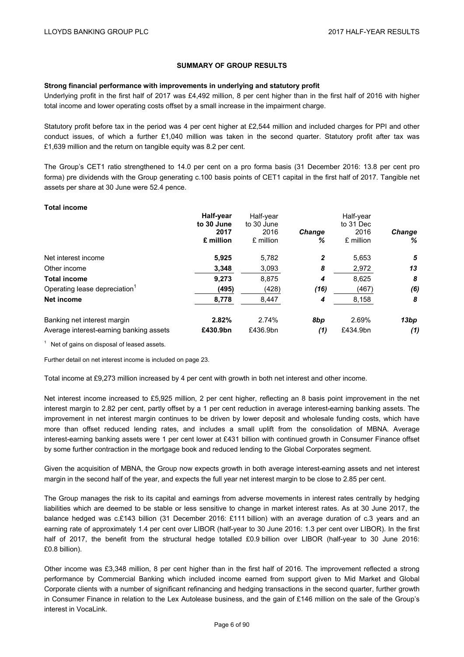# **SUMMARY OF GROUP RESULTS**

#### **Strong financial performance with improvements in underlying and statutory profit**

Underlying profit in the first half of 2017 was £4,492 million, 8 per cent higher than in the first half of 2016 with higher total income and lower operating costs offset by a small increase in the impairment charge.

Statutory profit before tax in the period was 4 per cent higher at £2,544 million and included charges for PPI and other conduct issues, of which a further £1,040 million was taken in the second quarter. Statutory profit after tax was £1,639 million and the return on tangible equity was 8.2 per cent.

The Group's CET1 ratio strengthened to 14.0 per cent on a pro forma basis (31 December 2016: 13.8 per cent pro forma) pre dividends with the Group generating c.100 basis points of CET1 capital in the first half of 2017. Tangible net assets per share at 30 June were 52.4 pence.

#### **Total income**

|                                           | Half-year<br>to 30 June | Half-year<br>to 30 June |               | Half-year<br>to 31 Dec |               |  |
|-------------------------------------------|-------------------------|-------------------------|---------------|------------------------|---------------|--|
|                                           | 2017                    | 2016                    | <b>Change</b> | 2016                   | <b>Change</b> |  |
|                                           | £ million               | £ million               | %             | £ million              | ℅             |  |
| Net interest income                       | 5,925                   | 5,782                   | 2             | 5,653                  | 5             |  |
| Other income                              | 3,348                   | 3,093                   | 8             | 2,972                  | 13            |  |
| <b>Total income</b>                       | 9,273                   | 8,875                   | 4             | 8,625                  | 8             |  |
| Operating lease depreciation <sup>1</sup> | (495)                   | (428)                   | (16)          | (467)                  | (6)           |  |
| Net income                                | 8,778                   | 8,447                   | 4             | 8,158                  | 8             |  |
| Banking net interest margin               | 2.82%                   | 2.74%                   | 8bp           | 2.69%                  | 13bp          |  |
| Average interest-earning banking assets   | £430.9bn                | £436.9bn                | (1)           | £434.9bn               | (1)           |  |

 $1$  Net of gains on disposal of leased assets.

Further detail on net interest income is included on page 23.

Total income at £9,273 million increased by 4 per cent with growth in both net interest and other income.

Net interest income increased to £5,925 million. 2 per cent higher, reflecting an 8 basis point improvement in the net interest margin to 2.82 per cent, partly offset by a 1 per cent reduction in average interest-earning banking assets. The improvement in net interest margin continues to be driven by lower deposit and wholesale funding costs, which have more than offset reduced lending rates, and includes a small uplift from the consolidation of MBNA. Average interest-earning banking assets were 1 per cent lower at £431 billion with continued growth in Consumer Finance offset by some further contraction in the mortgage book and reduced lending to the Global Corporates segment.

Given the acquisition of MBNA, the Group now expects growth in both average interest-earning assets and net interest margin in the second half of the year, and expects the full year net interest margin to be close to 2.85 per cent.

The Group manages the risk to its capital and earnings from adverse movements in interest rates centrally by hedging liabilities which are deemed to be stable or less sensitive to change in market interest rates. As at 30 June 2017, the balance hedged was c.£143 billion (31 December 2016: £111 billion) with an average duration of c.3 years and an earning rate of approximately 1.4 per cent over LIBOR (half-year to 30 June 2016: 1.3 per cent over LIBOR). In the first half of 2017, the benefit from the structural hedge totalled £0.9 billion over LIBOR (half-year to 30 June 2016: £0.8 billion).

Other income was £3,348 million, 8 per cent higher than in the first half of 2016. The improvement reflected a strong performance by Commercial Banking which included income earned from support given to Mid Market and Global Corporate clients with a number of significant refinancing and hedging transactions in the second quarter, further growth in Consumer Finance in relation to the Lex Autolease business, and the gain of £146 million on the sale of the Group's interest in VocaLink.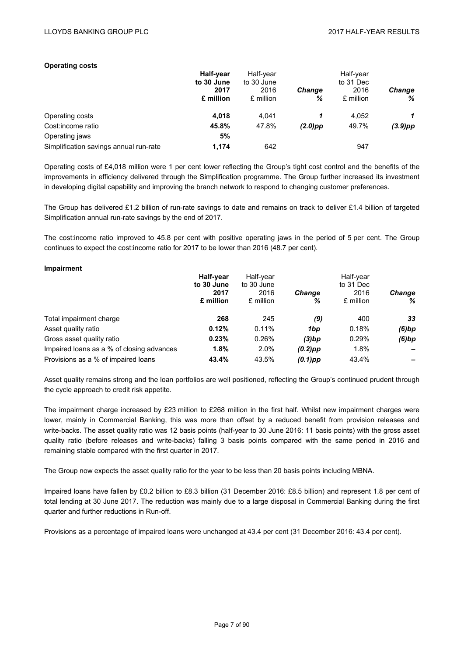#### **Operating costs**

|                                        | <b>Half-year</b><br>to 30 June | Half-year<br>to 30 June |               | Half-year<br>to 31 Dec |               |
|----------------------------------------|--------------------------------|-------------------------|---------------|------------------------|---------------|
|                                        | 2017                           | 2016                    | <b>Change</b> | 2016                   | <b>Change</b> |
|                                        | £ million                      | £ million               | %             | £ million              | %             |
| Operating costs                        | 4,018                          | 4.041                   |               | 4.052                  | 1             |
| Cost: income ratio                     | 45.8%                          | 47.8%                   | $(2.0)$ pp    | 49.7%                  | $(3.9)$ pp    |
| Operating jaws                         | 5%                             |                         |               |                        |               |
| Simplification savings annual run-rate | 1,174                          | 642                     |               | 947                    |               |

Operating costs of £4,018 million were 1 per cent lower reflecting the Group's tight cost control and the benefits of the improvements in efficiency delivered through the Simplification programme. The Group further increased its investment in developing digital capability and improving the branch network to respond to changing customer preferences.

The Group has delivered £1.2 billion of run-rate savings to date and remains on track to deliver £1.4 billion of targeted Simplification annual run-rate savings by the end of 2017.

The cost:income ratio improved to 45.8 per cent with positive operating jaws in the period of 5 per cent. The Group continues to expect the cost:income ratio for 2017 to be lower than 2016 (48.7 per cent).

#### **Impairment**

|                                           | Half-year<br>to 30 June<br>2017<br>£ million | Half-year<br>to 30 June<br>2016<br>£ million | <b>Change</b><br>% | Half-year<br>to 31 Dec<br>2016<br>£ million | <b>Change</b><br>℅ |
|-------------------------------------------|----------------------------------------------|----------------------------------------------|--------------------|---------------------------------------------|--------------------|
| Total impairment charge                   | 268                                          | 245                                          | (9)                | 400                                         | 33                 |
| Asset quality ratio                       | 0.12%                                        | 0.11%                                        | 1bp                | 0.18%                                       | (6)bp              |
| Gross asset quality ratio                 | 0.23%                                        | 0.26%                                        | $(3)$ bp           | 0.29%                                       | (6)bp              |
| Impaired loans as a % of closing advances | 1.8%                                         | 2.0%                                         | $(0.2)$ pp         | 1.8%                                        |                    |
| Provisions as a % of impaired loans       | 43.4%                                        | 43.5%                                        | $(0.1)$ pp         | 43.4%                                       |                    |

Asset quality remains strong and the loan portfolios are well positioned, reflecting the Group's continued prudent through the cycle approach to credit risk appetite.

The impairment charge increased by £23 million to £268 million in the first half. Whilst new impairment charges were lower, mainly in Commercial Banking, this was more than offset by a reduced benefit from provision releases and write-backs. The asset quality ratio was 12 basis points (half-year to 30 June 2016: 11 basis points) with the gross asset quality ratio (before releases and write-backs) falling 3 basis points compared with the same period in 2016 and remaining stable compared with the first quarter in 2017.

The Group now expects the asset quality ratio for the year to be less than 20 basis points including MBNA.

Impaired loans have fallen by £0.2 billion to £8.3 billion (31 December 2016: £8.5 billion) and represent 1.8 per cent of total lending at 30 June 2017. The reduction was mainly due to a large disposal in Commercial Banking during the first quarter and further reductions in Run-off.

Provisions as a percentage of impaired loans were unchanged at 43.4 per cent (31 December 2016: 43.4 per cent).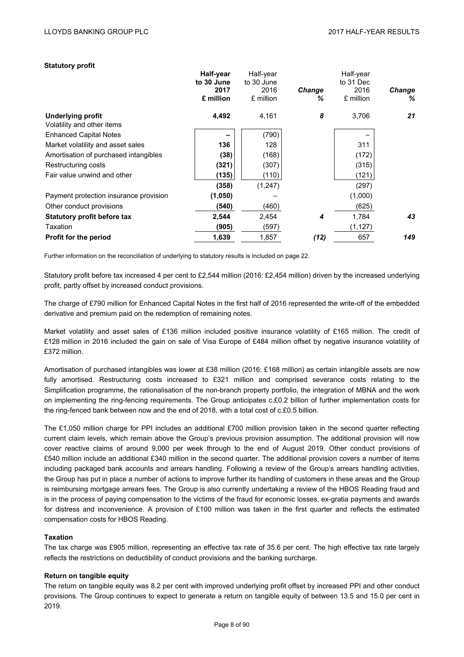#### **Statutory profit**

|                                                        | Half-year<br>to 30 June<br>2017<br>£ million | Half-year<br>to 30 June<br>2016<br>£ million | <b>Change</b><br>℅ | Half-year<br>to 31 Dec<br>2016<br>£ million | <b>Change</b><br>% |
|--------------------------------------------------------|----------------------------------------------|----------------------------------------------|--------------------|---------------------------------------------|--------------------|
| <b>Underlying profit</b><br>Volatility and other items | 4,492                                        | 4,161                                        | 8                  | 3,706                                       | 21                 |
| <b>Enhanced Capital Notes</b>                          |                                              | (790)                                        |                    |                                             |                    |
| Market volatility and asset sales                      | 136                                          | 128                                          |                    | 311                                         |                    |
| Amortisation of purchased intangibles                  | (38)                                         | (168)                                        |                    | (172)                                       |                    |
| Restructuring costs                                    | (321)                                        | (307)                                        |                    | (315)                                       |                    |
| Fair value unwind and other                            | (135)                                        | (110)                                        |                    | (121)                                       |                    |
|                                                        | (358)                                        | (1,247)                                      |                    | (297)                                       |                    |
| Payment protection insurance provision                 | (1,050)                                      |                                              |                    | (1,000)                                     |                    |
| Other conduct provisions                               | (540)                                        | (460)                                        |                    | (625)                                       |                    |
| Statutory profit before tax                            | 2,544                                        | 2,454                                        | 4                  | 1,784                                       | 43                 |
| Taxation                                               | (905)                                        | (597)                                        |                    | (1, 127)                                    |                    |
| <b>Profit for the period</b>                           | 1,639                                        | 1,857                                        | (12)               | 657                                         | 149                |
|                                                        |                                              |                                              |                    |                                             |                    |

Further information on the reconciliation of underlying to statutory results is included on page 22.

Statutory profit before tax increased 4 per cent to £2,544 million (2016: £2,454 million) driven by the increased underlying profit, partly offset by increased conduct provisions.

The charge of £790 million for Enhanced Capital Notes in the first half of 2016 represented the write-off of the embedded derivative and premium paid on the redemption of remaining notes.

Market volatility and asset sales of £136 million included positive insurance volatility of £165 million. The credit of £128 million in 2016 included the gain on sale of Visa Europe of £484 million offset by negative insurance volatility of £372 million.

Amortisation of purchased intangibles was lower at £38 million (2016: £168 million) as certain intangible assets are now fully amortised. Restructuring costs increased to £321 million and comprised severance costs relating to the Simplification programme, the rationalisation of the non-branch property portfolio, the integration of MBNA and the work on implementing the ring-fencing requirements. The Group anticipates c.£0.2 billion of further implementation costs for the ring-fenced bank between now and the end of 2018, with a total cost of c.£0.5 billion.

The £1,050 million charge for PPI includes an additional £700 million provision taken in the second quarter reflecting current claim levels, which remain above the Group's previous provision assumption. The additional provision will now cover reactive claims of around 9,000 per week through to the end of August 2019. Other conduct provisions of £540 million include an additional £340 million in the second quarter. The additional provision covers a number of items including packaged bank accounts and arrears handling. Following a review of the Group's arrears handling activities, the Group has put in place a number of actions to improve further its handling of customers in these areas and the Group is reimbursing mortgage arrears fees. The Group is also currently undertaking a review of the HBOS Reading fraud and is in the process of paying compensation to the victims of the fraud for economic losses, ex-gratia payments and awards for distress and inconvenience. A provision of £100 million was taken in the first quarter and reflects the estimated compensation costs for HBOS Reading.

## **Taxation**

The tax charge was £905 million, representing an effective tax rate of 35.6 per cent. The high effective tax rate largely reflects the restrictions on deductibility of conduct provisions and the banking surcharge.

## **Return on tangible equity**

The return on tangible equity was 8.2 per cent with improved underlying profit offset by increased PPI and other conduct provisions. The Group continues to expect to generate a return on tangible equity of between 13.5 and 15.0 per cent in 2019.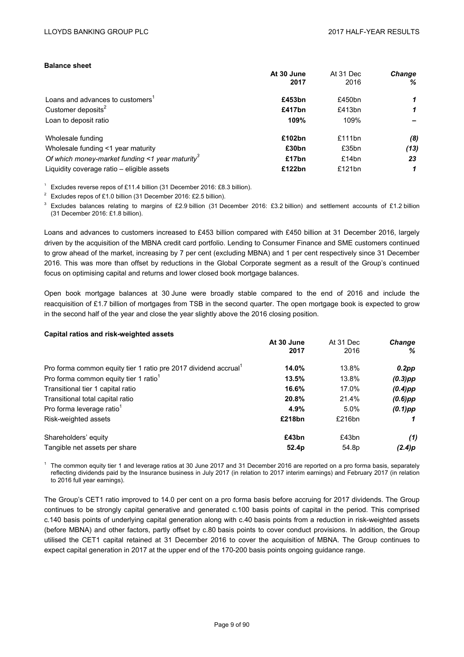#### **Balance sheet**

|                                                             | At 30 June<br>2017 | At 31 Dec<br>2016 | <b>Change</b><br>℅ |
|-------------------------------------------------------------|--------------------|-------------------|--------------------|
| Loans and advances to customers <sup>1</sup>                | £453bn             | £450bn            |                    |
| Customer deposits <sup>2</sup>                              | £417bn             | £413bn            | 1                  |
| Loan to deposit ratio                                       | 109%               | 109%              |                    |
| Wholesale funding                                           | £102bn             | £111 $bn$         | (8)                |
| Wholesale funding <1 year maturity                          | £30 <sub>bn</sub>  | £35bn             | (13)               |
| Of which money-market funding <1 year maturity <sup>3</sup> | £17bn              | £14bn             | 23                 |
| Liquidity coverage ratio - eligible assets                  | £122bn             | £121 $bn$         |                    |

<sup>1</sup> Excludes reverse repos of £11.4 billion (31 December 2016: £8.3 billion).

Excludes repos of £1.0 billion (31 December 2016: £2.5 billion).

Excludes balances relating to margins of £2.9 billion (31 December 2016: £3.2 billion) and settlement accounts of £1.2 billion (31 December 2016: £1.8 billion).

Loans and advances to customers increased to £453 billion compared with £450 billion at 31 December 2016, largely driven by the acquisition of the MBNA credit card portfolio. Lending to Consumer Finance and SME customers continued to grow ahead of the market, increasing by 7 per cent (excluding MBNA) and 1 per cent respectively since 31 December 2016. This was more than offset by reductions in the Global Corporate segment as a result of the Group's continued focus on optimising capital and returns and lower closed book mortgage balances.

Open book mortgage balances at 30 June were broadly stable compared to the end of 2016 and include the reacquisition of £1.7 billion of mortgages from TSB in the second quarter. The open mortgage book is expected to grow in the second half of the year and close the year slightly above the 2016 closing position.

#### **Capital ratios and risk-weighted assets**

|                                                                             | At 30 June<br>2017 | At 31 Dec<br>2016 | <b>Change</b><br>℅ |
|-----------------------------------------------------------------------------|--------------------|-------------------|--------------------|
| Pro forma common equity tier 1 ratio pre 2017 dividend accrual <sup>1</sup> | 14.0%              | 13.8%             | $0.2$ pp           |
| Pro forma common equity tier 1 ratio <sup>1</sup>                           | 13.5%              | 13.8%             | $(0.3)$ pp         |
| Transitional tier 1 capital ratio                                           | 16.6%              | 17.0%             | $(0.4)$ pp         |
| Transitional total capital ratio                                            | 20.8%              | 21.4%             | $(0.6)$ pp         |
| Pro forma leverage ratio <sup>1</sup>                                       | 4.9%               | 5.0%              | $(0.1)$ pp         |
| Risk-weighted assets                                                        | £218bn             | £216bn            |                    |
| Shareholders' equity                                                        | £43bn              | £43bn             | (1)                |
| Tangible net assets per share                                               | 52.4 <sub>p</sub>  | 54.8p             | (2.4)p             |

 $1$  The common equity tier 1 and leverage ratios at 30 June 2017 and 31 December 2016 are reported on a pro forma basis, separately reflecting dividends paid by the Insurance business in July 2017 (in relation to 2017 interim earnings) and February 2017 (in relation to 2016 full year earnings).

The Group's CET1 ratio improved to 14.0 per cent on a pro forma basis before accruing for 2017 dividends. The Group continues to be strongly capital generative and generated c.100 basis points of capital in the period. This comprised c.140 basis points of underlying capital generation along with c.40 basis points from a reduction in risk-weighted assets (before MBNA) and other factors, partly offset by c.80 basis points to cover conduct provisions. In addition, the Group utilised the CET1 capital retained at 31 December 2016 to cover the acquisition of MBNA. The Group continues to expect capital generation in 2017 at the upper end of the 170-200 basis points ongoing guidance range.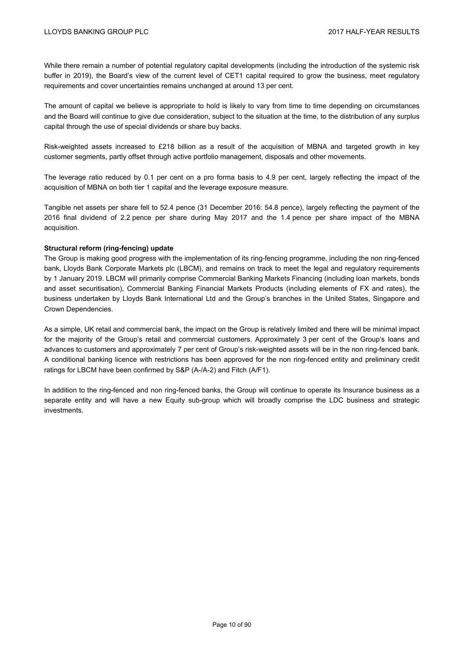While there remain a number of potential regulatory capital developments (including the introduction of the systemic risk buffer in 2019), the Board's view of the current level of CET1 capital required to grow the business, meet regulatory requirements and cover uncertainties remains unchanged at around 13 per cent.

The amount of capital we believe is appropriate to hold is likely to vary from time to time depending on circumstances and the Board will continue to give due consideration, subject to the situation at the time, to the distribution of any surplus capital through the use of special dividends or share buy backs.

Risk-weighted assets increased to £218 billion as a result of the acquisition of MBNA and targeted growth in key customer segments, partly offset through active portfolio management, disposals and other movements.

The leverage ratio reduced by 0.1 per cent on a pro forma basis to 4.9 per cent, largely reflecting the impact of the acquisition of MBNA on both tier 1 capital and the leverage exposure measure.

Tangible net assets per share fell to 52.4 pence (31 December 2016: 54.8 pence), largely reflecting the payment of the 2016 final dividend of 2.2 pence per share during May 2017 and the 1.4 pence per share impact of the MBNA acquisition.

#### **Structural reform (ring-fencing) update**

The Group is making good progress with the implementation of its ring-fencing programme, including the non ring-fenced bank, Lloyds Bank Corporate Markets plc (LBCM), and remains on track to meet the legal and regulatory requirements by 1 January 2019. LBCM will primarily comprise Commercial Banking Markets Financing (including loan markets, bonds and asset securitisation), Commercial Banking Financial Markets Products (including elements of FX and rates), the business undertaken by Lloyds Bank International Ltd and the Group's branches in the United States, Singapore and Crown Dependencies.

As a simple, UK retail and commercial bank, the impact on the Group is relatively limited and there will be minimal impact for the majority of the Group's retail and commercial customers. Approximately 3 per cent of the Group's loans and advances to customers and approximately 7 per cent of Group's risk-weighted assets will be in the non ring-fenced bank. A conditional banking licence with restrictions has been approved for the non ring-fenced entity and preliminary credit ratings for LBCM have been confirmed by S&P (A-/A-2) and Fitch (A/F1).

In addition to the ring-fenced and non ring-fenced banks, the Group will continue to operate its Insurance business as a separate entity and will have a new Equity sub-group which will broadly comprise the LDC business and strategic investments.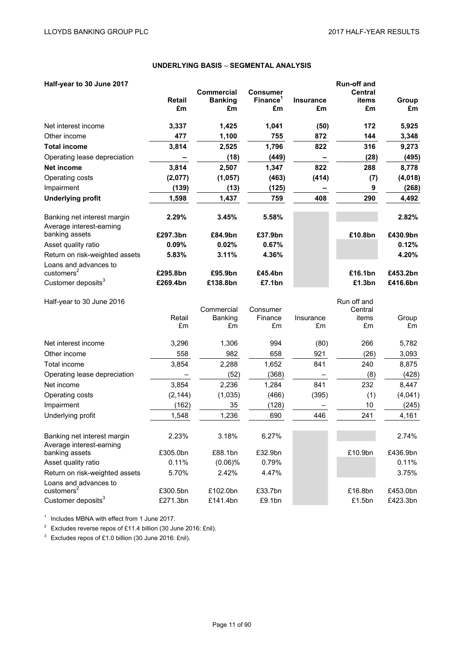# **UNDERLYING BASIS** – **SEGMENTAL ANALYSIS**

| Half-year to 30 June 2017                                |               |                   |                      |                          | <b>Run-off and</b> |             |
|----------------------------------------------------------|---------------|-------------------|----------------------|--------------------------|--------------------|-------------|
|                                                          |               | <b>Commercial</b> | <b>Consumer</b>      |                          | <b>Central</b>     |             |
|                                                          | <b>Retail</b> | <b>Banking</b>    | Finance <sup>1</sup> | <b>Insurance</b>         | items              | Group       |
|                                                          | £m            | £m                | £m                   | £m                       | £m                 | £m          |
| Net interest income                                      | 3,337         | 1,425             | 1,041                | (50)                     | 172                | 5,925       |
| Other income                                             | 477           | 1,100             | 755                  | 872                      | 144                | 3,348       |
| <b>Total income</b>                                      | 3,814         | 2,525             | 1,796                | 822                      | 316                | 9,273       |
| Operating lease depreciation                             |               | (18)              | (449)                | $\overline{\phantom{0}}$ | (28)               | (495)       |
| <b>Net income</b>                                        | 3,814         | 2,507             | 1,347                | 822                      | 288                | 8,778       |
| Operating costs                                          | (2,077)       | (1,057)           | (463)                | (414)                    | (7)                | (4,018)     |
| Impairment                                               | (139)         | (13)              | (125)                | -                        | 9                  | (268)       |
| <b>Underlying profit</b>                                 | 1,598         | 1,437             | 759                  | 408                      | 290                | 4,492       |
| Banking net interest margin<br>Average interest-earning  | 2.29%         | 3.45%             | 5.58%                |                          |                    | 2.82%       |
| banking assets                                           | £297.3bn      | £84.9bn           | £37.9bn              |                          | £10.8bn            | £430.9bn    |
| Asset quality ratio                                      | 0.09%         | 0.02%             | 0.67%                |                          |                    | 0.12%       |
| Return on risk-weighted assets                           | 5.83%         | 3.11%             | 4.36%                |                          |                    | 4.20%       |
| Loans and advances to<br>customers <sup>2</sup>          | £295.8bn      | £95.9bn           | £45.4bn              |                          | £16.1bn            | £453.2bn    |
| Customer deposits <sup>3</sup>                           | £269.4bn      | £138.8bn          | £7.1bn               |                          | £1.3bn             | £416.6bn    |
|                                                          |               |                   |                      |                          |                    |             |
| Half-year to 30 June 2016                                |               |                   |                      |                          | Run off and        |             |
|                                                          |               | Commercial        | Consumer             |                          | Central            |             |
|                                                          | Retail<br>£m  | Banking<br>£m     | Finance<br>£m        | Insurance<br>£m          | items<br>£m        | Group<br>£m |
|                                                          |               |                   |                      |                          |                    |             |
| Net interest income                                      | 3,296         | 1,306             | 994                  | (80)                     | 266                | 5,782       |
| Other income                                             | 558           | 982               | 658                  | 921                      | (26)               | 3,093       |
| Total income                                             | 3,854         | 2,288             | 1,652                | 841                      | 240                | 8,875       |
| Operating lease depreciation                             |               | (52)              | (368)                |                          | (8)                | (428)       |
| Net income                                               | 3,854         | 2,236             | 1,284                | 841                      | 232                | 8,447       |
| Operating costs                                          | (2, 144)      | (1,035)           | (466)                | (395)                    | (1)                | (4,041)     |
| Impairment                                               | (162)         | 35                | (128)                |                          | 10                 | (245)       |
| Underlying profit                                        | 1,548         | 1,236             | 690                  | 446                      | 241                | 4,161       |
| Banking net interest margin<br>Average interest-earning  | 2.23%         | 3.18%             | 6.27%                |                          |                    | 2.74%       |
| banking assets                                           | £305.0bn      | £88.1bn           | £32.9bn              |                          | £10.9bn            | £436.9bn    |
| Asset quality ratio                                      | 0.11%         | $(0.06)\%$        | 0.79%                |                          |                    | 0.11%       |
| Return on risk-weighted assets                           | 5.70%         | 2.42%             | 4.47%                |                          |                    | 3.75%       |
| Loans and advances to                                    |               |                   |                      |                          |                    |             |
| customers <sup>2</sup><br>Customer deposits <sup>3</sup> | £300.5bn      | £102.0bn          | £33.7bn              |                          | £16.8bn            | £453.0bn    |
|                                                          | £271.3bn      | £141.4bn          | £9.1bn               |                          | £1.5bn             | £423.3bn    |

<sup>1</sup> Includes MBNA with effect from 1 June 2017.

2 Excludes reverse repos of £11.4 billion (30 June 2016: £nil).

<sup>3</sup> Excludes repos of £1.0 billion (30 June 2016: £nil).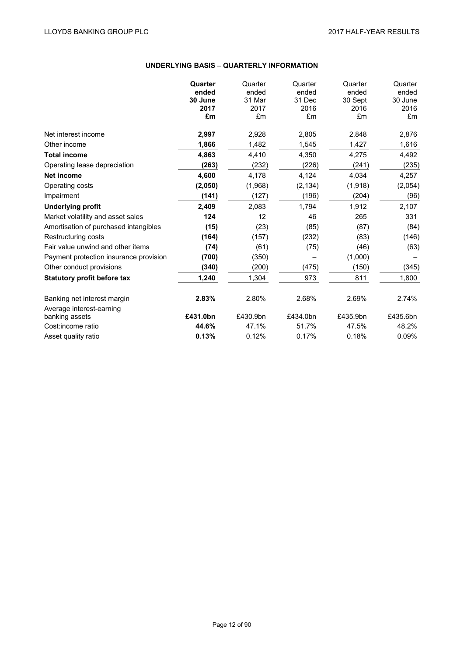# **UNDERLYING BASIS** – **QUARTERLY INFORMATION**

|                                        | Quarter  | Quarter  | Quarter  | Quarter  | Quarter  |
|----------------------------------------|----------|----------|----------|----------|----------|
|                                        | ended    | ended    | ended    | ended    | ended    |
|                                        | 30 June  | 31 Mar   | 31 Dec   | 30 Sept  | 30 June  |
|                                        | 2017     | 2017     | 2016     | 2016     | 2016     |
|                                        | £m       | £m       | £m       | £m       | £m       |
| Net interest income                    | 2,997    | 2,928    | 2,805    | 2,848    | 2,876    |
| Other income                           | 1,866    | 1,482    | 1,545    | 1,427    | 1,616    |
| <b>Total income</b>                    | 4,863    | 4,410    | 4,350    | 4,275    | 4,492    |
| Operating lease depreciation           | (263)    | (232)    | (226)    | (241)    | (235)    |
| <b>Net income</b>                      | 4,600    | 4,178    | 4,124    | 4,034    | 4,257    |
| Operating costs                        | (2,050)  | (1,968)  | (2, 134) | (1,918)  | (2,054)  |
| Impairment                             | (141)    | (127)    | (196)    | (204)    | (96)     |
| <b>Underlying profit</b>               | 2,409    | 2,083    | 1,794    | 1,912    | 2,107    |
| Market volatility and asset sales      | 124      | 12       | 46       | 265      | 331      |
| Amortisation of purchased intangibles  | (15)     | (23)     | (85)     | (87)     | (84)     |
| Restructuring costs                    | (164)    | (157)    | (232)    | (83)     | (146)    |
| Fair value unwind and other items      | (74)     | (61)     | (75)     | (46)     | (63)     |
| Payment protection insurance provision | (700)    | (350)    |          | (1,000)  |          |
| Other conduct provisions               | (340)    | (200)    | (475)    | (150)    | (345)    |
| <b>Statutory profit before tax</b>     | 1,240    | 1,304    | 973      | 811      | 1,800    |
| Banking net interest margin            | 2.83%    | 2.80%    | 2.68%    | 2.69%    | 2.74%    |
| Average interest-earning               |          |          |          |          |          |
| banking assets                         | £431.0bn | £430.9bn | £434.0bn | £435.9bn | £435.6bn |
| Cost:income ratio                      | 44.6%    | 47.1%    | 51.7%    | 47.5%    | 48.2%    |
| Asset quality ratio                    | 0.13%    | 0.12%    | 0.17%    | 0.18%    | 0.09%    |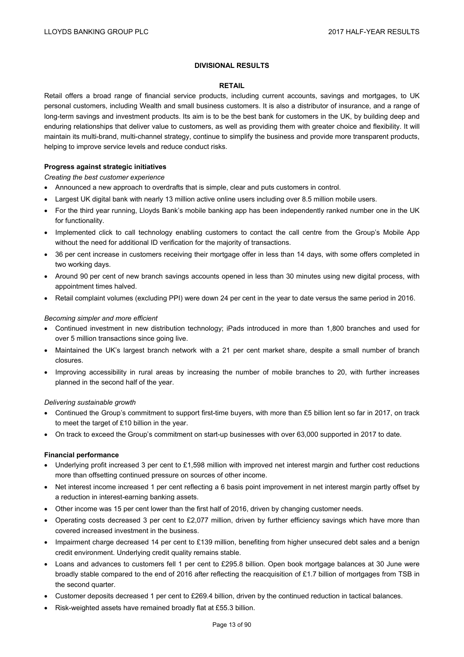## **DIVISIONAL RESULTS**

#### **RETAIL**

Retail offers a broad range of financial service products, including current accounts, savings and mortgages, to UK personal customers, including Wealth and small business customers. It is also a distributor of insurance, and a range of long-term savings and investment products. Its aim is to be the best bank for customers in the UK, by building deep and enduring relationships that deliver value to customers, as well as providing them with greater choice and flexibility. It will maintain its multi-brand, multi-channel strategy, continue to simplify the business and provide more transparent products, helping to improve service levels and reduce conduct risks.

#### **Progress against strategic initiatives**

*Creating the best customer experience* 

- Announced a new approach to overdrafts that is simple, clear and puts customers in control.
- Largest UK digital bank with nearly 13 million active online users including over 8.5 million mobile users.
- For the third year running, Lloyds Bank's mobile banking app has been independently ranked number one in the UK for functionality.
- Implemented click to call technology enabling customers to contact the call centre from the Group's Mobile App without the need for additional ID verification for the majority of transactions.
- 36 per cent increase in customers receiving their mortgage offer in less than 14 days, with some offers completed in two working days.
- Around 90 per cent of new branch savings accounts opened in less than 30 minutes using new digital process, with appointment times halved.
- Retail complaint volumes (excluding PPI) were down 24 per cent in the year to date versus the same period in 2016.

#### *Becoming simpler and more efficient*

- Continued investment in new distribution technology; iPads introduced in more than 1,800 branches and used for over 5 million transactions since going live.
- Maintained the UK's largest branch network with a 21 per cent market share, despite a small number of branch closures.
- Improving accessibility in rural areas by increasing the number of mobile branches to 20, with further increases planned in the second half of the year.

#### *Delivering sustainable growth*

- Continued the Group's commitment to support first-time buyers, with more than £5 billion lent so far in 2017, on track to meet the target of £10 billion in the year.
- On track to exceed the Group's commitment on start-up businesses with over 63,000 supported in 2017 to date.

#### **Financial performance**

- Underlying profit increased 3 per cent to £1,598 million with improved net interest margin and further cost reductions more than offsetting continued pressure on sources of other income.
- Net interest income increased 1 per cent reflecting a 6 basis point improvement in net interest margin partly offset by a reduction in interest-earning banking assets.
- Other income was 15 per cent lower than the first half of 2016, driven by changing customer needs.
- Operating costs decreased 3 per cent to £2,077 million, driven by further efficiency savings which have more than covered increased investment in the business.
- Impairment charge decreased 14 per cent to £139 million, benefiting from higher unsecured debt sales and a benign credit environment. Underlying credit quality remains stable.
- Loans and advances to customers fell 1 per cent to £295.8 billion. Open book mortgage balances at 30 June were broadly stable compared to the end of 2016 after reflecting the reacquisition of £1.7 billion of mortgages from TSB in the second quarter.
- Customer deposits decreased 1 per cent to £269.4 billion, driven by the continued reduction in tactical balances.
- Risk-weighted assets have remained broadly flat at £55.3 billion.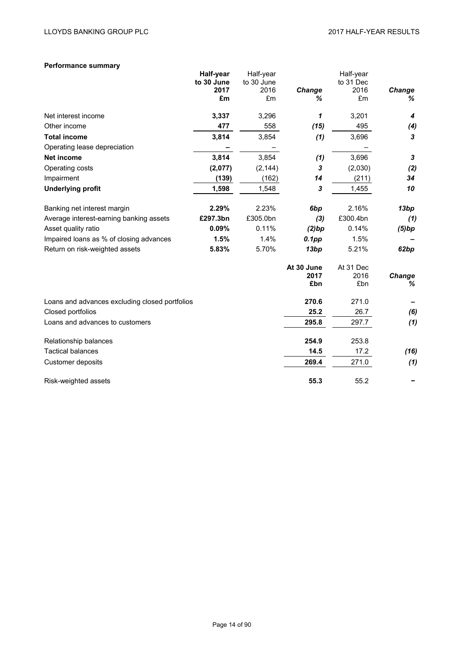# **Performance summary**

|                                                | Half-year<br>to 30 June | Half-year<br>to 30 June |                           | Half-year<br>to 31 Dec   |             |
|------------------------------------------------|-------------------------|-------------------------|---------------------------|--------------------------|-------------|
|                                                | 2017                    | 2016                    | Change                    | 2016                     | Change      |
|                                                | £m                      | £m                      | ℅                         | £m                       | %           |
| Net interest income                            | 3,337                   | 3,296                   | 1                         | 3,201                    | 4           |
| Other income                                   | 477                     | 558                     | (15)                      | 495                      | (4)         |
| <b>Total income</b>                            | 3,814                   | 3,854                   | (1)                       | 3,696                    | 3           |
| Operating lease depreciation                   |                         |                         |                           |                          |             |
| <b>Net income</b>                              | 3,814                   | 3,854                   | (1)                       | 3,696                    | 3           |
| Operating costs                                | (2,077)                 | (2, 144)                | 3                         | (2,030)                  | (2)         |
| Impairment                                     | (139)                   | (162)                   | 14                        | (211)                    | 34          |
| <b>Underlying profit</b>                       | 1,598                   | 1,548                   | $\boldsymbol{3}$          | 1,455                    | 10          |
| Banking net interest margin                    | 2.29%                   | 2.23%                   | 6bp                       | 2.16%                    | 13bp        |
| Average interest-earning banking assets        | £297.3bn                | £305.0bn                | (3)                       | £300.4bn                 | (1)         |
| Asset quality ratio                            | 0.09%                   | 0.11%                   | (2)bp                     | 0.14%                    | (5)bp       |
| Impaired loans as % of closing advances        | 1.5%                    | 1.4%                    | $0.1$ pp                  | 1.5%                     |             |
| Return on risk-weighted assets                 | 5.83%                   | 5.70%                   | 13bp                      | 5.21%                    | 62bp        |
|                                                |                         |                         | At 30 June<br>2017<br>£bn | At 31 Dec<br>2016<br>£bn | Change<br>℅ |
| Loans and advances excluding closed portfolios |                         |                         | 270.6                     | 271.0                    |             |
| Closed portfolios                              |                         |                         | 25.2                      | 26.7                     | (6)         |
| Loans and advances to customers                |                         |                         | 295.8                     | 297.7                    | (1)         |
| Relationship balances                          |                         |                         | 254.9                     | 253.8                    |             |
| <b>Tactical balances</b>                       |                         |                         | 14.5                      | 17.2                     | (16)        |
| Customer deposits                              |                         |                         | 269.4                     | 271.0                    | (1)         |
| Risk-weighted assets                           |                         |                         | 55.3                      | 55.2                     |             |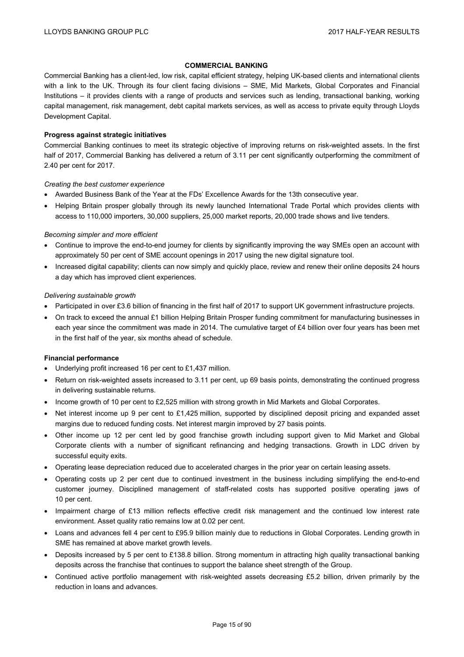#### **COMMERCIAL BANKING**

Commercial Banking has a client-led, low risk, capital efficient strategy, helping UK-based clients and international clients with a link to the UK. Through its four client facing divisions – SME, Mid Markets, Global Corporates and Financial Institutions – it provides clients with a range of products and services such as lending, transactional banking, working capital management, risk management, debt capital markets services, as well as access to private equity through Lloyds Development Capital.

#### **Progress against strategic initiatives**

Commercial Banking continues to meet its strategic objective of improving returns on risk-weighted assets. In the first half of 2017, Commercial Banking has delivered a return of 3.11 per cent significantly outperforming the commitment of 2.40 per cent for 2017.

#### *Creating the best customer experience*

- Awarded Business Bank of the Year at the FDs' Excellence Awards for the 13th consecutive year.
- Helping Britain prosper globally through its newly launched International Trade Portal which provides clients with access to 110,000 importers, 30,000 suppliers, 25,000 market reports, 20,000 trade shows and live tenders.

#### *Becoming simpler and more efficient*

- Continue to improve the end-to-end journey for clients by significantly improving the way SMEs open an account with approximately 50 per cent of SME account openings in 2017 using the new digital signature tool.
- Increased digital capability; clients can now simply and quickly place, review and renew their online deposits 24 hours a day which has improved client experiences.

#### *Delivering sustainable growth*

- Participated in over £3.6 billion of financing in the first half of 2017 to support UK government infrastructure projects.
- On track to exceed the annual £1 billion Helping Britain Prosper funding commitment for manufacturing businesses in each year since the commitment was made in 2014. The cumulative target of £4 billion over four years has been met in the first half of the year, six months ahead of schedule.

#### **Financial performance**

- Underlying profit increased 16 per cent to £1,437 million.
- Return on risk-weighted assets increased to 3.11 per cent, up 69 basis points, demonstrating the continued progress in delivering sustainable returns.
- Income growth of 10 per cent to £2,525 million with strong growth in Mid Markets and Global Corporates.
- Net interest income up 9 per cent to £1,425 million, supported by disciplined deposit pricing and expanded asset margins due to reduced funding costs. Net interest margin improved by 27 basis points.
- Other income up 12 per cent led by good franchise growth including support given to Mid Market and Global Corporate clients with a number of significant refinancing and hedging transactions. Growth in LDC driven by successful equity exits.
- Operating lease depreciation reduced due to accelerated charges in the prior year on certain leasing assets.
- Operating costs up 2 per cent due to continued investment in the business including simplifying the end-to-end customer journey. Disciplined management of staff-related costs has supported positive operating jaws of 10 per cent.
- Impairment charge of £13 million reflects effective credit risk management and the continued low interest rate environment. Asset quality ratio remains low at 0.02 per cent.
- Loans and advances fell 4 per cent to £95.9 billion mainly due to reductions in Global Corporates. Lending growth in SME has remained at above market growth levels.
- Deposits increased by 5 per cent to £138.8 billion. Strong momentum in attracting high quality transactional banking deposits across the franchise that continues to support the balance sheet strength of the Group.
- Continued active portfolio management with risk-weighted assets decreasing £5.2 billion, driven primarily by the reduction in loans and advances.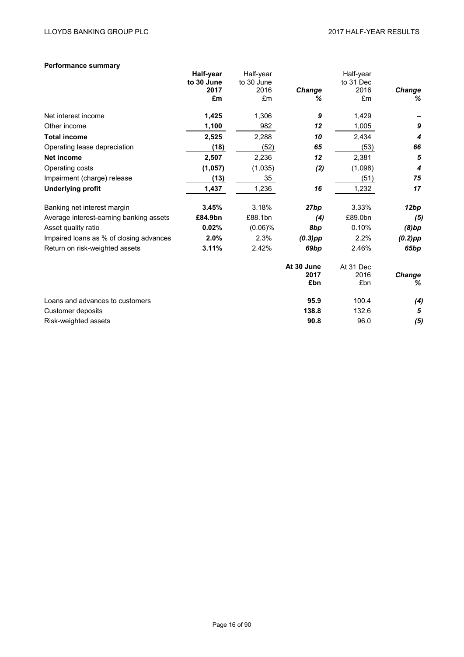## **Performance summary**

|                                         | Half-year<br>to 30 June | Half-year<br>to 30 June |                           | Half-year<br>to 31 Dec   |                    |
|-----------------------------------------|-------------------------|-------------------------|---------------------------|--------------------------|--------------------|
|                                         | 2017<br>£m              | 2016<br>£m              | <b>Change</b><br>℅        | 2016<br>£m               | <b>Change</b><br>% |
| Net interest income                     | 1,425                   | 1,306                   | 9                         | 1,429                    |                    |
| Other income                            | 1,100                   | 982                     | 12                        | 1,005                    | $\boldsymbol{9}$   |
| <b>Total income</b>                     | 2,525                   | 2,288                   | 10                        | 2,434                    | 4                  |
| Operating lease depreciation            | (18)                    | (52)                    | 65                        | (53)                     | 66                 |
| <b>Net income</b>                       | 2,507                   | 2,236                   | 12                        | 2,381                    | 5                  |
| Operating costs                         | (1, 057)                | (1,035)                 | (2)                       | (1,098)                  | 4                  |
| Impairment (charge) release             | (13)                    | 35                      |                           | (51)                     | 75                 |
| <b>Underlying profit</b>                | 1,437                   | 1,236                   | 16                        | 1,232                    | 17                 |
| Banking net interest margin             | 3.45%                   | 3.18%                   | 27bp                      | 3.33%                    | 12bp               |
| Average interest-earning banking assets | £84.9bn                 | £88.1bn                 | (4)                       | £89.0bn                  | (5)                |
| Asset quality ratio                     | 0.02%                   | $(0.06)\%$              | 8bp                       | 0.10%                    | (8)bp              |
| Impaired loans as % of closing advances | 2.0%                    | 2.3%                    | $(0.3)$ pp                | 2.2%                     | $(0.2)$ pp         |
| Return on risk-weighted assets          | 3.11%                   | 2.42%                   | 69bp                      | 2.46%                    | 65bp               |
|                                         |                         |                         | At 30 June<br>2017<br>£bn | At 31 Dec<br>2016<br>£bn | <b>Change</b><br>% |
| Loans and advances to customers         |                         |                         | 95.9                      | 100.4                    | (4)                |
| Customer deposits                       |                         |                         | 138.8                     | 132.6                    | 5                  |
| Risk-weighted assets                    |                         |                         | 90.8                      | 96.0                     | (5)                |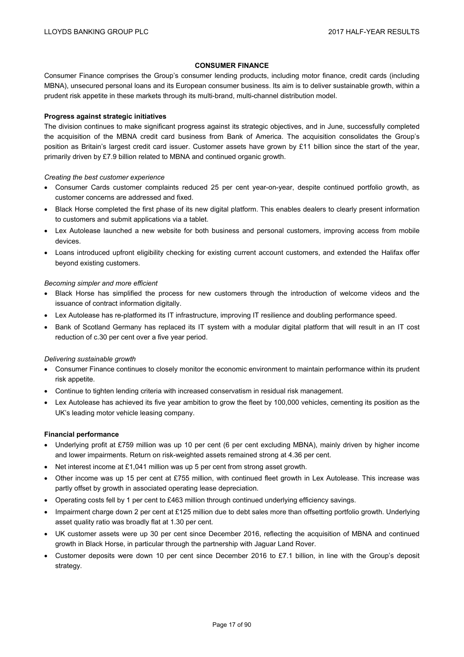#### **CONSUMER FINANCE**

Consumer Finance comprises the Group's consumer lending products, including motor finance, credit cards (including MBNA), unsecured personal loans and its European consumer business. Its aim is to deliver sustainable growth, within a prudent risk appetite in these markets through its multi-brand, multi-channel distribution model.

#### **Progress against strategic initiatives**

The division continues to make significant progress against its strategic objectives, and in June, successfully completed the acquisition of the MBNA credit card business from Bank of America. The acquisition consolidates the Group's position as Britain's largest credit card issuer. Customer assets have grown by £11 billion since the start of the year, primarily driven by £7.9 billion related to MBNA and continued organic growth.

*Creating the best customer experience* 

- Consumer Cards customer complaints reduced 25 per cent year-on-year, despite continued portfolio growth, as customer concerns are addressed and fixed.
- Black Horse completed the first phase of its new digital platform. This enables dealers to clearly present information to customers and submit applications via a tablet.
- Lex Autolease launched a new website for both business and personal customers, improving access from mobile devices.
- Loans introduced upfront eligibility checking for existing current account customers, and extended the Halifax offer beyond existing customers.

#### *Becoming simpler and more efficient*

- Black Horse has simplified the process for new customers through the introduction of welcome videos and the issuance of contract information digitally.
- Lex Autolease has re-platformed its IT infrastructure, improving IT resilience and doubling performance speed.
- Bank of Scotland Germany has replaced its IT system with a modular digital platform that will result in an IT cost reduction of c.30 per cent over a five year period.

#### *Delivering sustainable growth*

- Consumer Finance continues to closely monitor the economic environment to maintain performance within its prudent risk appetite.
- Continue to tighten lending criteria with increased conservatism in residual risk management.
- Lex Autolease has achieved its five year ambition to grow the fleet by 100,000 vehicles, cementing its position as the UK's leading motor vehicle leasing company.

#### **Financial performance**

- Underlying profit at £759 million was up 10 per cent (6 per cent excluding MBNA), mainly driven by higher income and lower impairments. Return on risk-weighted assets remained strong at 4.36 per cent.
- $\bullet$  Net interest income at £1,041 million was up 5 per cent from strong asset growth.
- Other income was up 15 per cent at £755 million, with continued fleet growth in Lex Autolease. This increase was partly offset by growth in associated operating lease depreciation.
- Operating costs fell by 1 per cent to £463 million through continued underlying efficiency savings.
- Impairment charge down 2 per cent at £125 million due to debt sales more than offsetting portfolio growth. Underlying asset quality ratio was broadly flat at 1.30 per cent.
- UK customer assets were up 30 per cent since December 2016, reflecting the acquisition of MBNA and continued growth in Black Horse, in particular through the partnership with Jaguar Land Rover.
- Customer deposits were down 10 per cent since December 2016 to £7.1 billion, in line with the Group's deposit strategy.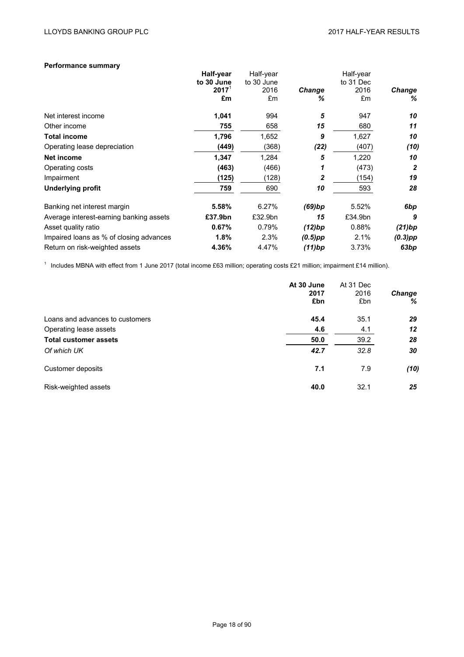## **Performance summary**

| $2017^{\circ}$<br>2016<br>2016<br><b>Change</b><br>£m<br>£m<br>£m<br>℅<br>5<br>Net interest income<br>1,041<br>994<br>947<br>15<br>755<br>658<br>680<br>Other income<br>1,796<br><b>Total income</b><br>1,652<br>1,627<br>9<br>(368)<br>(22)<br>(407)<br>Operating lease depreciation<br>(449)<br>5<br>Net income<br>1,347<br>1,284<br>1,220<br>(463)<br>(466)<br>(473)<br>Operating costs<br>1<br>(125)<br>(128)<br>2<br>(154)<br>Impairment<br>10<br><b>Underlying profit</b><br>759<br>690<br>593<br>5.58%<br>6.27%<br>(69)bp<br>5.52%<br>Banking net interest margin<br>Average interest-earning banking assets<br>£37.9bn<br>£32.9bn<br>15<br>£34.9bn<br>0.67%<br>0.79%<br>(12)bp<br>0.88%<br>Asset quality ratio<br>1.8%<br>2.3%<br>2.1%<br>Impaired loans as % of closing advances<br>$(0.5)$ pp<br>4.47%<br>3.73%<br>Return on risk-weighted assets<br>4.36%<br>(11)bp | Half-year<br>to 30 June | Half-year<br>to 30 June | Half-year<br>to 31 Dec |               |
|--------------------------------------------------------------------------------------------------------------------------------------------------------------------------------------------------------------------------------------------------------------------------------------------------------------------------------------------------------------------------------------------------------------------------------------------------------------------------------------------------------------------------------------------------------------------------------------------------------------------------------------------------------------------------------------------------------------------------------------------------------------------------------------------------------------------------------------------------------------------------------|-------------------------|-------------------------|------------------------|---------------|
|                                                                                                                                                                                                                                                                                                                                                                                                                                                                                                                                                                                                                                                                                                                                                                                                                                                                                |                         |                         |                        | <b>Change</b> |
|                                                                                                                                                                                                                                                                                                                                                                                                                                                                                                                                                                                                                                                                                                                                                                                                                                                                                |                         |                         |                        | %             |
|                                                                                                                                                                                                                                                                                                                                                                                                                                                                                                                                                                                                                                                                                                                                                                                                                                                                                |                         |                         |                        | 10            |
|                                                                                                                                                                                                                                                                                                                                                                                                                                                                                                                                                                                                                                                                                                                                                                                                                                                                                |                         |                         |                        | 11            |
|                                                                                                                                                                                                                                                                                                                                                                                                                                                                                                                                                                                                                                                                                                                                                                                                                                                                                |                         |                         |                        | 10            |
|                                                                                                                                                                                                                                                                                                                                                                                                                                                                                                                                                                                                                                                                                                                                                                                                                                                                                |                         |                         |                        | (10)          |
|                                                                                                                                                                                                                                                                                                                                                                                                                                                                                                                                                                                                                                                                                                                                                                                                                                                                                |                         |                         |                        | 10            |
|                                                                                                                                                                                                                                                                                                                                                                                                                                                                                                                                                                                                                                                                                                                                                                                                                                                                                |                         |                         |                        | 2             |
|                                                                                                                                                                                                                                                                                                                                                                                                                                                                                                                                                                                                                                                                                                                                                                                                                                                                                |                         |                         |                        | 19            |
|                                                                                                                                                                                                                                                                                                                                                                                                                                                                                                                                                                                                                                                                                                                                                                                                                                                                                |                         |                         |                        | 28            |
|                                                                                                                                                                                                                                                                                                                                                                                                                                                                                                                                                                                                                                                                                                                                                                                                                                                                                |                         |                         |                        | 6bp           |
|                                                                                                                                                                                                                                                                                                                                                                                                                                                                                                                                                                                                                                                                                                                                                                                                                                                                                |                         |                         |                        | 9             |
|                                                                                                                                                                                                                                                                                                                                                                                                                                                                                                                                                                                                                                                                                                                                                                                                                                                                                |                         |                         |                        | (21)bp        |
|                                                                                                                                                                                                                                                                                                                                                                                                                                                                                                                                                                                                                                                                                                                                                                                                                                                                                |                         |                         |                        | $(0.3)$ pp    |
|                                                                                                                                                                                                                                                                                                                                                                                                                                                                                                                                                                                                                                                                                                                                                                                                                                                                                |                         |                         |                        | 63bp          |

<sup>1</sup> Includes MBNA with effect from 1 June 2017 (total income £63 million; operating costs £21 million; impairment £14 million).

|                                 | At 30 June<br>2017<br>£bn | At 31 Dec<br>2016<br>£bn | <b>Change</b><br>% |
|---------------------------------|---------------------------|--------------------------|--------------------|
| Loans and advances to customers | 45.4                      | 35.1                     | 29                 |
| Operating lease assets          | 4.6                       | 4.1                      | 12                 |
| <b>Total customer assets</b>    | 50.0                      | 39.2                     | 28                 |
| Of which UK                     | 42.7                      | 32.8                     | 30                 |
| Customer deposits               | 7.1                       | 7.9                      | (10)               |
| Risk-weighted assets            | 40.0                      | 32.1                     | 25                 |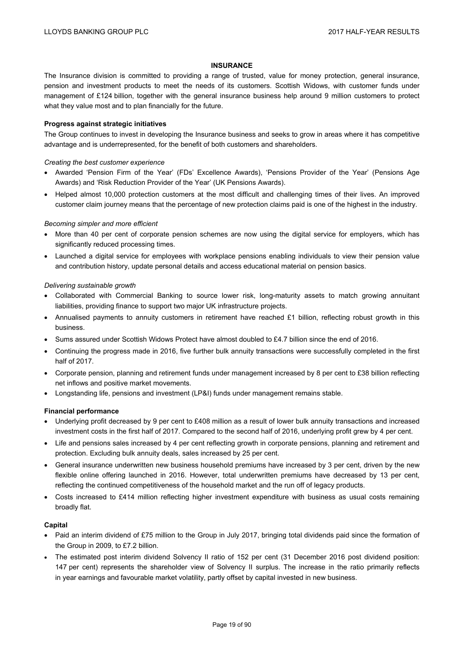#### **INSURANCE**

The Insurance division is committed to providing a range of trusted, value for money protection, general insurance, pension and investment products to meet the needs of its customers. Scottish Widows, with customer funds under management of £124 billion, together with the general insurance business help around 9 million customers to protect what they value most and to plan financially for the future.

#### **Progress against strategic initiatives**

The Group continues to invest in developing the Insurance business and seeks to grow in areas where it has competitive advantage and is underrepresented, for the benefit of both customers and shareholders.

#### *Creating the best customer experience*

- Awarded 'Pension Firm of the Year' (FDs' Excellence Awards), 'Pensions Provider of the Year' (Pensions Age Awards) and 'Risk Reduction Provider of the Year' (UK Pensions Awards).
- Helped almost 10,000 protection customers at the most difficult and challenging times of their lives. An improved customer claim journey means that the percentage of new protection claims paid is one of the highest in the industry.

#### *Becoming simpler and more efficient*

- More than 40 per cent of corporate pension schemes are now using the digital service for employers, which has significantly reduced processing times.
- Launched a digital service for employees with workplace pensions enabling individuals to view their pension value and contribution history, update personal details and access educational material on pension basics.

#### *Delivering sustainable growth*

- Collaborated with Commercial Banking to source lower risk, long-maturity assets to match growing annuitant liabilities, providing finance to support two major UK infrastructure projects.
- Annualised payments to annuity customers in retirement have reached £1 billion, reflecting robust growth in this business.
- Sums assured under Scottish Widows Protect have almost doubled to £4.7 billion since the end of 2016.
- Continuing the progress made in 2016, five further bulk annuity transactions were successfully completed in the first half of 2017.
- Corporate pension, planning and retirement funds under management increased by 8 per cent to £38 billion reflecting net inflows and positive market movements.
- Longstanding life, pensions and investment (LP&I) funds under management remains stable.

#### **Financial performance**

- Underlying profit decreased by 9 per cent to £408 million as a result of lower bulk annuity transactions and increased investment costs in the first half of 2017. Compared to the second half of 2016, underlying profit grew by 4 per cent.
- Life and pensions sales increased by 4 per cent reflecting growth in corporate pensions, planning and retirement and protection. Excluding bulk annuity deals, sales increased by 25 per cent.
- General insurance underwritten new business household premiums have increased by 3 per cent, driven by the new flexible online offering launched in 2016. However, total underwritten premiums have decreased by 13 per cent, reflecting the continued competitiveness of the household market and the run off of legacy products.
- Costs increased to £414 million reflecting higher investment expenditure with business as usual costs remaining broadly flat.

#### **Capital**

- Paid an interim dividend of £75 million to the Group in July 2017, bringing total dividends paid since the formation of the Group in 2009, to £7.2 billion.
- The estimated post interim dividend Solvency II ratio of 152 per cent (31 December 2016 post dividend position: 147 per cent) represents the shareholder view of Solvency II surplus. The increase in the ratio primarily reflects in year earnings and favourable market volatility, partly offset by capital invested in new business.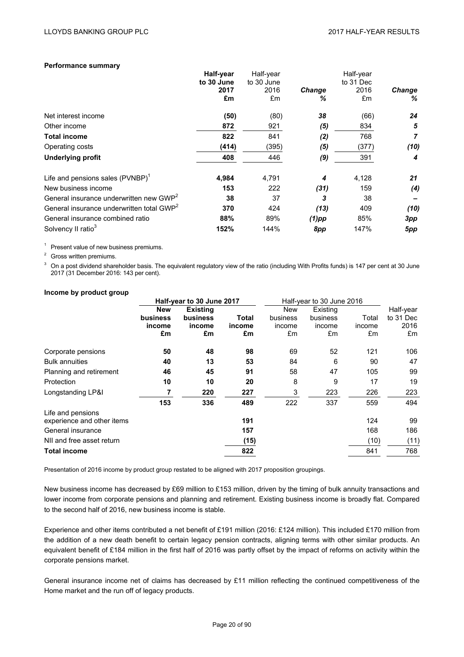#### **Performance summary**

| Half-year  |            |               | Half-year |               |
|------------|------------|---------------|-----------|---------------|
| to 30 June | to 30 June |               | to 31 Dec |               |
| 2017       | 2016       | <b>Change</b> | 2016      | <b>Change</b> |
| £m         | £m         | ℅             | £m        | ℅             |
| (50)       | (80)       | 38            | (66)      | 24            |
| 872        | 921        | (5)           | 834       | 5             |
| 822        | 841        | (2)           | 768       | 7             |
| (414)      | (395)      | (5)           | (377)     | (10)          |
| 408        | 446        | (9)           | 391       | 4             |
| 4,984      | 4,791      | 4             | 4,128     | 21            |
| 153        | 222        | (31)          | 159       | (4)           |
| 38         | 37         | 3             | 38        |               |
| 370        | 424        | (13)          | 409       | (10)          |
| 88%        | 89%        | $(1)$ pp      | 85%       | 3pp           |
| 152%       | 144%       | 8pp           | 147%      | 5pp           |
|            |            |               | Half-year |               |

<sup>1</sup> Present value of new business premiums.

<sup>2</sup> Gross written premiums.

<sup>3</sup> On a post dividend shareholder basis. The equivalent regulatory view of the ratio (including With Profits funds) is 147 per cent at 30 June 2017 (31 December 2016: 143 per cent).

#### **Income by product group**

|                                                 | Half-year to 30 June 2017 |                 | Half-year to 30 June 2016 |            |          |        |           |
|-------------------------------------------------|---------------------------|-----------------|---------------------------|------------|----------|--------|-----------|
|                                                 | <b>New</b>                | <b>Existing</b> |                           | <b>New</b> | Existing |        | Half-year |
|                                                 | <b>business</b>           | business        | Total                     | business   | business | Total  | to 31 Dec |
|                                                 | income                    | income          | income                    | income     | income   | income | 2016      |
|                                                 | £m                        | £m              | £m                        | £m         | £m       | £m     | £m        |
| Corporate pensions                              | 50                        | 48              | 98                        | 69         | 52       | 121    | 106       |
| <b>Bulk annuities</b>                           | 40                        | 13              | 53                        | 84         | 6        | 90     | 47        |
| Planning and retirement                         | 46                        | 45              | 91                        | 58         | 47       | 105    | 99        |
| Protection                                      | 10                        | 10              | 20                        | 8          | 9        | 17     | 19        |
| Longstanding LP&I                               |                           | 220             | 227                       | 3          | 223      | 226    | 223       |
|                                                 | 153                       | 336             | 489                       | 222        | 337      | 559    | 494       |
| Life and pensions<br>experience and other items |                           |                 | 191                       |            |          | 124    | 99        |
| General insurance                               |                           |                 | 157                       |            |          | 168    | 186       |
| NII and free asset return                       |                           |                 | (15)                      |            |          | (10)   | (11)      |
| <b>Total income</b>                             |                           |                 | 822                       |            |          | 841    | 768       |

Presentation of 2016 income by product group restated to be aligned with 2017 proposition groupings.

New business income has decreased by £69 million to £153 million, driven by the timing of bulk annuity transactions and lower income from corporate pensions and planning and retirement. Existing business income is broadly flat. Compared to the second half of 2016, new business income is stable.

Experience and other items contributed a net benefit of £191 million (2016: £124 million). This included £170 million from the addition of a new death benefit to certain legacy pension contracts, aligning terms with other similar products. An equivalent benefit of £184 million in the first half of 2016 was partly offset by the impact of reforms on activity within the corporate pensions market.

General insurance income net of claims has decreased by £11 million reflecting the continued competitiveness of the Home market and the run off of legacy products.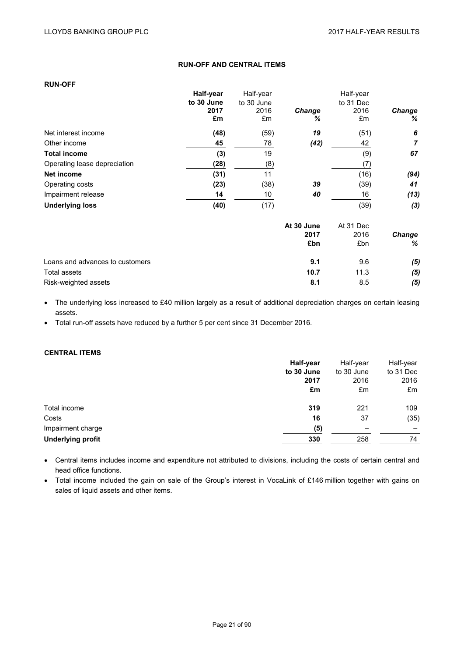# **RUN-OFF AND CENTRAL ITEMS**

| <b>RUN-OFF</b>                  |            |            |             |            |                    |
|---------------------------------|------------|------------|-------------|------------|--------------------|
|                                 | Half-year  | Half-year  |             | Half-year  |                    |
|                                 | to 30 June | to 30 June |             | to 31 Dec  |                    |
|                                 | 2017<br>£m | 2016<br>£m | Change<br>℅ | 2016<br>£m | <b>Change</b><br>% |
| Net interest income             | (48)       | (59)       | 19          | (51)       | 6                  |
|                                 |            |            |             |            | 7                  |
| Other income                    | 45         | 78         | (42)        | 42         |                    |
| <b>Total income</b>             | (3)        | 19         |             | (9)        | 67                 |
| Operating lease depreciation    | (28)       | (8)        |             | (7)        |                    |
| Net income                      | (31)       | 11         |             | (16)       | (94)               |
| Operating costs                 | (23)       | (38)       | 39          | (39)       | 41                 |
| Impairment release              | 14         | 10         | 40          | 16         | (13)               |
| <b>Underlying loss</b>          | (40)       | (17)       |             | (39)       | (3)                |
|                                 |            |            | At 30 June  | At 31 Dec  |                    |
|                                 |            |            | 2017        | 2016       | Change             |
|                                 |            |            | £bn         | £bn        | %                  |
| Loans and advances to customers |            |            | 9.1         | 9.6        | (5)                |
| Total assets                    |            |            | 10.7        | 11.3       | (5)                |
| Risk-weighted assets            |            |            | 8.1         | 8.5        | (5)                |

 The underlying loss increased to £40 million largely as a result of additional depreciation charges on certain leasing assets.

Total run-off assets have reduced by a further 5 per cent since 31 December 2016.

## **CENTRAL ITEMS**

|                          | Half-year  | Half-year  | Half-year |
|--------------------------|------------|------------|-----------|
|                          | to 30 June | to 30 June | to 31 Dec |
|                          | 2017       | 2016       | 2016      |
|                          | £m         | £m         | £m        |
| Total income             | 319        | 221        | 109       |
| Costs                    | 16         | 37         | (35)      |
| Impairment charge        | (5)        | -          |           |
| <b>Underlying profit</b> | 330        | 258        | 74        |

 Central items includes income and expenditure not attributed to divisions, including the costs of certain central and head office functions.

 Total income included the gain on sale of the Group's interest in VocaLink of £146 million together with gains on sales of liquid assets and other items.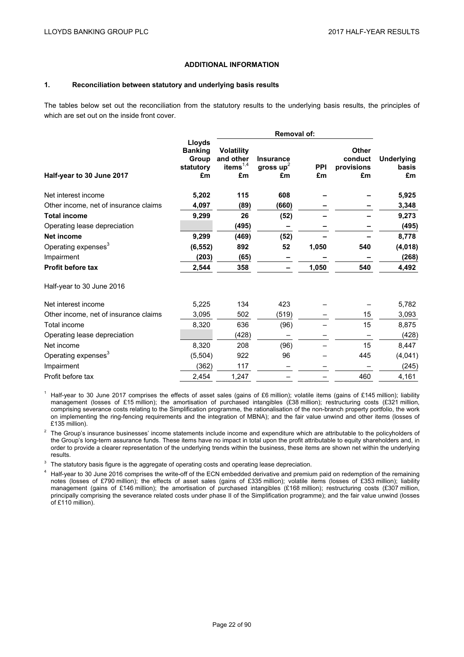# **ADDITIONAL INFORMATION**

#### **1. Reconciliation between statutory and underlying basis results**

The tables below set out the reconciliation from the statutory results to the underlying basis results, the principles of which are set out on the inside front cover.

|                                       |                                                      | Removal of:                                            |                                       |                  |                                             |                                  |
|---------------------------------------|------------------------------------------------------|--------------------------------------------------------|---------------------------------------|------------------|---------------------------------------------|----------------------------------|
| Half-year to 30 June 2017             | Lloyds<br><b>Banking</b><br>Group<br>statutory<br>£m | <b>Volatility</b><br>and other<br>items $^{1,4}$<br>£m | <b>Insurance</b><br>gross $up2$<br>£m | <b>PPI</b><br>£m | <b>Other</b><br>conduct<br>provisions<br>£m | <b>Underlying</b><br>basis<br>£m |
| Net interest income                   | 5,202                                                | 115                                                    | 608                                   |                  |                                             | 5,925                            |
| Other income, net of insurance claims | 4,097                                                | (89)                                                   | (660)                                 |                  |                                             | 3,348                            |
| <b>Total income</b>                   | 9,299                                                | 26                                                     | (52)                                  |                  |                                             | 9,273                            |
| Operating lease depreciation          |                                                      | (495)                                                  |                                       |                  |                                             | (495)                            |
| <b>Net income</b>                     | 9,299                                                | (469)                                                  | (52)                                  |                  |                                             | 8,778                            |
| Operating expenses <sup>3</sup>       | (6, 552)                                             | 892                                                    | 52                                    | 1,050            | 540                                         | (4,018)                          |
| Impairment                            | (203)                                                | (65)                                                   |                                       |                  |                                             | (268)                            |
| <b>Profit before tax</b>              | 2,544                                                | 358                                                    |                                       | 1,050            | 540                                         | 4,492                            |
| Half-year to 30 June 2016             |                                                      |                                                        |                                       |                  |                                             |                                  |
| Net interest income                   | 5,225                                                | 134                                                    | 423                                   |                  |                                             | 5,782                            |
| Other income, net of insurance claims | 3,095                                                | 502                                                    | (519)                                 |                  | 15                                          | 3,093                            |
| Total income                          | 8,320                                                | 636                                                    | (96)                                  |                  | 15                                          | 8,875                            |
| Operating lease depreciation          |                                                      | (428)                                                  |                                       |                  |                                             | (428)                            |
| Net income                            | 8,320                                                | 208                                                    | (96)                                  |                  | 15                                          | 8,447                            |
| Operating expenses <sup>3</sup>       | (5, 504)                                             | 922                                                    | 96                                    |                  | 445                                         | (4,041)                          |
| Impairment                            | (362)                                                | 117                                                    |                                       |                  |                                             | (245)                            |
| Profit before tax                     | 2,454                                                | 1,247                                                  |                                       |                  | 460                                         | 4,161                            |

<sup>1</sup> Half-year to 30 June 2017 comprises the effects of asset sales (gains of £6 million); volatile items (gains of £145 million); liability management (losses of £15 million); the amortisation of purchased intangibles (£38 million); restructuring costs (£321 million, comprising severance costs relating to the Simplification programme, the rationalisation of the non-branch property portfolio, the work on implementing the ring-fencing requirements and the integration of MBNA); and the fair value unwind and other items (losses of £135 million).

<sup>2</sup> The Group's insurance businesses' income statements include income and expenditure which are attributable to the policyholders of the Group's long-term assurance funds. These items have no impact in total upon the profit attributable to equity shareholders and, in order to provide a clearer representation of the underlying trends within the business, these items are shown net within the underlying results.

<sup>3</sup> The statutory basis figure is the aggregate of operating costs and operating lease depreciation.

<sup>4</sup> Half-year to 30 June 2016 comprises the write-off of the ECN embedded derivative and premium paid on redemption of the remaining notes (losses of £790 million); the effects of asset sales (gains of £335 million); volatile items (losses of £353 million); liability management (gains of £146 million); the amortisation of purchased intangibles (£168 million); restructuring costs (£307 million, principally comprising the severance related costs under phase II of the Simplification programme); and the fair value unwind (losses of £110 million).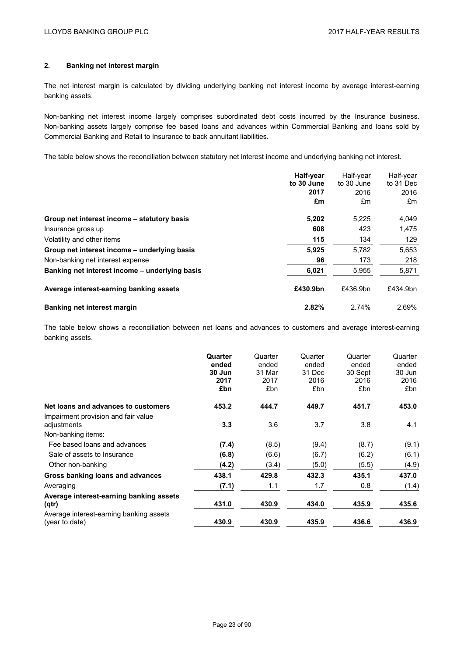# **2. Banking net interest margin**

The net interest margin is calculated by dividing underlying banking net interest income by average interest-earning banking assets.

Non-banking net interest income largely comprises subordinated debt costs incurred by the Insurance business. Non-banking assets largely comprise fee based loans and advances within Commercial Banking and loans sold by Commercial Banking and Retail to Insurance to back annuitant liabilities.

The table below shows the reconciliation between statutory net interest income and underlying banking net interest.

|                                                | Half-year<br>to 30 June<br>2017<br>£m | Half-year<br>to 30 June<br>2016<br>£m | Half-year<br>to 31 Dec<br>2016<br>£m |
|------------------------------------------------|---------------------------------------|---------------------------------------|--------------------------------------|
| Group net interest income - statutory basis    | 5,202                                 | 5.225                                 | 4,049                                |
| Insurance gross up                             | 608                                   | 423                                   | 1,475                                |
| Volatility and other items                     | 115                                   | 134                                   | 129                                  |
| Group net interest income - underlying basis   | 5.925                                 | 5.782                                 | 5,653                                |
| Non-banking net interest expense               | 96                                    | 173                                   | 218                                  |
| Banking net interest income – underlying basis | 6,021                                 | 5,955                                 | 5,871                                |
| Average interest-earning banking assets        | £430.9bn                              | £436.9bn                              | £434.9bn                             |
| Banking net interest margin                    | 2.82%                                 | 2.74%                                 | 2.69%                                |

The table below shows a reconciliation between net loans and advances to customers and average interest-earning banking assets.

|                                                                          | Quarter<br>ended<br>30 Jun<br>2017<br>£bn | Quarter<br>ended<br>31 Mar<br>2017<br>£bn | Quarter<br>ended<br>31 Dec<br>2016<br>£bn | Quarter<br>ended<br>30 Sept<br>2016<br>£bn | Quarter<br>ended<br>30 Jun<br>2016<br>£bn |
|--------------------------------------------------------------------------|-------------------------------------------|-------------------------------------------|-------------------------------------------|--------------------------------------------|-------------------------------------------|
| Net loans and advances to customers                                      | 453.2                                     | 444.7                                     | 449.7                                     | 451.7                                      | 453.0                                     |
| Impairment provision and fair value<br>adjustments<br>Non-banking items: | 3.3                                       | 3.6                                       | 3.7                                       | 3.8                                        | 4.1                                       |
| Fee based loans and advances                                             | (7.4)                                     | (8.5)                                     | (9.4)                                     | (8.7)                                      | (9.1)                                     |
| Sale of assets to Insurance                                              | (6.8)                                     | (6.6)                                     | (6.7)                                     | (6.2)                                      | (6.1)                                     |
| Other non-banking                                                        | (4.2)                                     | (3.4)                                     | (5.0)                                     | (5.5)                                      | (4.9)                                     |
| Gross banking loans and advances                                         | 438.1                                     | 429.8                                     | 432.3                                     | 435.1                                      | 437.0                                     |
| Averaging                                                                | (7.1)                                     | 1.1                                       | 1.7                                       | 0.8                                        | (1.4)                                     |
| Average interest-earning banking assets<br>(qtr)                         | 431.0                                     | 430.9                                     | 434.0                                     | 435.9                                      | 435.6                                     |
| Average interest-earning banking assets<br>(year to date)                | 430.9                                     | 430.9                                     | 435.9                                     | 436.6                                      | 436.9                                     |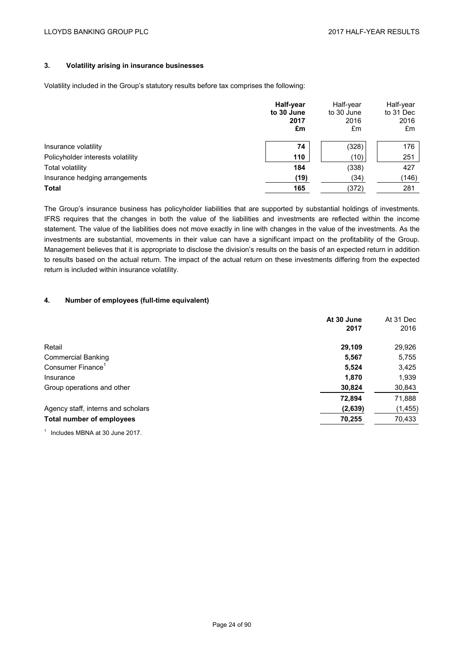# **3. Volatility arising in insurance businesses**

Volatility included in the Group's statutory results before tax comprises the following:

|                                   | Half-year<br>to 30 June<br>2017<br>£m | Half-year<br>to 30 June<br>2016<br>£m | Half-year<br>to 31 Dec<br>2016<br>£m |
|-----------------------------------|---------------------------------------|---------------------------------------|--------------------------------------|
| Insurance volatility              | 74                                    | (328)                                 | 176                                  |
| Policyholder interests volatility | 110                                   | (10)                                  | 251                                  |
| <b>Total volatility</b>           | 184                                   | (338)                                 | 427                                  |
| Insurance hedging arrangements    | (19)                                  | (34)                                  | (146)                                |
| <b>Total</b>                      | 165                                   | (372)                                 | 281                                  |

The Group's insurance business has policyholder liabilities that are supported by substantial holdings of investments. IFRS requires that the changes in both the value of the liabilities and investments are reflected within the income statement. The value of the liabilities does not move exactly in line with changes in the value of the investments. As the investments are substantial, movements in their value can have a significant impact on the profitability of the Group. Management believes that it is appropriate to disclose the division's results on the basis of an expected return in addition to results based on the actual return. The impact of the actual return on these investments differing from the expected return is included within insurance volatility.

#### **4. Number of employees (full-time equivalent)**

|                                    | At 30 June<br>2017 | At 31 Dec<br>2016 |
|------------------------------------|--------------------|-------------------|
| Retail                             | 29,109             | 29,926            |
| <b>Commercial Banking</b>          | 5,567              | 5,755             |
| Consumer Finance <sup>1</sup>      | 5,524              | 3,425             |
| Insurance                          | 1,870              | 1,939             |
| Group operations and other         | 30,824             | 30,843            |
|                                    | 72,894             | 71,888            |
| Agency staff, interns and scholars | (2,639)            | (1, 455)          |
| Total number of employees          | 70,255             | 70,433            |

<sup>1</sup> Includes MBNA at 30 June 2017.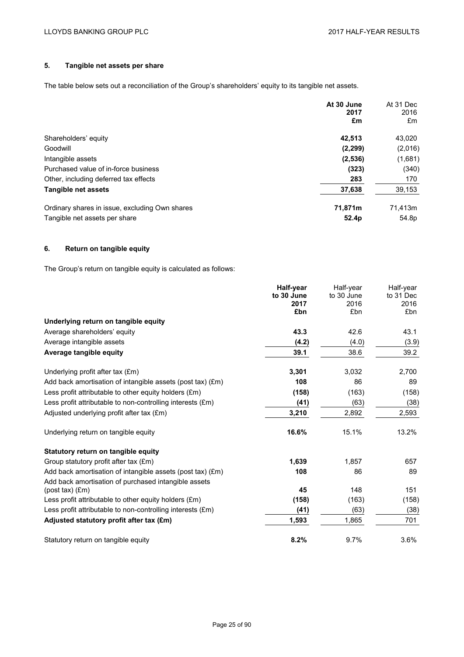# **5. Tangible net assets per share**

The table below sets out a reconciliation of the Group's shareholders' equity to its tangible net assets.

|                                                | At 30 June<br>2017<br>£m | At 31 Dec<br>2016<br>£m |
|------------------------------------------------|--------------------------|-------------------------|
| Shareholders' equity                           | 42.513                   | 43.020                  |
| Goodwill                                       | (2, 299)                 | (2,016)                 |
| Intangible assets                              | (2,536)                  | (1,681)                 |
| Purchased value of in-force business           | (323)                    | (340)                   |
| Other, including deferred tax effects          | 283                      | 170                     |
| Tangible net assets                            | 37,638                   | 39,153                  |
| Ordinary shares in issue, excluding Own shares | 71,871m                  | 71.413m                 |
| Tangible net assets per share                  | 52.4 <sub>p</sub>        | 54.8p                   |

## **6. Return on tangible equity**

The Group's return on tangible equity is calculated as follows:

|                                                                | Half-year  | Half-year  | Half-year |
|----------------------------------------------------------------|------------|------------|-----------|
|                                                                | to 30 June | to 30 June | to 31 Dec |
|                                                                | 2017       | 2016       | 2016      |
|                                                                | £bn        | £bn        | £bn       |
| Underlying return on tangible equity                           |            |            |           |
| Average shareholders' equity                                   | 43.3       | 42.6       | 43.1      |
| Average intangible assets                                      | (4.2)      | (4.0)      | (3.9)     |
| Average tangible equity                                        | 39.1       | 38.6       | 39.2      |
| Underlying profit after tax (£m)                               | 3,301      | 3,032      | 2,700     |
| Add back amortisation of intangible assets (post tax) (£m)     | 108        | 86         | 89        |
| Less profit attributable to other equity holders $(\text{Em})$ | (158)      | (163)      | (158)     |
| Less profit attributable to non-controlling interests (£m)     | (41)       | (63)       | (38)      |
| Adjusted underlying profit after tax (£m)                      | 3,210      | 2,892      | 2,593     |
| Underlying return on tangible equity                           | 16.6%      | 15.1%      | 13.2%     |
| Statutory return on tangible equity                            |            |            |           |
| Group statutory profit after tax (£m)                          | 1,639      | 1,857      | 657       |
| Add back amortisation of intangible assets (post tax) (£m)     | 108        | 86         | 89        |
| Add back amortisation of purchased intangible assets           |            |            |           |
| $(post tax)$ $(Em)$                                            | 45         | 148        | 151       |
| Less profit attributable to other equity holders $(\text{Em})$ | (158)      | (163)      | (158)     |
| Less profit attributable to non-controlling interests (£m)     | (41)       | (63)       | (38)      |
| Adjusted statutory profit after tax (£m)                       | 1,593      | 1,865      | 701       |
| Statutory return on tangible equity                            | 8.2%       | 9.7%       | 3.6%      |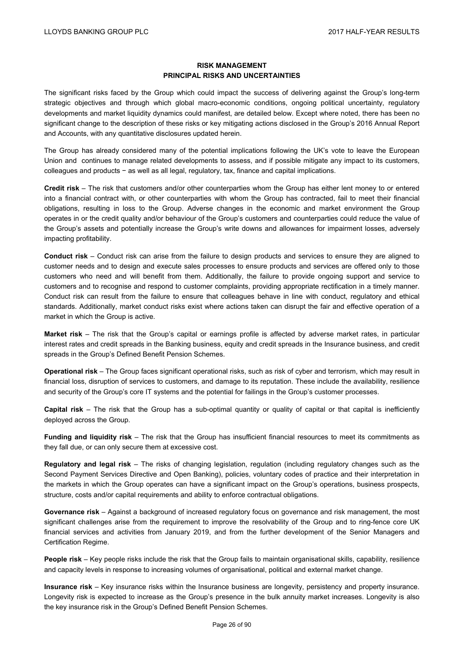## **RISK MANAGEMENT PRINCIPAL RISKS AND UNCERTAINTIES**

The significant risks faced by the Group which could impact the success of delivering against the Group's long-term strategic objectives and through which global macro-economic conditions, ongoing political uncertainty, regulatory developments and market liquidity dynamics could manifest, are detailed below. Except where noted, there has been no significant change to the description of these risks or key mitigating actions disclosed in the Group's 2016 Annual Report and Accounts, with any quantitative disclosures updated herein.

The Group has already considered many of the potential implications following the UK's vote to leave the European Union and continues to manage related developments to assess, and if possible mitigate any impact to its customers, colleagues and products − as well as all legal, regulatory, tax, finance and capital implications.

**Credit risk** – The risk that customers and/or other counterparties whom the Group has either lent money to or entered into a financial contract with, or other counterparties with whom the Group has contracted, fail to meet their financial obligations, resulting in loss to the Group. Adverse changes in the economic and market environment the Group operates in or the credit quality and/or behaviour of the Group's customers and counterparties could reduce the value of the Group's assets and potentially increase the Group's write downs and allowances for impairment losses, adversely impacting profitability.

**Conduct risk** – Conduct risk can arise from the failure to design products and services to ensure they are aligned to customer needs and to design and execute sales processes to ensure products and services are offered only to those customers who need and will benefit from them. Additionally, the failure to provide ongoing support and service to customers and to recognise and respond to customer complaints, providing appropriate rectification in a timely manner. Conduct risk can result from the failure to ensure that colleagues behave in line with conduct, regulatory and ethical standards. Additionally, market conduct risks exist where actions taken can disrupt the fair and effective operation of a market in which the Group is active.

**Market risk** – The risk that the Group's capital or earnings profile is affected by adverse market rates, in particular interest rates and credit spreads in the Banking business, equity and credit spreads in the Insurance business, and credit spreads in the Group's Defined Benefit Pension Schemes.

**Operational risk** – The Group faces significant operational risks, such as risk of cyber and terrorism, which may result in financial loss, disruption of services to customers, and damage to its reputation. These include the availability, resilience and security of the Group's core IT systems and the potential for failings in the Group's customer processes.

**Capital risk** – The risk that the Group has a sub-optimal quantity or quality of capital or that capital is inefficiently deployed across the Group.

**Funding and liquidity risk** – The risk that the Group has insufficient financial resources to meet its commitments as they fall due, or can only secure them at excessive cost.

**Regulatory and legal risk** – The risks of changing legislation, regulation (including regulatory changes such as the Second Payment Services Directive and Open Banking), policies, voluntary codes of practice and their interpretation in the markets in which the Group operates can have a significant impact on the Group's operations, business prospects, structure, costs and/or capital requirements and ability to enforce contractual obligations.

**Governance risk** – Against a background of increased regulatory focus on governance and risk management, the most significant challenges arise from the requirement to improve the resolvability of the Group and to ring-fence core UK financial services and activities from January 2019, and from the further development of the Senior Managers and Certification Regime.

**People risk** – Key people risks include the risk that the Group fails to maintain organisational skills, capability, resilience and capacity levels in response to increasing volumes of organisational, political and external market change.

**Insurance risk** – Key insurance risks within the Insurance business are longevity, persistency and property insurance. Longevity risk is expected to increase as the Group's presence in the bulk annuity market increases. Longevity is also the key insurance risk in the Group's Defined Benefit Pension Schemes.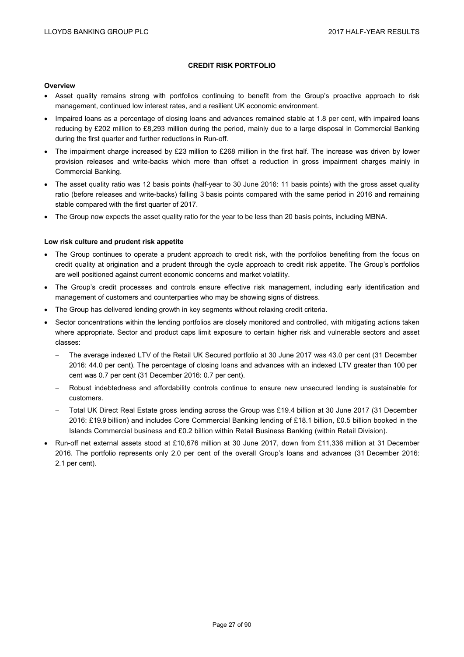## **CREDIT RISK PORTFOLIO**

#### **Overview**

- Asset quality remains strong with portfolios continuing to benefit from the Group's proactive approach to risk management, continued low interest rates, and a resilient UK economic environment.
- Impaired loans as a percentage of closing loans and advances remained stable at 1.8 per cent, with impaired loans reducing by £202 million to £8,293 million during the period, mainly due to a large disposal in Commercial Banking during the first quarter and further reductions in Run-off.
- The impairment charge increased by £23 million to £268 million in the first half. The increase was driven by lower provision releases and write-backs which more than offset a reduction in gross impairment charges mainly in Commercial Banking.
- The asset quality ratio was 12 basis points (half-year to 30 June 2016: 11 basis points) with the gross asset quality ratio (before releases and write-backs) falling 3 basis points compared with the same period in 2016 and remaining stable compared with the first quarter of 2017.
- The Group now expects the asset quality ratio for the year to be less than 20 basis points, including MBNA.

#### **Low risk culture and prudent risk appetite**

- The Group continues to operate a prudent approach to credit risk, with the portfolios benefiting from the focus on credit quality at origination and a prudent through the cycle approach to credit risk appetite. The Group's portfolios are well positioned against current economic concerns and market volatility.
- The Group's credit processes and controls ensure effective risk management, including early identification and management of customers and counterparties who may be showing signs of distress.
- The Group has delivered lending growth in key segments without relaxing credit criteria.
- Sector concentrations within the lending portfolios are closely monitored and controlled, with mitigating actions taken where appropriate. Sector and product caps limit exposure to certain higher risk and vulnerable sectors and asset classes:
	- The average indexed LTV of the Retail UK Secured portfolio at 30 June 2017 was 43.0 per cent (31 December 2016: 44.0 per cent). The percentage of closing loans and advances with an indexed LTV greater than 100 per cent was 0.7 per cent (31 December 2016: 0.7 per cent).
	- Robust indebtedness and affordability controls continue to ensure new unsecured lending is sustainable for customers.
	- Total UK Direct Real Estate gross lending across the Group was £19.4 billion at 30 June 2017 (31 December 2016: £19.9 billion) and includes Core Commercial Banking lending of £18.1 billion, £0.5 billion booked in the Islands Commercial business and £0.2 billion within Retail Business Banking (within Retail Division).
- Run-off net external assets stood at £10,676 million at 30 June 2017, down from £11,336 million at 31 December 2016. The portfolio represents only 2.0 per cent of the overall Group's loans and advances (31 December 2016: 2.1 per cent).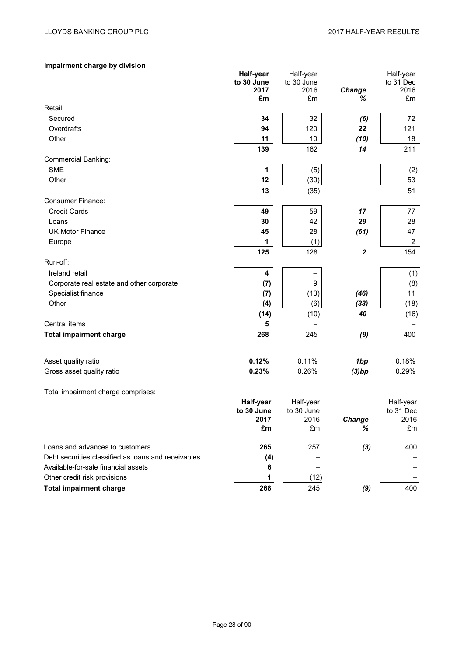# **Impairment charge by division**

|                                                     | <b>Half-year</b>   | Half-year  |                  | Half-year         |
|-----------------------------------------------------|--------------------|------------|------------------|-------------------|
|                                                     | to 30 June<br>2017 | to 30 June |                  | to 31 Dec<br>2016 |
|                                                     | £m                 | 2016<br>£m | Change<br>%      | £m                |
| Retail:                                             |                    |            |                  |                   |
| Secured                                             | 34                 | 32         | (6)              | 72                |
| Overdrafts                                          | 94                 | 120        | 22               | 121               |
| Other                                               | 11                 | 10         | (10)             | 18                |
|                                                     | 139                | 162        | 14               | 211               |
| <b>Commercial Banking:</b>                          |                    |            |                  |                   |
| <b>SME</b>                                          | 1                  | (5)        |                  | (2)               |
| Other                                               | 12                 | (30)       |                  | 53                |
|                                                     | 13                 | (35)       |                  | 51                |
| <b>Consumer Finance:</b>                            |                    |            |                  |                   |
| <b>Credit Cards</b>                                 | 49                 | 59         | 17               | 77                |
| Loans                                               | 30                 | 42         | 29               | 28                |
| <b>UK Motor Finance</b>                             | 45                 | 28         | (61)             | 47                |
|                                                     | 1                  |            |                  | $\overline{2}$    |
| Europe                                              | 125                | (1)        | $\boldsymbol{2}$ | 154               |
|                                                     |                    | 128        |                  |                   |
| Run-off:                                            |                    |            |                  |                   |
| Ireland retail                                      | 4                  |            |                  | (1)               |
| Corporate real estate and other corporate           | (7)                | 9          |                  | (8)               |
| Specialist finance                                  | (7)                | (13)       | (46)             | 11                |
| Other                                               | (4)                | (6)        | (33)             | (18)              |
|                                                     | (14)               | (10)       | 40               | (16)              |
| Central items                                       | 5                  |            |                  |                   |
| <b>Total impairment charge</b>                      | 268                | 245        | (9)              | 400               |
| Asset quality ratio                                 | 0.12%              | 0.11%      | 1bp              | 0.18%             |
| Gross asset quality ratio                           | 0.23%              | 0.26%      | (3)bp            | 0.29%             |
|                                                     |                    |            |                  |                   |
| Total impairment charge comprises:                  |                    |            |                  |                   |
|                                                     | Half-year          | Half-year  |                  | Half-year         |
|                                                     | to 30 June         | to 30 June |                  | to 31 Dec         |
|                                                     | 2017               | 2016       | <b>Change</b>    | 2016              |
|                                                     | £m                 | £m         | %                | £m                |
| Loans and advances to customers                     | 265                | 257        | (3)              | 400               |
| Debt securities classified as loans and receivables | (4)                |            |                  |                   |
| Available-for-sale financial assets                 | 6                  |            |                  |                   |
| Other credit risk provisions                        | 1                  | (12)       |                  |                   |
| <b>Total impairment charge</b>                      | 268                | 245        | (9)              | 400               |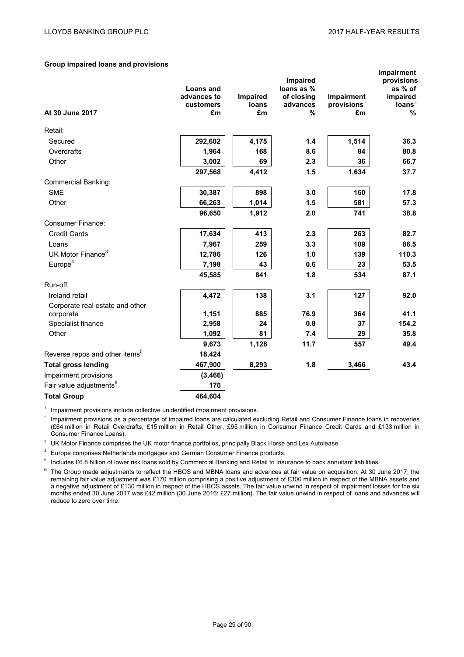#### **Group impaired loans and provisions**

| At 30 June 2017                            | <b>Loans and</b><br>advances to<br>customers<br>£m | Impaired<br>loans<br>£m | Impaired<br>loans as %<br>of closing<br>advances<br>% | Impairment<br>provisions <sup>1</sup><br>£m | <b>Impairment</b><br>provisions<br>as % of<br>impaired<br>loans <sup>2</sup><br>% |
|--------------------------------------------|----------------------------------------------------|-------------------------|-------------------------------------------------------|---------------------------------------------|-----------------------------------------------------------------------------------|
| Retail:                                    |                                                    |                         |                                                       |                                             |                                                                                   |
| Secured                                    | 292,602                                            | 4,175                   | 1.4                                                   | 1,514                                       | 36.3                                                                              |
| Overdrafts                                 | 1,964                                              | 168                     | 8.6                                                   | 84                                          | 80.8                                                                              |
| Other                                      | 3,002                                              | 69                      | 2.3                                                   | 36                                          | 66.7                                                                              |
|                                            | 297,568                                            | 4,412                   | 1.5                                                   | 1,634                                       | 37.7                                                                              |
| <b>Commercial Banking:</b>                 |                                                    |                         |                                                       |                                             |                                                                                   |
| <b>SME</b>                                 | 30,387                                             | 898                     | 3.0                                                   | 160                                         | 17.8                                                                              |
| Other                                      | 66,263                                             | 1,014                   | 1.5                                                   | 581                                         | 57.3                                                                              |
|                                            | 96,650                                             | 1,912                   | 2.0                                                   | 741                                         | 38.8                                                                              |
| <b>Consumer Finance:</b>                   |                                                    |                         |                                                       |                                             |                                                                                   |
| <b>Credit Cards</b>                        | 17,634                                             | 413                     | 2.3                                                   | 263                                         | 82.7                                                                              |
| Loans                                      | 7,967                                              | 259                     | 3.3                                                   | 109                                         | 86.5                                                                              |
| UK Motor Finance <sup>3</sup>              | 12,786                                             | 126                     | 1.0                                                   | 139                                         | 110.3                                                                             |
| Europe <sup>4</sup>                        | 7,198                                              | 43                      | 0.6                                                   | 23                                          | 53.5                                                                              |
|                                            | 45,585                                             | 841                     | 1.8                                                   | 534                                         | 87.1                                                                              |
| Run-off:                                   |                                                    |                         |                                                       |                                             |                                                                                   |
| Ireland retail                             | 4,472                                              | 138                     | 3.1                                                   | 127                                         | 92.0                                                                              |
| Corporate real estate and other            |                                                    |                         |                                                       |                                             |                                                                                   |
| corporate                                  | 1,151                                              | 885                     | 76.9                                                  | 364                                         | 41.1                                                                              |
| Specialist finance                         | 2,958                                              | 24                      | 0.8                                                   | 37                                          | 154.2                                                                             |
| Other                                      | 1,092                                              | 81                      | 7.4                                                   | 29                                          | 35.8                                                                              |
|                                            | 9,673                                              | 1,128                   | 11.7                                                  | 557                                         | 49.4                                                                              |
| Reverse repos and other items <sup>5</sup> | 18,424                                             |                         |                                                       |                                             |                                                                                   |
| <b>Total gross lending</b>                 | 467,900                                            | 8,293                   | 1.8                                                   | 3,466                                       | 43.4                                                                              |
| Impairment provisions                      | (3, 466)                                           |                         |                                                       |                                             |                                                                                   |
| Fair value adjustments <sup>6</sup>        | 170                                                |                         |                                                       |                                             |                                                                                   |
| <b>Total Group</b>                         | 464,604                                            |                         |                                                       |                                             |                                                                                   |

<sup>1</sup> Impairment provisions include collective unidentified impairment provisions.

<sup>2</sup> Impairment provisions as a percentage of impaired loans are calculated excluding Retail and Consumer Finance loans in recoveries (£64 million in Retail Overdrafts, £15 million in Retail Other, £95 million in Consumer Finance Credit Cards and £133 million in Consumer Finance Loans).

<sup>3</sup> UK Motor Finance comprises the UK motor finance portfolios, principally Black Horse and Lex Autolease.

<sup>4</sup> Europe comprises Netherlands mortgages and German Consumer Finance products.

<sup>5</sup> Includes £6.8 billion of lower risk loans sold by Commercial Banking and Retail to Insurance to back annuitant liabilities.

<sup>6</sup> The Group made adjustments to reflect the HBOS and MBNA loans and advances at fair value on acquisition. At 30 June 2017, the remaining fair value adjustment was £170 million comprising a positive adjustment of £300 million in respect of the MBNA assets and a negative adjustment of £130 million in respect of the HBOS assets. The fair value unwind in respect of impairment losses for the six months ended 30 June 2017 was £42 million (30 June 2016: £27 million). The fair value unwind in respect of loans and advances will reduce to zero over time.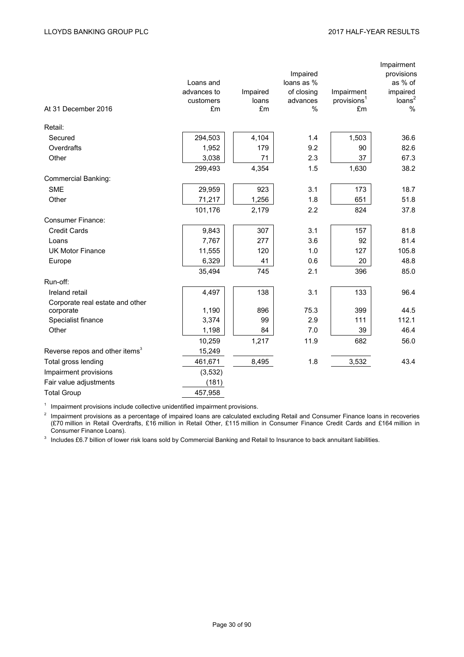| At 31 December 2016                        | Loans and<br>advances to<br>customers<br>£m | Impaired<br>loans<br>£m | Impaired<br>loans as %<br>of closing<br>advances<br>% | Impairment<br>provisions <sup>1</sup><br>£m | Impairment<br>provisions<br>as % of<br>impaired<br>loans <sup>2</sup><br>$\%$ |
|--------------------------------------------|---------------------------------------------|-------------------------|-------------------------------------------------------|---------------------------------------------|-------------------------------------------------------------------------------|
| Retail:                                    |                                             |                         |                                                       |                                             |                                                                               |
| Secured                                    | 294,503                                     | 4,104                   | 1.4                                                   | 1,503                                       | 36.6                                                                          |
| Overdrafts                                 | 1,952                                       | 179                     | 9.2                                                   | 90                                          | 82.6                                                                          |
| Other                                      | 3,038                                       | 71                      | 2.3                                                   | 37                                          | 67.3                                                                          |
|                                            | 299,493                                     | 4,354                   | 1.5                                                   | 1,630                                       | 38.2                                                                          |
| <b>Commercial Banking:</b>                 |                                             |                         |                                                       |                                             |                                                                               |
| <b>SME</b>                                 | 29,959                                      | 923                     | 3.1                                                   | 173                                         | 18.7                                                                          |
| Other                                      | 71,217                                      | 1,256                   | 1.8                                                   | 651                                         | 51.8                                                                          |
|                                            | 101,176                                     | 2,179                   | 2.2                                                   | 824                                         | 37.8                                                                          |
| <b>Consumer Finance:</b>                   |                                             |                         |                                                       |                                             |                                                                               |
| <b>Credit Cards</b>                        | 9,843                                       | 307                     | 3.1                                                   | 157                                         | 81.8                                                                          |
| Loans                                      | 7,767                                       | 277                     | 3.6                                                   | 92                                          | 81.4                                                                          |
| <b>UK Motor Finance</b>                    | 11,555                                      | 120                     | 1.0                                                   | 127                                         | 105.8                                                                         |
| Europe                                     | 6,329                                       | 41                      | 0.6                                                   | 20                                          | 48.8                                                                          |
|                                            | 35,494                                      | 745                     | 2.1                                                   | 396                                         | 85.0                                                                          |
| Run-off:                                   |                                             |                         |                                                       |                                             |                                                                               |
| Ireland retail                             | 4,497                                       | 138                     | 3.1                                                   | 133                                         | 96.4                                                                          |
| Corporate real estate and other            |                                             |                         |                                                       |                                             |                                                                               |
| corporate                                  | 1,190                                       | 896                     | 75.3                                                  | 399                                         | 44.5                                                                          |
| Specialist finance                         | 3,374                                       | 99                      | 2.9                                                   | 111                                         | 112.1                                                                         |
| Other                                      | 1,198                                       | 84                      | 7.0                                                   | 39                                          | 46.4                                                                          |
|                                            | 10,259                                      | 1,217                   | 11.9                                                  | 682                                         | 56.0                                                                          |
| Reverse repos and other items <sup>3</sup> | 15,249                                      |                         |                                                       |                                             |                                                                               |
| Total gross lending                        | 461,671                                     | 8,495                   | 1.8                                                   | 3,532                                       | 43.4                                                                          |
| Impairment provisions                      | (3,532)                                     |                         |                                                       |                                             |                                                                               |
| Fair value adjustments                     | (181)                                       |                         |                                                       |                                             |                                                                               |
| <b>Total Group</b>                         | 457,958                                     |                         |                                                       |                                             |                                                                               |

<sup>1</sup> Impairment provisions include collective unidentified impairment provisions.

 $2$  Impairment provisions as a percentage of impaired loans are calculated excluding Retail and Consumer Finance loans in recoveries (£70 million in Retail Overdrafts, £16 million in Retail Other, £115 million in Consumer Finance Credit Cards and £164 million in Consumer Finance Loans).

<sup>3</sup> Includes £6.7 billion of lower risk loans sold by Commercial Banking and Retail to Insurance to back annuitant liabilities.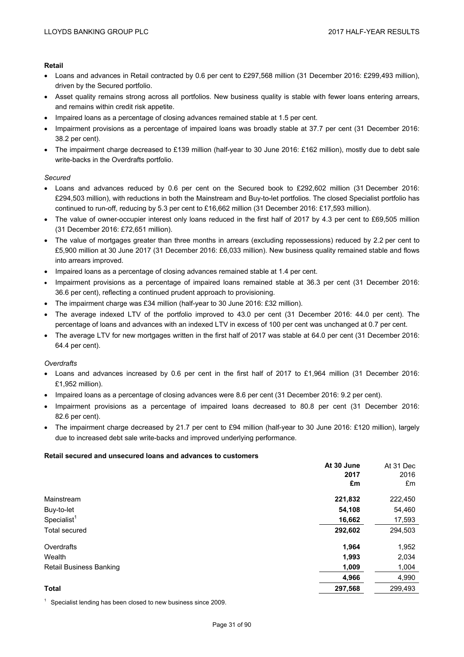#### **Retail**

- Loans and advances in Retail contracted by 0.6 per cent to £297,568 million (31 December 2016: £299,493 million), driven by the Secured portfolio.
- Asset quality remains strong across all portfolios. New business quality is stable with fewer loans entering arrears, and remains within credit risk appetite.
- Impaired loans as a percentage of closing advances remained stable at 1.5 per cent.
- Impairment provisions as a percentage of impaired loans was broadly stable at 37.7 per cent (31 December 2016: 38.2 per cent).
- The impairment charge decreased to £139 million (half-year to 30 June 2016: £162 million), mostly due to debt sale write-backs in the Overdrafts portfolio.

#### *Secured*

- Loans and advances reduced by 0.6 per cent on the Secured book to £292,602 million (31 December 2016: £294,503 million), with reductions in both the Mainstream and Buy-to-let portfolios. The closed Specialist portfolio has continued to run-off, reducing by 5.3 per cent to £16,662 million (31 December 2016: £17,593 million).
- The value of owner-occupier interest only loans reduced in the first half of 2017 by 4.3 per cent to £69,505 million (31 December 2016: £72,651 million).
- The value of mortgages greater than three months in arrears (excluding repossessions) reduced by 2.2 per cent to £5,900 million at 30 June 2017 (31 December 2016: £6,033 million). New business quality remained stable and flows into arrears improved.
- Impaired loans as a percentage of closing advances remained stable at 1.4 per cent.
- Impairment provisions as a percentage of impaired loans remained stable at 36.3 per cent (31 December 2016: 36.6 per cent), reflecting a continued prudent approach to provisioning.
- The impairment charge was £34 million (half-year to 30 June 2016: £32 million).
- The average indexed LTV of the portfolio improved to 43.0 per cent (31 December 2016: 44.0 per cent). The percentage of loans and advances with an indexed LTV in excess of 100 per cent was unchanged at 0.7 per cent.
- The average LTV for new mortgages written in the first half of 2017 was stable at 64.0 per cent (31 December 2016: 64.4 per cent).

#### *Overdrafts*

- Loans and advances increased by 0.6 per cent in the first half of 2017 to £1,964 million (31 December 2016: £1,952 million).
- Impaired loans as a percentage of closing advances were 8.6 per cent (31 December 2016: 9.2 per cent).
- Impairment provisions as a percentage of impaired loans decreased to 80.8 per cent (31 December 2016: 82.6 per cent).
- The impairment charge decreased by 21.7 per cent to £94 million (half-year to 30 June 2016: £120 million), largely due to increased debt sale write-backs and improved underlying performance.

#### **Retail secured and unsecured loans and advances to customers**

|                                | At 30 June | At 31 Dec |
|--------------------------------|------------|-----------|
|                                | 2017       | 2016      |
|                                | £m         | £m        |
| Mainstream                     | 221,832    | 222,450   |
| Buy-to-let                     | 54,108     | 54,460    |
| Specialist <sup>1</sup>        | 16,662     | 17,593    |
| Total secured                  | 292,602    | 294,503   |
| Overdrafts                     | 1,964      | 1,952     |
| Wealth                         | 1,993      | 2,034     |
| <b>Retail Business Banking</b> | 1,009      | 1,004     |
|                                | 4,966      | 4,990     |
| <b>Total</b>                   | 297,568    | 299,493   |

 $1$  Specialist lending has been closed to new business since 2009.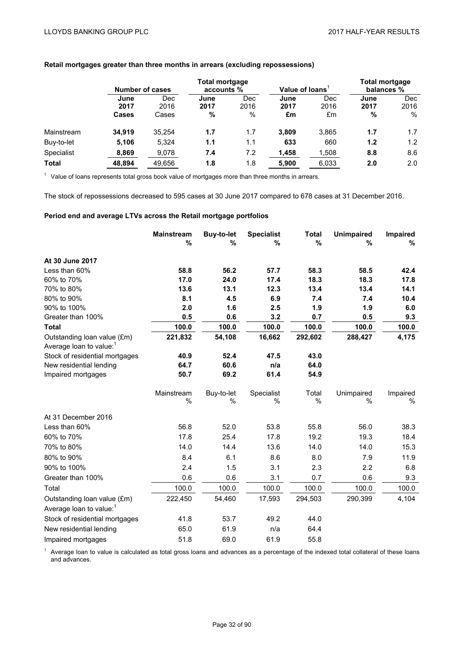|              |                              | Number of cases      |                   | <b>Total mortgage</b><br>accounts % |                    | Value of Ioans           |                   | <b>Total mortgage</b><br>balances % |  |
|--------------|------------------------------|----------------------|-------------------|-------------------------------------|--------------------|--------------------------|-------------------|-------------------------------------|--|
|              | June<br>2017<br><b>Cases</b> | Dec<br>2016<br>Cases | June<br>2017<br>% | Dec<br>2016<br>%                    | June<br>2017<br>£m | <b>Dec</b><br>2016<br>£m | June<br>2017<br>% | <b>Dec</b><br>2016<br>$\%$          |  |
| Mainstream   | 34.919                       | 35.254               | 1.7               | 1.7                                 | 3.809              | 3.865                    | 1.7               | 1.7                                 |  |
| Buy-to-let   | 5,106                        | 5.324                | 1.1               | 1.1                                 | 633                | 660                      | 1.2               | 1.2                                 |  |
| Specialist   | 8,869                        | 9,078                | 7.4               | 7.2                                 | 1,458              | 1,508                    | 8.8               | 8.6                                 |  |
| <b>Total</b> | 48.894                       | 49.656               | 1.8               | 1.8                                 | 5.900              | 6.033                    | 2.0               | 2.0                                 |  |

## **Retail mortgages greater than three months in arrears (excluding repossessions)**

 $1$  Value of loans represents total gross book value of mortgages more than three months in arrears.

The stock of repossessions decreased to 595 cases at 30 June 2017 compared to 678 cases at 31 December 2016.

#### **Period end and average LTVs across the Retail mortgage portfolios**

|                                     | <b>Mainstream</b><br>% | <b>Buy-to-let</b><br>% | <b>Specialist</b><br>% | <b>Total</b><br>$\%$ | <b>Unimpaired</b><br>% | Impaired<br>% |
|-------------------------------------|------------------------|------------------------|------------------------|----------------------|------------------------|---------------|
|                                     |                        |                        |                        |                      |                        |               |
| At 30 June 2017                     |                        |                        |                        |                      |                        |               |
| Less than 60%                       | 58.8                   | 56.2                   | 57.7                   | 58.3                 | 58.5                   | 42.4          |
| 60% to 70%                          | 17.0                   | 24.0                   | 17.4                   | 18.3                 | 18.3                   | 17.8          |
| 70% to 80%                          | 13.6                   | 13.1                   | 12.3                   | 13.4                 | 13.4                   | 14.1          |
| 80% to 90%                          | 8.1                    | 4.5                    | 6.9                    | 7.4                  | 7.4                    | 10.4          |
| 90% to 100%                         | 2.0                    | 1.6                    | 2.5                    | 1.9                  | 1.9                    | 6.0           |
| Greater than 100%                   | 0.5                    | 0.6                    | 3.2                    | 0.7                  | 0.5                    | 9.3           |
| <b>Total</b>                        | 100.0                  | 100.0                  | 100.0                  | 100.0                | 100.0                  | 100.0         |
| Outstanding loan value (£m)         | 221,832                | 54,108                 | 16,662                 | 292,602              | 288,427                | 4,175         |
| Average loan to value: <sup>1</sup> |                        |                        |                        |                      |                        |               |
| Stock of residential mortgages      | 40.9                   | 52.4                   | 47.5                   | 43.0                 |                        |               |
| New residential lending             | 64.7                   | 60.6                   | n/a                    | 64.0                 |                        |               |
| Impaired mortgages                  | 50.7                   | 69.2                   | 61.4                   | 54.9                 |                        |               |
|                                     | Mainstream             | Buy-to-let             | Specialist             | Total                | Unimpaired             | Impaired      |
|                                     | %                      | $\%$                   | $\%$                   | $\%$                 | $\%$                   | $\%$          |
| At 31 December 2016                 |                        |                        |                        |                      |                        |               |
| Less than 60%                       | 56.8                   | 52.0                   | 53.8                   | 55.8                 | 56.0                   | 38.3          |
| 60% to 70%                          | 17.8                   | 25.4                   | 17.8                   | 19.2                 | 19.3                   | 18.4          |
| 70% to 80%                          | 14.0                   | 14.4                   | 13.6                   | 14.0                 | 14.0                   | 15.3          |
| 80% to 90%                          | 8.4                    | 6.1                    | 8.6                    | 8.0                  | 7.9                    | 11.9          |
| 90% to 100%                         | 2.4                    | 1.5                    | 3.1                    | 2.3                  | 2.2                    | 6.8           |
| Greater than 100%                   | 0.6                    | 0.6                    | 3.1                    | 0.7                  | 0.6                    | 9.3           |
| Total                               | 100.0                  | 100.0                  | 100.0                  | 100.0                | 100.0                  | 100.0         |
| Outstanding loan value (£m)         | 222,450                | 54,460                 | 17,593                 | 294,503              | 290,399                | 4,104         |
| Average loan to value: <sup>1</sup> |                        |                        |                        |                      |                        |               |
| Stock of residential mortgages      | 41.8                   | 53.7                   | 49.2                   | 44.0                 |                        |               |
| New residential lending             | 65.0                   | 61.9                   | n/a                    | 64.4                 |                        |               |
| Impaired mortgages                  | 51.8                   | 69.0                   | 61.9                   | 55.8                 |                        |               |

 $<sup>1</sup>$  Average loan to value is calculated as total gross loans and advances as a percentage of the indexed total collateral of these loans</sup> and advances.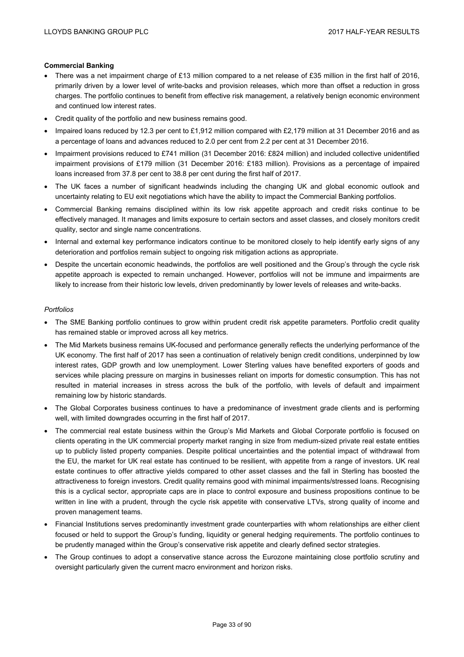#### **Commercial Banking**

- There was a net impairment charge of £13 million compared to a net release of £35 million in the first half of 2016, primarily driven by a lower level of write-backs and provision releases, which more than offset a reduction in gross charges. The portfolio continues to benefit from effective risk management, a relatively benign economic environment and continued low interest rates.
- Credit quality of the portfolio and new business remains good.
- Impaired loans reduced by 12.3 per cent to £1,912 million compared with £2,179 million at 31 December 2016 and as a percentage of loans and advances reduced to 2.0 per cent from 2.2 per cent at 31 December 2016.
- Impairment provisions reduced to £741 million (31 December 2016: £824 million) and included collective unidentified impairment provisions of £179 million (31 December 2016: £183 million). Provisions as a percentage of impaired loans increased from 37.8 per cent to 38.8 per cent during the first half of 2017.
- The UK faces a number of significant headwinds including the changing UK and global economic outlook and uncertainty relating to EU exit negotiations which have the ability to impact the Commercial Banking portfolios.
- Commercial Banking remains disciplined within its low risk appetite approach and credit risks continue to be effectively managed. It manages and limits exposure to certain sectors and asset classes, and closely monitors credit quality, sector and single name concentrations.
- Internal and external key performance indicators continue to be monitored closely to help identify early signs of any deterioration and portfolios remain subject to ongoing risk mitigation actions as appropriate.
- Despite the uncertain economic headwinds, the portfolios are well positioned and the Group's through the cycle risk appetite approach is expected to remain unchanged. However, portfolios will not be immune and impairments are likely to increase from their historic low levels, driven predominantly by lower levels of releases and write-backs.

#### *Portfolios*

- The SME Banking portfolio continues to grow within prudent credit risk appetite parameters. Portfolio credit quality has remained stable or improved across all key metrics.
- The Mid Markets business remains UK-focused and performance generally reflects the underlying performance of the UK economy. The first half of 2017 has seen a continuation of relatively benign credit conditions, underpinned by low interest rates, GDP growth and low unemployment. Lower Sterling values have benefited exporters of goods and services while placing pressure on margins in businesses reliant on imports for domestic consumption. This has not resulted in material increases in stress across the bulk of the portfolio, with levels of default and impairment remaining low by historic standards.
- The Global Corporates business continues to have a predominance of investment grade clients and is performing well, with limited downgrades occurring in the first half of 2017.
- The commercial real estate business within the Group's Mid Markets and Global Corporate portfolio is focused on clients operating in the UK commercial property market ranging in size from medium-sized private real estate entities up to publicly listed property companies. Despite political uncertainties and the potential impact of withdrawal from the EU, the market for UK real estate has continued to be resilient, with appetite from a range of investors. UK real estate continues to offer attractive yields compared to other asset classes and the fall in Sterling has boosted the attractiveness to foreign investors. Credit quality remains good with minimal impairments/stressed loans. Recognising this is a cyclical sector, appropriate caps are in place to control exposure and business propositions continue to be written in line with a prudent, through the cycle risk appetite with conservative LTVs, strong quality of income and proven management teams.
- Financial Institutions serves predominantly investment grade counterparties with whom relationships are either client focused or held to support the Group's funding, liquidity or general hedging requirements. The portfolio continues to be prudently managed within the Group's conservative risk appetite and clearly defined sector strategies.
- The Group continues to adopt a conservative stance across the Eurozone maintaining close portfolio scrutiny and oversight particularly given the current macro environment and horizon risks.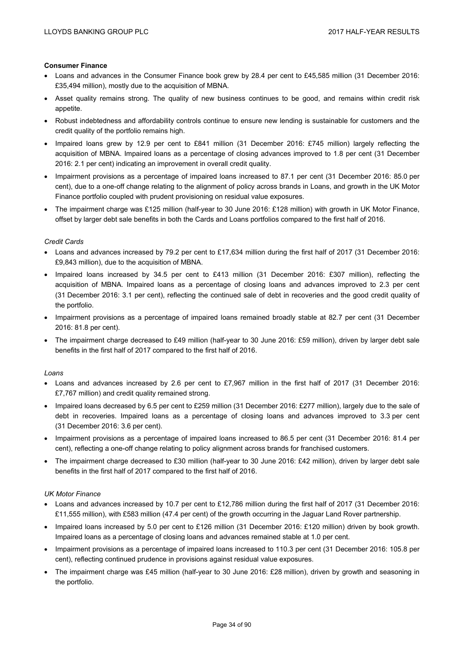### **Consumer Finance**

- Loans and advances in the Consumer Finance book grew by 28.4 per cent to £45,585 million (31 December 2016: £35,494 million), mostly due to the acquisition of MBNA.
- Asset quality remains strong. The quality of new business continues to be good, and remains within credit risk appetite.
- Robust indebtedness and affordability controls continue to ensure new lending is sustainable for customers and the credit quality of the portfolio remains high.
- Impaired loans grew by 12.9 per cent to £841 million (31 December 2016: £745 million) largely reflecting the acquisition of MBNA. Impaired loans as a percentage of closing advances improved to 1.8 per cent (31 December 2016: 2.1 per cent) indicating an improvement in overall credit quality.
- Impairment provisions as a percentage of impaired loans increased to 87.1 per cent (31 December 2016: 85.0 per cent), due to a one-off change relating to the alignment of policy across brands in Loans, and growth in the UK Motor Finance portfolio coupled with prudent provisioning on residual value exposures.
- The impairment charge was £125 million (half-year to 30 June 2016: £128 million) with growth in UK Motor Finance, offset by larger debt sale benefits in both the Cards and Loans portfolios compared to the first half of 2016.

## *Credit Cards*

- Loans and advances increased by 79.2 per cent to £17,634 million during the first half of 2017 (31 December 2016: £9,843 million), due to the acquisition of MBNA.
- Impaired loans increased by 34.5 per cent to £413 million (31 December 2016: £307 million), reflecting the acquisition of MBNA. Impaired loans as a percentage of closing loans and advances improved to 2.3 per cent (31 December 2016: 3.1 per cent), reflecting the continued sale of debt in recoveries and the good credit quality of the portfolio.
- Impairment provisions as a percentage of impaired loans remained broadly stable at 82.7 per cent (31 December 2016: 81.8 per cent).
- The impairment charge decreased to £49 million (half-year to 30 June 2016: £59 million), driven by larger debt sale benefits in the first half of 2017 compared to the first half of 2016.

### *Loans*

- Loans and advances increased by 2.6 per cent to £7,967 million in the first half of 2017 (31 December 2016: £7,767 million) and credit quality remained strong.
- Impaired loans decreased by 6.5 per cent to £259 million (31 December 2016: £277 million), largely due to the sale of debt in recoveries. Impaired loans as a percentage of closing loans and advances improved to 3.3 per cent (31 December 2016: 3.6 per cent).
- Impairment provisions as a percentage of impaired loans increased to 86.5 per cent (31 December 2016: 81.4 per cent), reflecting a one-off change relating to policy alignment across brands for franchised customers.
- The impairment charge decreased to £30 million (half-year to 30 June 2016: £42 million), driven by larger debt sale benefits in the first half of 2017 compared to the first half of 2016.

## *UK Motor Finance*

- Loans and advances increased by 10.7 per cent to £12,786 million during the first half of 2017 (31 December 2016: £11,555 million), with £583 million (47.4 per cent) of the growth occurring in the Jaguar Land Rover partnership.
- Impaired loans increased by 5.0 per cent to £126 million (31 December 2016: £120 million) driven by book growth. Impaired loans as a percentage of closing loans and advances remained stable at 1.0 per cent.
- Impairment provisions as a percentage of impaired loans increased to 110.3 per cent (31 December 2016: 105.8 per cent), reflecting continued prudence in provisions against residual value exposures.
- The impairment charge was £45 million (half-year to 30 June 2016: £28 million), driven by growth and seasoning in the portfolio.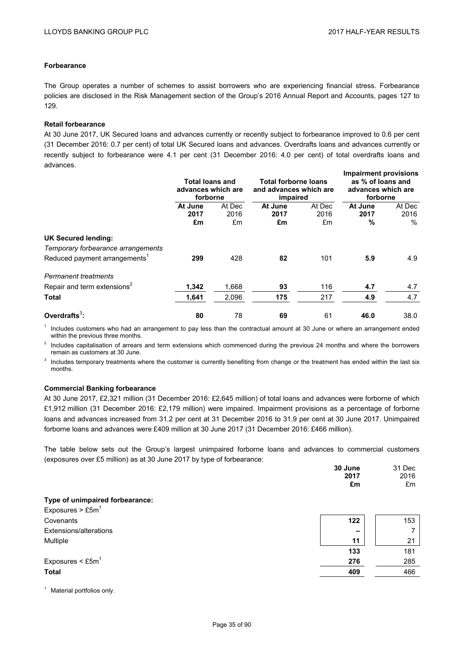## **Forbearance**

The Group operates a number of schemes to assist borrowers who are experiencing financial stress. Forbearance policies are disclosed in the Risk Management section of the Group's 2016 Annual Report and Accounts, pages 127 to 129.

### **Retail forbearance**

At 30 June 2017, UK Secured loans and advances currently or recently subject to forbearance improved to 0.6 per cent (31 December 2016: 0.7 per cent) of total UK Secured loans and advances. Overdrafts loans and advances currently or recently subject to forbearance were 4.1 per cent (31 December 2016: 4.0 per cent) of total overdrafts loans and advances.

|                                                                  | Total loans and<br>advances which are<br>forborne |            | <b>Total forborne loans</b><br>and advances which are<br>impaired |            | <b>Impairment provisions</b><br>as % of loans and<br>advances which are<br>forborne |              |
|------------------------------------------------------------------|---------------------------------------------------|------------|-------------------------------------------------------------------|------------|-------------------------------------------------------------------------------------|--------------|
|                                                                  | At June                                           | At Dec     | At June                                                           | At Dec     | At June                                                                             | At Dec       |
|                                                                  | 2017<br>£m                                        | 2016<br>£m | 2017<br>£m                                                        | 2016<br>£m | 2017<br>%                                                                           | 2016<br>$\%$ |
| <b>UK Secured lending:</b><br>Temporary forbearance arrangements |                                                   |            |                                                                   |            |                                                                                     |              |
| Reduced payment arrangements <sup>1</sup>                        | 299                                               | 428        | 82                                                                | 101        | 5.9                                                                                 | 4.9          |
| <b>Permanent treatments</b>                                      |                                                   |            |                                                                   |            |                                                                                     |              |
| Repair and term extensions <sup>2</sup>                          | 1,342                                             | 1,668      | 93                                                                | 116        | 4.7                                                                                 | 4.7          |
| <b>Total</b>                                                     | 1,641                                             | 2,096      | 175                                                               | 217        | 4.9                                                                                 | 4.7          |
| Overdrafts $3$ :                                                 | 80                                                | 78         | 69                                                                | 61         | 46.0                                                                                | 38.0         |

 $<sup>1</sup>$  Includes customers who had an arrangement to pay less than the contractual amount at 30 June or where an arrangement ended</sup> within the previous three months.

 $2$  Includes capitalisation of arrears and term extensions which commenced during the previous 24 months and where the borrowers remain as customers at 30 June.

<sup>3</sup> Includes temporary treatments where the customer is currently benefiting from change or the treatment has ended within the last six months.

### **Commercial Banking forbearance**

At 30 June 2017, £2,321 million (31 December 2016: £2,645 million) of total loans and advances were forborne of which £1,912 million (31 December 2016: £2,179 million) were impaired. Impairment provisions as a percentage of forborne loans and advances increased from 31.2 per cent at 31 December 2016 to 31.9 per cent at 30 June 2017. Unimpaired forborne loans and advances were £409 million at 30 June 2017 (31 December 2016: £466 million).

The table below sets out the Group's largest unimpaired forborne loans and advances to commercial customers (exposures over £5 million) as at 30 June 2017 by type of forbearance:

|                                   | 30 June<br>2017<br>£m | 31 Dec<br>2016<br>£m |
|-----------------------------------|-----------------------|----------------------|
| Type of unimpaired forbearance:   |                       |                      |
| Exposures $>$ £5m <sup>1</sup>    |                       |                      |
| Covenants                         | 122                   | 153                  |
| Extensions/alterations            | $\qquad \qquad$       |                      |
| Multiple                          | 11                    | 21                   |
|                                   | 133                   | 181                  |
| Exposures $\leq$ £5m <sup>1</sup> | 276                   | 285                  |
| <b>Total</b>                      | 409                   | 466                  |
|                                   |                       |                      |

<sup>1</sup> Material portfolios only.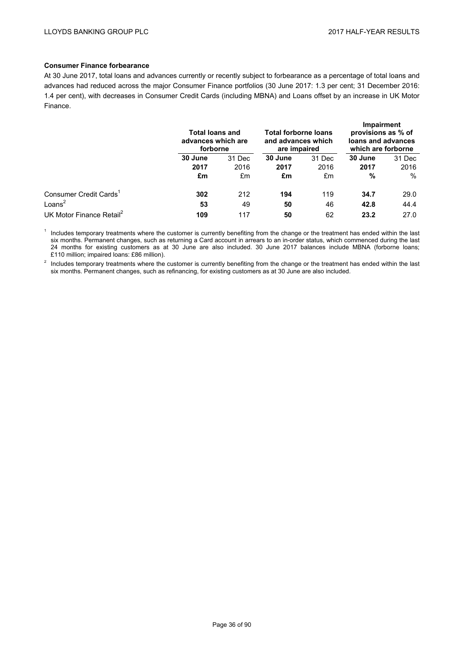## **Consumer Finance forbearance**

At 30 June 2017, total loans and advances currently or recently subject to forbearance as a percentage of total loans and advances had reduced across the major Consumer Finance portfolios (30 June 2017: 1.3 per cent; 31 December 2016: 1.4 per cent), with decreases in Consumer Credit Cards (including MBNA) and Loans offset by an increase in UK Motor Finance.

|                                      | <b>Total loans and</b><br>advances which are<br>forborne |        | <b>Total forborne loans</b><br>and advances which<br>are impaired |        | <b>Impairment</b><br>provisions as % of<br>loans and advances<br>which are forborne |        |
|--------------------------------------|----------------------------------------------------------|--------|-------------------------------------------------------------------|--------|-------------------------------------------------------------------------------------|--------|
|                                      | 30 June                                                  | 31 Dec | 30 June                                                           | 31 Dec | 30 June                                                                             | 31 Dec |
|                                      | 2017                                                     | 2016   | 2017                                                              | 2016   | 2017                                                                                | 2016   |
|                                      | £m                                                       | £m     | £m                                                                | £m     | %                                                                                   | $\%$   |
| Consumer Credit Cards <sup>1</sup>   | 302                                                      | 212    | 194                                                               | 119    | 34.7                                                                                | 29.0   |
| Loans $2$                            | 53                                                       | 49     | 50                                                                | 46     | 42.8                                                                                | 44.4   |
| UK Motor Finance Retail <sup>2</sup> | 109                                                      | 117    | 50                                                                | 62     | 23.2                                                                                | 27.0   |

<sup>1</sup> Includes temporary treatments where the customer is currently benefiting from the change or the treatment has ended within the last six months. Permanent changes, such as returning a Card account in arrears to an in-order status, which commenced during the last 24 months for existing customers as at 30 June are also included. 30 June 2017 balances include MBNA (forborne loans; £110 million; impaired loans: £86 million).

<sup>2</sup> Includes temporary treatments where the customer is currently benefiting from the change or the treatment has ended within the last six months. Permanent changes, such as refinancing, for existing customers as at 30 June are also included.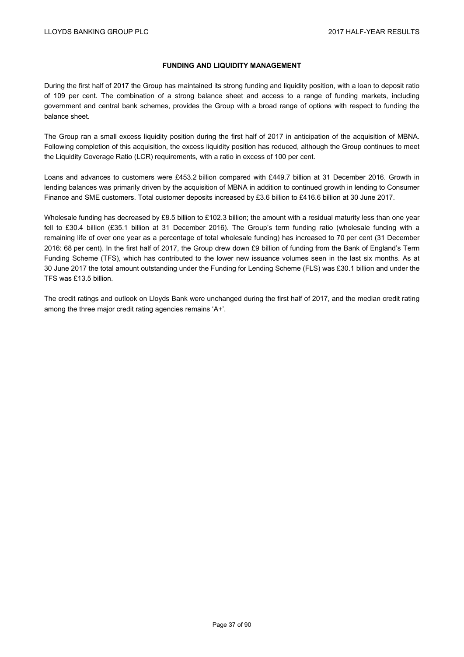# **FUNDING AND LIQUIDITY MANAGEMENT**

During the first half of 2017 the Group has maintained its strong funding and liquidity position, with a loan to deposit ratio of 109 per cent. The combination of a strong balance sheet and access to a range of funding markets, including government and central bank schemes, provides the Group with a broad range of options with respect to funding the balance sheet.

The Group ran a small excess liquidity position during the first half of 2017 in anticipation of the acquisition of MBNA. Following completion of this acquisition, the excess liquidity position has reduced, although the Group continues to meet the Liquidity Coverage Ratio (LCR) requirements, with a ratio in excess of 100 per cent.

Loans and advances to customers were £453.2 billion compared with £449.7 billion at 31 December 2016. Growth in lending balances was primarily driven by the acquisition of MBNA in addition to continued growth in lending to Consumer Finance and SME customers. Total customer deposits increased by £3.6 billion to £416.6 billion at 30 June 2017.

Wholesale funding has decreased by £8.5 billion to £102.3 billion; the amount with a residual maturity less than one year fell to £30.4 billion (£35.1 billion at 31 December 2016). The Group's term funding ratio (wholesale funding with a remaining life of over one year as a percentage of total wholesale funding) has increased to 70 per cent (31 December 2016: 68 per cent). In the first half of 2017, the Group drew down £9 billion of funding from the Bank of England's Term Funding Scheme (TFS), which has contributed to the lower new issuance volumes seen in the last six months. As at 30 June 2017 the total amount outstanding under the Funding for Lending Scheme (FLS) was £30.1 billion and under the TFS was £13.5 billion.

The credit ratings and outlook on Lloyds Bank were unchanged during the first half of 2017, and the median credit rating among the three major credit rating agencies remains 'A+'.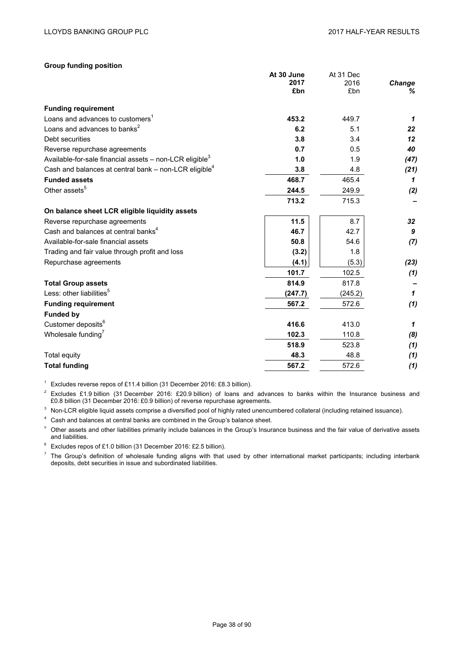### **Group funding position**

|                                                                       | At 30 June | At 31 Dec |              |
|-----------------------------------------------------------------------|------------|-----------|--------------|
|                                                                       | 2017       | 2016      | Change       |
|                                                                       | £bn        | £bn       | ℅            |
| <b>Funding requirement</b>                                            |            |           |              |
| Loans and advances to customers <sup>1</sup>                          | 453.2      | 449.7     | $\mathbf{1}$ |
| Loans and advances to banks <sup>2</sup>                              | 6.2        | 5.1       | 22           |
| Debt securities                                                       | 3.8        | 3.4       | 12           |
| Reverse repurchase agreements                                         | 0.7        | 0.5       | 40           |
| Available-for-sale financial assets $-$ non-LCR eligible <sup>3</sup> | 1.0        | 1.9       | (47)         |
| Cash and balances at central bank $-$ non-LCR eligible <sup>4</sup>   | 3.8        | 4.8       | (21)         |
| <b>Funded assets</b>                                                  | 468.7      | 465.4     | 1            |
| Other assets <sup>5</sup>                                             | 244.5      | 249.9     | (2)          |
|                                                                       | 713.2      | 715.3     |              |
| On balance sheet LCR eligible liquidity assets                        |            |           |              |
| Reverse repurchase agreements                                         | 11.5       | 8.7       | 32           |
| Cash and balances at central banks <sup>4</sup>                       | 46.7       | 42.7      | 9            |
| Available-for-sale financial assets                                   | 50.8       | 54.6      | (7)          |
| Trading and fair value through profit and loss                        | (3.2)      | 1.8       |              |
| Repurchase agreements                                                 | (4.1)      | (5.3)     | (23)         |
|                                                                       | 101.7      | 102.5     | (1)          |
| <b>Total Group assets</b>                                             | 814.9      | 817.8     |              |
| Less: other liabilities <sup>5</sup>                                  | (247.7)    | (245.2)   | $\mathbf{1}$ |
| <b>Funding requirement</b>                                            | 567.2      | 572.6     | (1)          |
| <b>Funded by</b>                                                      |            |           |              |
| Customer deposits <sup>6</sup>                                        | 416.6      | 413.0     | $\mathbf{1}$ |
| Wholesale funding <sup>7</sup>                                        | 102.3      | 110.8     | (8)          |
|                                                                       | 518.9      | 523.8     | (1)          |
| Total equity                                                          | 48.3       | 48.8      | (1)          |
| <b>Total funding</b>                                                  | 567.2      | 572.6     | (1)          |

<sup>1</sup> Excludes reverse repos of £11.4 billion (31 December 2016: £8.3 billion).

 $2$  Excludes £1.9 billion (31 December 2016: £20.9 billion) of loans and advances to banks within the Insurance business and £0.8 billion (31 December 2016: £0.9 billion) of reverse repurchase agreements.

 $3$  Non-LCR eligible liquid assets comprise a diversified pool of highly rated unencumbered collateral (including retained issuance).

<sup>4</sup> Cash and balances at central banks are combined in the Group's balance sheet.

<sup>5</sup> Other assets and other liabilities primarily include balances in the Group's Insurance business and the fair value of derivative assets and liabilities.

 $6$  Excludes repos of £1.0 billion (31 December 2016: £2.5 billion).

 $<sup>7</sup>$  The Group's definition of wholesale funding aligns with that used by other international market participants; including interbank</sup> deposits, debt securities in issue and subordinated liabilities.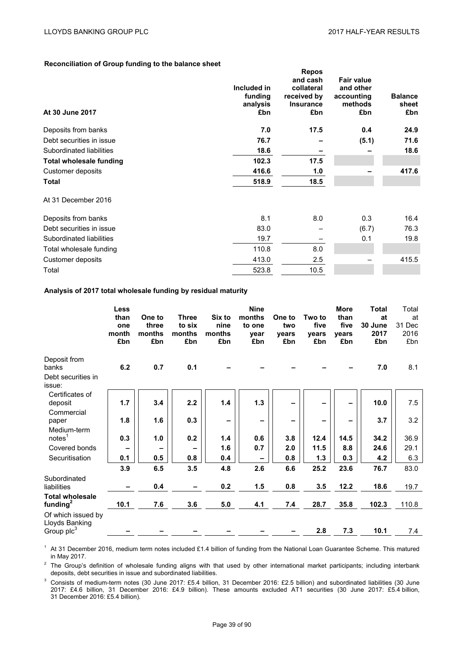## **Reconciliation of Group funding to the balance sheet**

|                                |             | <b>Repos</b>     |                   |                |
|--------------------------------|-------------|------------------|-------------------|----------------|
|                                |             | and cash         | <b>Fair value</b> |                |
|                                | Included in | collateral       | and other         |                |
|                                | funding     | received by      | accounting        | <b>Balance</b> |
|                                | analysis    | <b>Insurance</b> | methods           | sheet          |
| At 30 June 2017                | £bn         | £bn              | £bn               | £bn            |
| Deposits from banks            | 7.0         | 17.5             | 0.4               | 24.9           |
| Debt securities in issue       | 76.7        |                  | (5.1)             | 71.6           |
| Subordinated liabilities       | 18.6        |                  |                   | 18.6           |
| <b>Total wholesale funding</b> | 102.3       | 17.5             |                   |                |
| Customer deposits              | 416.6       | 1.0              |                   | 417.6          |
| <b>Total</b>                   | 518.9       | 18.5             |                   |                |
| At 31 December 2016            |             |                  |                   |                |
| Deposits from banks            | 8.1         | 8.0              | 0.3               | 16.4           |
| Debt securities in issue       | 83.0        |                  | (6.7)             | 76.3           |
| Subordinated liabilities       | 19.7        |                  | 0.1               | 19.8           |
| Total wholesale funding        | 110.8       | 8.0              |                   |                |
| Customer deposits              | 413.0       | 2.5              |                   | 415.5          |
| Total                          | 523.8       | 10.5             |                   |                |

## **Analysis of 2017 total wholesale funding by residual maturity**

|                                                              | Less<br>than<br>one<br>month<br>£bn | One to<br>three<br>months<br>£bn | <b>Three</b><br>to six<br>months<br>£bn | Six to<br>nine<br>months<br>£bn | <b>Nine</b><br>months<br>to one<br>vear<br>£bn | One to<br>two<br>vears<br>£bn | Two to<br>five<br>vears<br>£bn | <b>More</b><br>than<br>five<br>vears<br>£bn | Total<br>at<br>30 June<br>2017<br>£bn | Total<br>at<br>31 Dec<br>2016<br>£bn |
|--------------------------------------------------------------|-------------------------------------|----------------------------------|-----------------------------------------|---------------------------------|------------------------------------------------|-------------------------------|--------------------------------|---------------------------------------------|---------------------------------------|--------------------------------------|
| Deposit from<br>banks<br>Debt securities in<br>issue:        | 6.2                                 | 0.7                              | 0.1                                     |                                 |                                                |                               |                                |                                             | 7.0                                   | 8.1                                  |
| Certificates of<br>deposit<br>Commercial                     | 1.7                                 | 3.4                              | 2.2                                     | 1.4                             | 1.3                                            |                               |                                | $\overline{\phantom{0}}$                    | 10.0                                  | 7.5                                  |
| paper<br>Medium-term                                         | 1.8                                 | 1.6                              | 0.3                                     | $\overline{\phantom{m}}$        | $\qquad \qquad$                                |                               | $\overline{\phantom{0}}$       | $\overline{\phantom{a}}$                    | 3.7                                   | 3.2                                  |
| notes <sup>1</sup>                                           | 0.3                                 | 1.0                              | 0.2                                     | 1.4                             | 0.6                                            | 3.8                           | 12.4                           | 14.5                                        | 34.2                                  | 36.9                                 |
| Covered bonds                                                |                                     |                                  |                                         | 1.6                             | 0.7                                            | 2.0                           | 11.5                           | 8.8                                         | 24.6                                  | 29.1                                 |
| Securitisation                                               | 0.1                                 | 0.5                              | 0.8                                     | 0.4                             | $\overline{\phantom{a}}$                       | 0.8                           | 1.3                            | 0.3                                         | 4.2                                   | 6.3                                  |
|                                                              | 3.9                                 | 6.5                              | 3.5                                     | 4.8                             | 2.6                                            | 6.6                           | 25.2                           | 23.6                                        | 76.7                                  | 83.0                                 |
| Subordinated<br>liabilities                                  |                                     | 0.4                              |                                         | 0.2                             | 1.5                                            | 0.8                           | 3.5                            | 12.2                                        | 18.6                                  | 19.7                                 |
| <b>Total wholesale</b><br>funding $^2$                       | 10.1                                | 7.6                              | 3.6                                     | 5.0                             | 4.1                                            | 7.4                           | 28.7                           | 35.8                                        | 102.3                                 | 110.8                                |
| Of which issued by<br>Lloyds Banking<br>Group $\text{plc}^3$ |                                     |                                  |                                         |                                 |                                                |                               | 2.8                            | 7.3                                         | 10.1                                  | 7.4                                  |

 $1$  At 31 December 2016, medium term notes included £1.4 billion of funding from the National Loan Guarantee Scheme. This matured in May 2017.

 $2$  The Group's definition of wholesale funding aligns with that used by other international market participants; including interbank deposits, debt securities in issue and subordinated liabilities.

 $3$  Consists of medium-term notes (30 June 2017: £5.4 billion, 31 December 2016: £2.5 billion) and subordinated liabilities (30 June 2017: £4.6 billion, 31 December 2016: £4.9 billion). These amounts excluded AT1 securities (30 June 2017: £5.4 billion, 31 December 2016: £5.4 billion).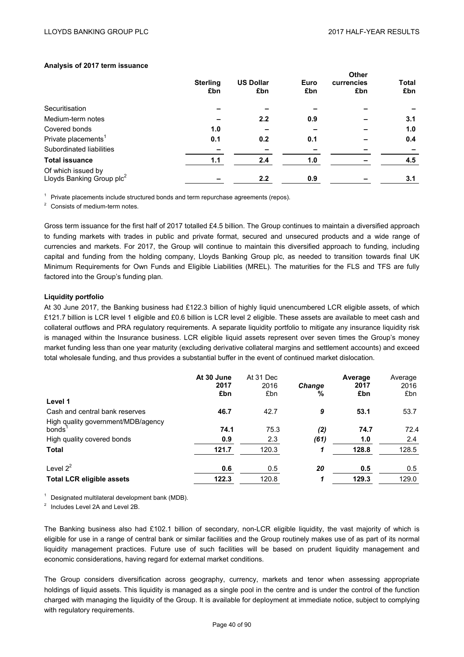## **Analysis of 2017 term issuance**

| <b>Sterling</b> | <b>US Dollar</b> | Euro | currencies | <b>Total</b> |  |
|-----------------|------------------|------|------------|--------------|--|
| £bn             | £bn              | £bn  | £bn        | £bn          |  |
|                 |                  |      |            |              |  |
|                 | 2.2              | 0.9  |            | 3.1          |  |
| 1.0             | -                |      |            | 1.0          |  |
| 0.1             | 0.2              | 0.1  |            | 0.4          |  |
|                 |                  |      |            |              |  |
| 1.1             | 2.4              | 1.0  |            | 4.5          |  |
|                 | 2.2              | 0.9  |            | 3.1          |  |
|                 |                  |      |            | <b>Other</b> |  |

 $1$  Private placements include structured bonds and term repurchase agreements (repos).

<sup>2</sup> Consists of medium-term notes.

Gross term issuance for the first half of 2017 totalled £4.5 billion. The Group continues to maintain a diversified approach to funding markets with trades in public and private format, secured and unsecured products and a wide range of currencies and markets. For 2017, the Group will continue to maintain this diversified approach to funding, including capital and funding from the holding company, Lloyds Banking Group plc, as needed to transition towards final UK Minimum Requirements for Own Funds and Eligible Liabilities (MREL). The maturities for the FLS and TFS are fully factored into the Group's funding plan.

### **Liquidity portfolio**

At 30 June 2017, the Banking business had £122.3 billion of highly liquid unencumbered LCR eligible assets, of which £121.7 billion is LCR level 1 eligible and £0.6 billion is LCR level 2 eligible. These assets are available to meet cash and collateral outflows and PRA regulatory requirements. A separate liquidity portfolio to mitigate any insurance liquidity risk is managed within the Insurance business. LCR eligible liquid assets represent over seven times the Group's money market funding less than one year maturity (excluding derivative collateral margins and settlement accounts) and exceed total wholesale funding, and thus provides a substantial buffer in the event of continued market dislocation.

|                                                                           | At 30 June<br>2017<br>£bn | At 31 Dec<br>2016<br>£bn | <b>Change</b><br>% | Average<br>2017<br>£bn | Average<br>2016<br>£bn |
|---------------------------------------------------------------------------|---------------------------|--------------------------|--------------------|------------------------|------------------------|
| Level 1                                                                   |                           |                          |                    |                        |                        |
| Cash and central bank reserves                                            | 46.7                      | 42.7                     | 9                  | 53.1                   | 53.7                   |
| High quality government/MDB/agency<br>bonds<br>High quality covered bonds | 74.1<br>0.9               | 75.3<br>2.3              | (2)<br>(61)        | 74.7<br>1.0            | 72.4<br>2.4            |
| <b>Total</b>                                                              | 121.7                     | 120.3                    |                    | 128.8                  | 128.5                  |
|                                                                           |                           |                          |                    |                        |                        |
| Level $2^2$                                                               | 0.6                       | 0.5                      | 20                 | 0.5                    | 0.5                    |
| <b>Total LCR eligible assets</b>                                          | 122.3                     | 120.8                    | 1                  | 129.3                  | 129.0                  |

<sup>1</sup> Designated multilateral development bank (MDB).

<sup>2</sup> Includes Level 2A and Level 2B.

The Banking business also had £102.1 billion of secondary, non-LCR eligible liquidity, the vast majority of which is eligible for use in a range of central bank or similar facilities and the Group routinely makes use of as part of its normal liquidity management practices. Future use of such facilities will be based on prudent liquidity management and economic considerations, having regard for external market conditions.

The Group considers diversification across geography, currency, markets and tenor when assessing appropriate holdings of liquid assets. This liquidity is managed as a single pool in the centre and is under the control of the function charged with managing the liquidity of the Group. It is available for deployment at immediate notice, subject to complying with regulatory requirements.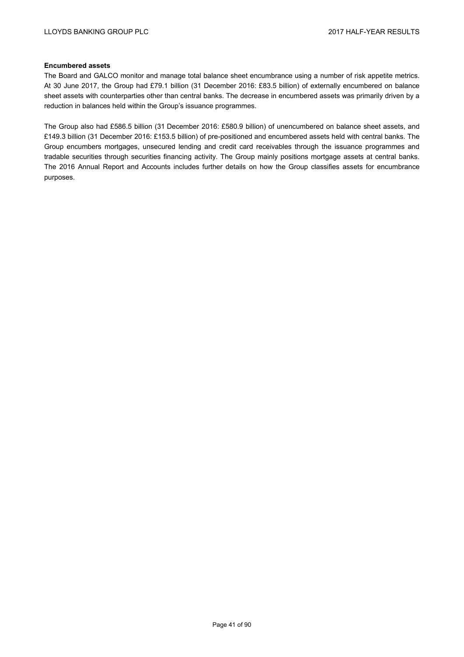## **Encumbered assets**

The Board and GALCO monitor and manage total balance sheet encumbrance using a number of risk appetite metrics. At 30 June 2017, the Group had £79.1 billion (31 December 2016: £83.5 billion) of externally encumbered on balance sheet assets with counterparties other than central banks. The decrease in encumbered assets was primarily driven by a reduction in balances held within the Group's issuance programmes.

The Group also had £586.5 billion (31 December 2016: £580.9 billion) of unencumbered on balance sheet assets, and £149.3 billion (31 December 2016: £153.5 billion) of pre-positioned and encumbered assets held with central banks. The Group encumbers mortgages, unsecured lending and credit card receivables through the issuance programmes and tradable securities through securities financing activity. The Group mainly positions mortgage assets at central banks. The 2016 Annual Report and Accounts includes further details on how the Group classifies assets for encumbrance purposes.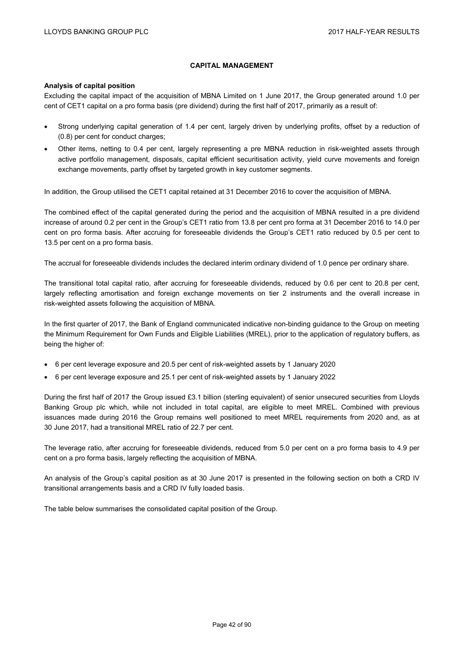# **CAPITAL MANAGEMENT**

### **Analysis of capital position**

Excluding the capital impact of the acquisition of MBNA Limited on 1 June 2017, the Group generated around 1.0 per cent of CET1 capital on a pro forma basis (pre dividend) during the first half of 2017, primarily as a result of:

- Strong underlying capital generation of 1.4 per cent, largely driven by underlying profits, offset by a reduction of (0.8) per cent for conduct charges;
- Other items, netting to 0.4 per cent, largely representing a pre MBNA reduction in risk-weighted assets through active portfolio management, disposals, capital efficient securitisation activity, yield curve movements and foreign exchange movements, partly offset by targeted growth in key customer segments.

In addition, the Group utilised the CET1 capital retained at 31 December 2016 to cover the acquisition of MBNA.

The combined effect of the capital generated during the period and the acquisition of MBNA resulted in a pre dividend increase of around 0.2 per cent in the Group's CET1 ratio from 13.8 per cent pro forma at 31 December 2016 to 14.0 per cent on pro forma basis. After accruing for foreseeable dividends the Group's CET1 ratio reduced by 0.5 per cent to 13.5 per cent on a pro forma basis.

The accrual for foreseeable dividends includes the declared interim ordinary dividend of 1.0 pence per ordinary share.

The transitional total capital ratio, after accruing for foreseeable dividends, reduced by 0.6 per cent to 20.8 per cent, largely reflecting amortisation and foreign exchange movements on tier 2 instruments and the overall increase in risk-weighted assets following the acquisition of MBNA.

In the first quarter of 2017, the Bank of England communicated indicative non-binding guidance to the Group on meeting the Minimum Requirement for Own Funds and Eligible Liabilities (MREL), prior to the application of regulatory buffers, as being the higher of:

- 6 per cent leverage exposure and 20.5 per cent of risk-weighted assets by 1 January 2020
- 6 per cent leverage exposure and 25.1 per cent of risk-weighted assets by 1 January 2022

During the first half of 2017 the Group issued £3.1 billion (sterling equivalent) of senior unsecured securities from Lloyds Banking Group plc which, while not included in total capital, are eligible to meet MREL. Combined with previous issuances made during 2016 the Group remains well positioned to meet MREL requirements from 2020 and, as at 30 June 2017, had a transitional MREL ratio of 22.7 per cent.

The leverage ratio, after accruing for foreseeable dividends, reduced from 5.0 per cent on a pro forma basis to 4.9 per cent on a pro forma basis, largely reflecting the acquisition of MBNA.

An analysis of the Group's capital position as at 30 June 2017 is presented in the following section on both a CRD IV transitional arrangements basis and a CRD IV fully loaded basis.

The table below summarises the consolidated capital position of the Group.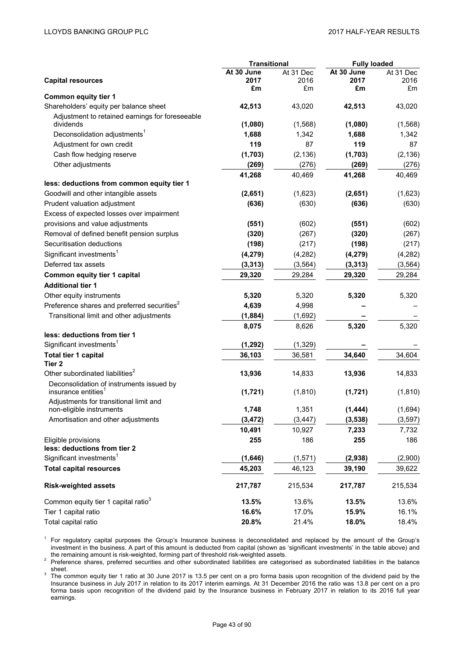|                                                         | <b>Transitional</b> |           | <b>Fully loaded</b> |           |  |
|---------------------------------------------------------|---------------------|-----------|---------------------|-----------|--|
|                                                         | At 30 June          | At 31 Dec | At 30 June          | At 31 Dec |  |
| <b>Capital resources</b>                                | 2017                | 2016      | 2017                | 2016      |  |
| <b>Common equity tier 1</b>                             | £m                  | £m        | £m                  | £m        |  |
| Shareholders' equity per balance sheet                  | 42,513              | 43,020    | 42,513              | 43,020    |  |
| Adjustment to retained earnings for foreseeable         |                     |           |                     |           |  |
| dividends                                               | (1,080)             | (1, 568)  | (1,080)             | (1,568)   |  |
| Deconsolidation adjustments <sup>1</sup>                | 1,688               | 1,342     | 1,688               | 1,342     |  |
| Adjustment for own credit                               | 119                 | 87        | 119                 | 87        |  |
| Cash flow hedging reserve                               | (1,703)             | (2, 136)  | (1,703)             | (2, 136)  |  |
| Other adjustments                                       | (269)               | (276)     | (269)               | (276)     |  |
|                                                         | 41,268              | 40,469    | 41,268              | 40,469    |  |
| less: deductions from common equity tier 1              |                     |           |                     |           |  |
| Goodwill and other intangible assets                    | (2,651)             | (1,623)   | (2,651)             | (1,623)   |  |
| Prudent valuation adjustment                            | (636)               | (630)     | (636)               | (630)     |  |
| Excess of expected losses over impairment               |                     |           |                     |           |  |
| provisions and value adjustments                        | (551)               | (602)     | (551)               | (602)     |  |
| Removal of defined benefit pension surplus              | (320)               | (267)     | (320)               | (267)     |  |
| Securitisation deductions                               | (198)               | (217)     | (198)               | (217)     |  |
| Significant investments <sup>1</sup>                    | (4, 279)            | (4,282)   | (4, 279)            | (4,282)   |  |
| Deferred tax assets                                     | (3, 313)            | (3, 564)  | (3, 313)            | (3, 564)  |  |
| <b>Common equity tier 1 capital</b>                     | 29,320              | 29,284    | 29,320              | 29,284    |  |
| <b>Additional tier 1</b>                                |                     |           |                     |           |  |
| Other equity instruments                                | 5,320               | 5,320     | 5,320               | 5,320     |  |
| Preference shares and preferred securities <sup>2</sup> | 4,639               | 4,998     |                     |           |  |
| Transitional limit and other adjustments                | (1,884)             | (1,692)   |                     |           |  |
|                                                         | 8,075               | 8,626     | 5,320               | 5,320     |  |
| less: deductions from tier 1                            |                     |           |                     |           |  |
| Significant investments <sup>1</sup>                    | (1, 292)            | (1, 329)  |                     |           |  |
| Total tier 1 capital                                    | 36,103              | 36,581    | 34,640              | 34,604    |  |
| Tier <sub>2</sub>                                       |                     |           |                     |           |  |
| Other subordinated liabilities <sup>2</sup>             | 13,936              | 14,833    | 13,936              | 14,833    |  |
| Deconsolidation of instruments issued by                |                     |           |                     |           |  |
| insurance entities <sup>1</sup>                         | (1, 721)            | (1, 810)  | (1, 721)            | (1, 810)  |  |
| Adjustments for transitional limit and                  |                     |           |                     |           |  |
| non-eligible instruments                                | 1,748               | 1,351     | (1, 444)            | (1,694)   |  |
| Amortisation and other adjustments                      | (3, 472)            | (3, 447)  | (3, 538)            | (3, 597)  |  |
|                                                         | 10,491              | 10,927    | 7,233               | 7,732     |  |
| Eligible provisions                                     | 255                 | 186       | 255                 | 186       |  |
| less: deductions from tier 2                            |                     |           |                     |           |  |
| Significant investments <sup>1</sup>                    | (1,646)             | (1, 571)  | (2,938)             | (2,900)   |  |
| <b>Total capital resources</b>                          | 45,203              | 46,123    | 39,190              | 39,622    |  |
| <b>Risk-weighted assets</b>                             | 217,787             | 215,534   | 217,787             | 215,534   |  |
| Common equity tier 1 capital ratio <sup>3</sup>         | 13.5%               | 13.6%     | 13.5%               | 13.6%     |  |
| Tier 1 capital ratio                                    | 16.6%               | 17.0%     | 15.9%               | 16.1%     |  |
| Total capital ratio                                     | 20.8%               | 21.4%     | 18.0%               | 18.4%     |  |

<sup>1</sup> For regulatory capital purposes the Group's Insurance business is deconsolidated and replaced by the amount of the Group's investment in the business. A part of this amount is deducted from capital (shown as 'significant investments' in the table above) and

the remaining amount is risk-weighted, forming part of threshold risk-weighted assets.<br><sup>2</sup> Preference shares, preferred securities and other subordinated liabilities are categorised as subordinated liabilities in the balan

<sup>3</sup> The common equity tier 1 ratio at 30 June 2017 is 13.5 per cent on a pro forma basis upon recognition of the dividend paid by the Insurance business in July 2017 in relation to its 2017 interim earnings. At 31 December 2016 the ratio was 13.8 per cent on a pro forma basis upon recognition of the dividend paid by the Insurance business in February 2017 in relation to its 2016 full year earnings.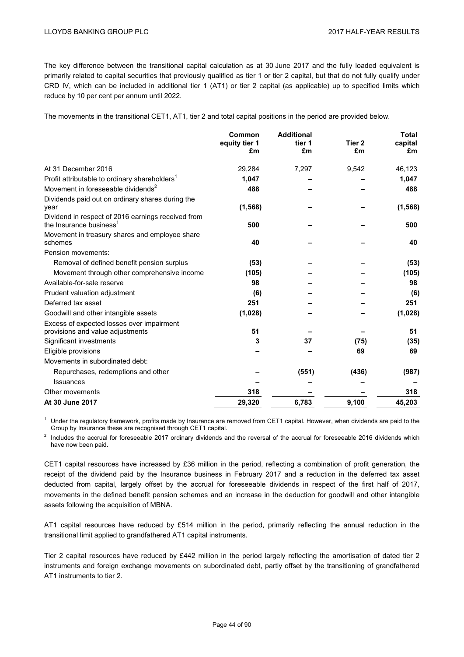The key difference between the transitional capital calculation as at 30 June 2017 and the fully loaded equivalent is primarily related to capital securities that previously qualified as tier 1 or tier 2 capital, but that do not fully qualify under CRD IV, which can be included in additional tier 1 (AT1) or tier 2 capital (as applicable) up to specified limits which reduce by 10 per cent per annum until 2022.

The movements in the transitional CET1, AT1, tier 2 and total capital positions in the period are provided below.

|                                                                                           | Common<br>equity tier 1<br>£m | <b>Additional</b><br>tier 1<br>£m | Tier <sub>2</sub><br>£m | <b>Total</b><br>capital<br>£m |
|-------------------------------------------------------------------------------------------|-------------------------------|-----------------------------------|-------------------------|-------------------------------|
| At 31 December 2016                                                                       | 29,284                        | 7,297                             | 9,542                   | 46,123                        |
| Profit attributable to ordinary shareholders <sup>1</sup>                                 | 1,047                         |                                   |                         | 1,047                         |
| Movement in foreseeable dividends <sup>2</sup>                                            | 488                           |                                   |                         | 488                           |
| Dividends paid out on ordinary shares during the<br>year                                  | (1, 568)                      |                                   |                         | (1, 568)                      |
| Dividend in respect of 2016 earnings received from<br>the Insurance business <sup>1</sup> | 500                           |                                   |                         | 500                           |
| Movement in treasury shares and employee share<br>schemes                                 | 40                            |                                   |                         | 40                            |
| Pension movements:                                                                        |                               |                                   |                         |                               |
| Removal of defined benefit pension surplus                                                | (53)                          |                                   |                         | (53)                          |
| Movement through other comprehensive income                                               | (105)                         |                                   |                         | (105)                         |
| Available-for-sale reserve                                                                | 98                            |                                   |                         | 98                            |
| Prudent valuation adjustment                                                              | (6)                           |                                   |                         | (6)                           |
| Deferred tax asset                                                                        | 251                           |                                   |                         | 251                           |
| Goodwill and other intangible assets                                                      | (1,028)                       |                                   |                         | (1,028)                       |
| Excess of expected losses over impairment<br>provisions and value adjustments             | 51                            |                                   |                         | 51                            |
| Significant investments                                                                   | 3                             | 37                                | (75)                    | (35)                          |
| Eligible provisions                                                                       |                               |                                   | 69                      | 69                            |
| Movements in subordinated debt:                                                           |                               |                                   |                         |                               |
| Repurchases, redemptions and other                                                        |                               | (551)                             | (436)                   | (987)                         |
| <b>Issuances</b>                                                                          |                               |                                   |                         |                               |
| Other movements                                                                           | 318                           |                                   |                         | 318                           |
| At 30 June 2017                                                                           | 29,320                        | 6,783                             | 9,100                   | 45,203                        |

 $<sup>1</sup>$  Under the regulatory framework, profits made by Insurance are removed from CET1 capital. However, when dividends are paid to the</sup> Group by Insurance these are recognised through CET1 capital.

<sup>2</sup> Includes the accrual for foreseeable 2017 ordinary dividends and the reversal of the accrual for foreseeable 2016 dividends which have now been paid.

CET1 capital resources have increased by £36 million in the period, reflecting a combination of profit generation, the receipt of the dividend paid by the Insurance business in February 2017 and a reduction in the deferred tax asset deducted from capital, largely offset by the accrual for foreseeable dividends in respect of the first half of 2017, movements in the defined benefit pension schemes and an increase in the deduction for goodwill and other intangible assets following the acquisition of MBNA.

AT1 capital resources have reduced by £514 million in the period, primarily reflecting the annual reduction in the transitional limit applied to grandfathered AT1 capital instruments.

Tier 2 capital resources have reduced by £442 million in the period largely reflecting the amortisation of dated tier 2 instruments and foreign exchange movements on subordinated debt, partly offset by the transitioning of grandfathered AT1 instruments to tier 2.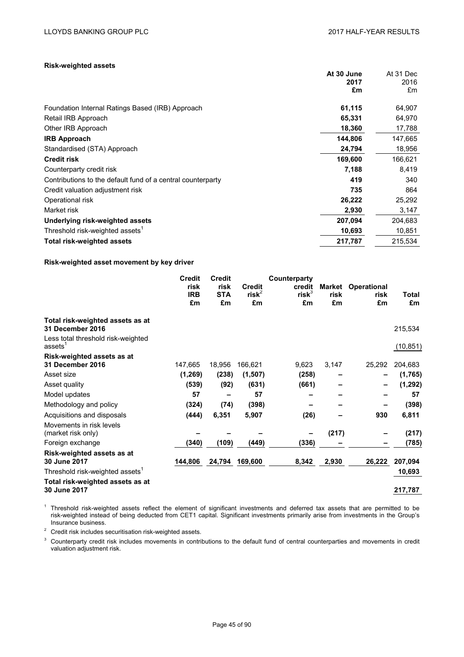**At 30 June** At 31 Dec

# **Risk-weighted assets**

|                                                             | 2017    | 2016    |
|-------------------------------------------------------------|---------|---------|
|                                                             | £m      | £m      |
| Foundation Internal Ratings Based (IRB) Approach            | 61,115  | 64,907  |
| Retail IRB Approach                                         | 65,331  | 64,970  |
| Other IRB Approach                                          | 18,360  | 17,788  |
| <b>IRB Approach</b>                                         | 144,806 | 147,665 |
| Standardised (STA) Approach                                 | 24,794  | 18,956  |
| <b>Credit risk</b>                                          | 169,600 | 166,621 |
| Counterparty credit risk                                    | 7,188   | 8,419   |
| Contributions to the default fund of a central counterparty | 419     | 340     |
| Credit valuation adjustment risk                            | 735     | 864     |
| Operational risk                                            | 26,222  | 25,292  |
| Market risk                                                 | 2,930   | 3,147   |
| Underlying risk-weighted assets                             | 207,094 | 204,683 |
| Threshold risk-weighted assets <sup>1</sup>                 | 10,693  | 10,851  |
| <b>Total risk-weighted assets</b>                           | 217,787 | 215,534 |

## **Risk-weighted asset movement by key driver**

|                                                           | <b>Credit</b><br>risk | <b>Credit</b><br>risk | <b>Credit</b> | Counterparty<br>credit | Market | <b>Operational</b> |           |  |
|-----------------------------------------------------------|-----------------------|-----------------------|---------------|------------------------|--------|--------------------|-----------|--|
|                                                           | <b>IRB</b>            | <b>STA</b>            | $risk^2$      | $risk^3$               | risk   | risk               | Total     |  |
|                                                           | £m                    | £m                    | £m            | £m                     | £m     | £m                 | £m        |  |
| Total risk-weighted assets as at<br>31 December 2016      |                       |                       |               |                        |        |                    | 215,534   |  |
| Less total threshold risk-weighted<br>assets <sup>1</sup> |                       |                       |               |                        |        |                    | (10, 851) |  |
| Risk-weighted assets as at                                |                       |                       |               |                        |        |                    |           |  |
| <b>31 December 2016</b>                                   | 147,665               | 18,956                | 166,621       | 9,623                  | 3,147  | 25,292             | 204,683   |  |
| Asset size                                                | (1, 269)              | (238)                 | (1,507)       | (258)                  |        |                    | (1,765)   |  |
| Asset quality                                             | (539)                 | (92)                  | (631)         | (661)                  |        |                    | (1, 292)  |  |
| Model updates                                             | 57                    |                       | 57            |                        |        |                    | 57        |  |
| Methodology and policy                                    | (324)                 | (74)                  | (398)         |                        |        |                    | (398)     |  |
| Acquisitions and disposals                                | (444)                 | 6,351                 | 5,907         | (26)                   |        | 930                | 6,811     |  |
| Movements in risk levels<br>(market risk only)            |                       |                       |               |                        | (217)  |                    | (217)     |  |
| Foreign exchange                                          | (340)                 | (109)                 | (449)         | (336)                  |        |                    | (785)     |  |
| Risk-weighted assets as at<br>30 June 2017                | 144,806               | 24,794                | 169,600       | 8,342                  | 2,930  | 26,222             | 207,094   |  |
| Threshold risk-weighted assets'                           |                       |                       |               |                        |        |                    | 10,693    |  |
| Total risk-weighted assets as at<br>30 June 2017          |                       |                       |               |                        |        |                    | 217,787   |  |

 $1$  Threshold risk-weighted assets reflect the element of significant investments and deferred tax assets that are permitted to be risk-weighted instead of being deducted from CET1 capital. Significant investments primarily arise from investments in the Group's Insurance business.

<sup>2</sup> Credit risk includes securitisation risk-weighted assets.

<sup>3</sup> Counterparty credit risk includes movements in contributions to the default fund of central counterparties and movements in credit valuation adjustment risk.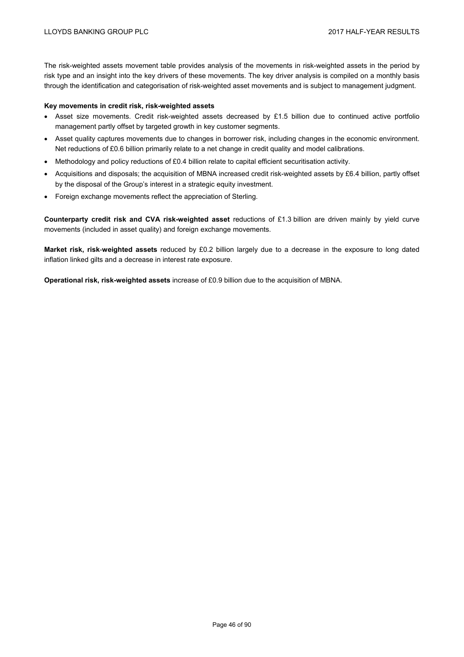The risk-weighted assets movement table provides analysis of the movements in risk-weighted assets in the period by risk type and an insight into the key drivers of these movements. The key driver analysis is compiled on a monthly basis through the identification and categorisation of risk-weighted asset movements and is subject to management judgment.

### **Key movements in credit risk, risk-weighted assets**

- Asset size movements. Credit risk-weighted assets decreased by £1.5 billion due to continued active portfolio management partly offset by targeted growth in key customer segments.
- Asset quality captures movements due to changes in borrower risk, including changes in the economic environment. Net reductions of £0.6 billion primarily relate to a net change in credit quality and model calibrations.
- Methodology and policy reductions of £0.4 billion relate to capital efficient securitisation activity.
- Acquisitions and disposals; the acquisition of MBNA increased credit risk-weighted assets by £6.4 billion, partly offset by the disposal of the Group's interest in a strategic equity investment.
- Foreign exchange movements reflect the appreciation of Sterling.

**Counterparty credit risk and CVA risk-weighted asset** reductions of £1.3 billion are driven mainly by yield curve movements (included in asset quality) and foreign exchange movements.

**Market risk, risk**-**weighted assets** reduced by £0.2 billion largely due to a decrease in the exposure to long dated inflation linked gilts and a decrease in interest rate exposure.

**Operational risk, risk-weighted assets** increase of £0.9 billion due to the acquisition of MBNA.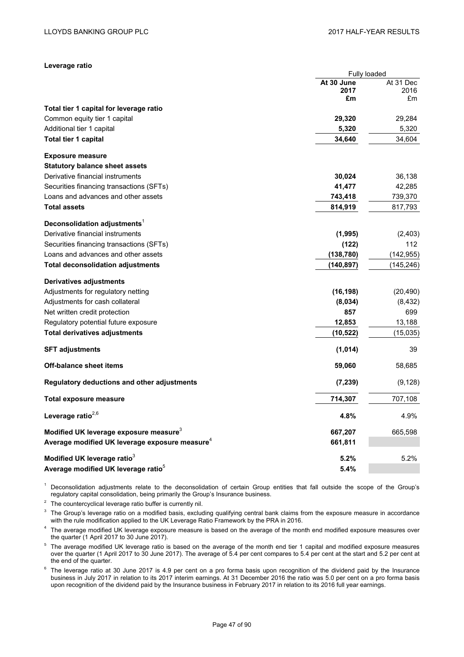| Leverage ratio |  |
|----------------|--|
|----------------|--|

|                                                            | Fully loaded |            |  |  |
|------------------------------------------------------------|--------------|------------|--|--|
|                                                            | At 30 June   | At 31 Dec  |  |  |
|                                                            | 2017         | 2016       |  |  |
|                                                            | £m           | £m         |  |  |
| Total tier 1 capital for leverage ratio                    |              |            |  |  |
| Common equity tier 1 capital                               | 29,320       | 29,284     |  |  |
| Additional tier 1 capital                                  | 5,320        | 5,320      |  |  |
| Total tier 1 capital                                       | 34,640       | 34,604     |  |  |
| <b>Exposure measure</b>                                    |              |            |  |  |
| <b>Statutory balance sheet assets</b>                      |              |            |  |  |
| Derivative financial instruments                           | 30,024       | 36,138     |  |  |
| Securities financing transactions (SFTs)                   | 41,477       | 42,285     |  |  |
| Loans and advances and other assets                        | 743,418      | 739,370    |  |  |
| <b>Total assets</b>                                        | 814,919      | 817,793    |  |  |
| Deconsolidation adjustments <sup>1</sup>                   |              |            |  |  |
| Derivative financial instruments                           | (1, 995)     | (2,403)    |  |  |
| Securities financing transactions (SFTs)                   | (122)        | 112        |  |  |
| Loans and advances and other assets                        | (138, 780)   | (142, 955) |  |  |
| <b>Total deconsolidation adjustments</b>                   | (140,897)    | (145, 246) |  |  |
| Derivatives adjustments                                    |              |            |  |  |
| Adjustments for regulatory netting                         | (16, 198)    | (20, 490)  |  |  |
| Adjustments for cash collateral                            | (8,034)      | (8, 432)   |  |  |
| Net written credit protection                              | 857          | 699        |  |  |
| Regulatory potential future exposure                       | 12,853       | 13,188     |  |  |
| <b>Total derivatives adjustments</b>                       | (10, 522)    | (15,035)   |  |  |
| <b>SFT adjustments</b>                                     | (1,014)      | 39         |  |  |
| <b>Off-balance sheet items</b>                             | 59,060       | 58,685     |  |  |
| Regulatory deductions and other adjustments                | (7, 239)     | (9, 128)   |  |  |
| Total exposure measure                                     | 714,307      | 707,108    |  |  |
| Leverage ratio $^{2,6}$                                    | 4.8%         | 4.9%       |  |  |
| Modified UK leverage exposure measure <sup>3</sup>         | 667,207      | 665,598    |  |  |
| Average modified UK leverage exposure measure <sup>4</sup> | 661,811      |            |  |  |
| Modified UK leverage ratio <sup>3</sup>                    | 5.2%         | 5.2%       |  |  |
| Average modified UK leverage ratio <sup>5</sup>            | 5.4%         |            |  |  |

<sup>1</sup> Deconsolidation adjustments relate to the deconsolidation of certain Group entities that fall outside the scope of the Group's regulatory capital consolidation, being primarily the Group's Insurance business.

 $2$  The countercyclical leverage ratio buffer is currently nil.

 $3$  The Group's leverage ratio on a modified basis, excluding qualifying central bank claims from the exposure measure in accordance with the rule modification applied to the UK Leverage Ratio Framework by the PRA in 2016.

<sup>4</sup> The average modified UK leverage exposure measure is based on the average of the month end modified exposure measures over the quarter (1 April 2017 to 30 June 2017).

- <sup>5</sup> The average modified UK leverage ratio is based on the average of the month end tier 1 capital and modified exposure measures over the quarter (1 April 2017 to 30 June 2017). The average of 5.4 per cent compares to 5.4 per cent at the start and 5.2 per cent at the end of the quarter.
- $6$  The leverage ratio at 30 June 2017 is 4.9 per cent on a pro forma basis upon recognition of the dividend paid by the Insurance business in July 2017 in relation to its 2017 interim earnings. At 31 December 2016 the ratio was 5.0 per cent on a pro forma basis upon recognition of the dividend paid by the Insurance business in February 2017 in relation to its 2016 full year earnings.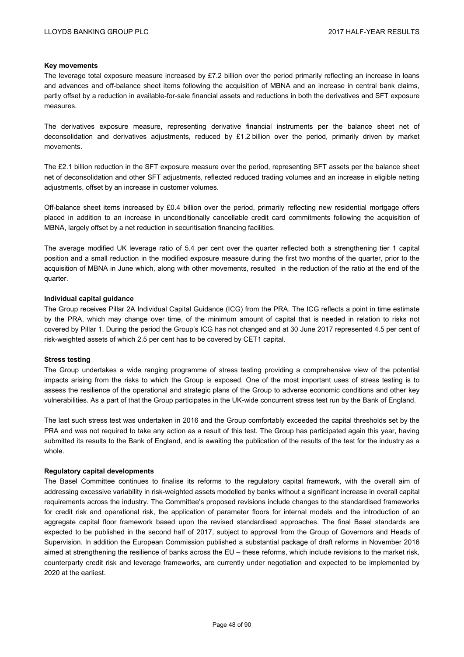### **Key movements**

The leverage total exposure measure increased by £7.2 billion over the period primarily reflecting an increase in loans and advances and off-balance sheet items following the acquisition of MBNA and an increase in central bank claims, partly offset by a reduction in available-for-sale financial assets and reductions in both the derivatives and SFT exposure measures.

The derivatives exposure measure, representing derivative financial instruments per the balance sheet net of deconsolidation and derivatives adjustments, reduced by £1.2 billion over the period, primarily driven by market movements.

The £2.1 billion reduction in the SFT exposure measure over the period, representing SFT assets per the balance sheet net of deconsolidation and other SFT adjustments, reflected reduced trading volumes and an increase in eligible netting adjustments, offset by an increase in customer volumes.

Off-balance sheet items increased by £0.4 billion over the period, primarily reflecting new residential mortgage offers placed in addition to an increase in unconditionally cancellable credit card commitments following the acquisition of MBNA, largely offset by a net reduction in securitisation financing facilities.

The average modified UK leverage ratio of 5.4 per cent over the quarter reflected both a strengthening tier 1 capital position and a small reduction in the modified exposure measure during the first two months of the quarter, prior to the acquisition of MBNA in June which, along with other movements, resulted in the reduction of the ratio at the end of the quarter.

## **Individual capital guidance**

The Group receives Pillar 2A Individual Capital Guidance (ICG) from the PRA. The ICG reflects a point in time estimate by the PRA, which may change over time, of the minimum amount of capital that is needed in relation to risks not covered by Pillar 1. During the period the Group's ICG has not changed and at 30 June 2017 represented 4.5 per cent of risk-weighted assets of which 2.5 per cent has to be covered by CET1 capital.

### **Stress testing**

The Group undertakes a wide ranging programme of stress testing providing a comprehensive view of the potential impacts arising from the risks to which the Group is exposed. One of the most important uses of stress testing is to assess the resilience of the operational and strategic plans of the Group to adverse economic conditions and other key vulnerabilities. As a part of that the Group participates in the UK-wide concurrent stress test run by the Bank of England.

The last such stress test was undertaken in 2016 and the Group comfortably exceeded the capital thresholds set by the PRA and was not required to take any action as a result of this test. The Group has participated again this year, having submitted its results to the Bank of England, and is awaiting the publication of the results of the test for the industry as a whole.

### **Regulatory capital developments**

The Basel Committee continues to finalise its reforms to the regulatory capital framework, with the overall aim of addressing excessive variability in risk-weighted assets modelled by banks without a significant increase in overall capital requirements across the industry. The Committee's proposed revisions include changes to the standardised frameworks for credit risk and operational risk, the application of parameter floors for internal models and the introduction of an aggregate capital floor framework based upon the revised standardised approaches. The final Basel standards are expected to be published in the second half of 2017, subject to approval from the Group of Governors and Heads of Supervision. In addition the European Commission published a substantial package of draft reforms in November 2016 aimed at strengthening the resilience of banks across the EU – these reforms, which include revisions to the market risk, counterparty credit risk and leverage frameworks, are currently under negotiation and expected to be implemented by 2020 at the earliest.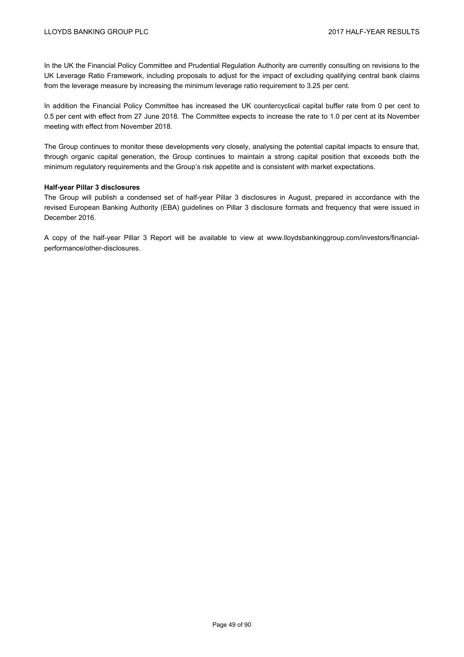In the UK the Financial Policy Committee and Prudential Regulation Authority are currently consulting on revisions to the UK Leverage Ratio Framework, including proposals to adjust for the impact of excluding qualifying central bank claims from the leverage measure by increasing the minimum leverage ratio requirement to 3.25 per cent.

In addition the Financial Policy Committee has increased the UK countercyclical capital buffer rate from 0 per cent to 0.5 per cent with effect from 27 June 2018. The Committee expects to increase the rate to 1.0 per cent at its November meeting with effect from November 2018.

The Group continues to monitor these developments very closely, analysing the potential capital impacts to ensure that, through organic capital generation, the Group continues to maintain a strong capital position that exceeds both the minimum regulatory requirements and the Group's risk appetite and is consistent with market expectations.

## **Half-year Pillar 3 disclosures**

The Group will publish a condensed set of half-year Pillar 3 disclosures in August, prepared in accordance with the revised European Banking Authority (EBA) guidelines on Pillar 3 disclosure formats and frequency that were issued in December 2016.

A copy of the half-year Pillar 3 Report will be available to view at www.lloydsbankinggroup.com/investors/financialperformance/other-disclosures.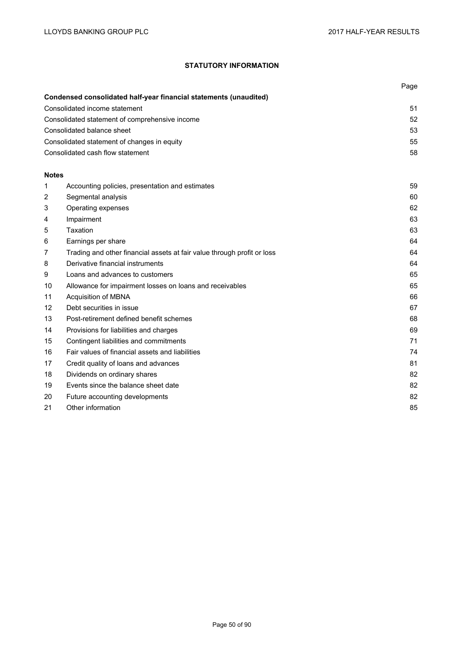# **STATUTORY INFORMATION**

|              |                                                                         | Page |
|--------------|-------------------------------------------------------------------------|------|
|              | Condensed consolidated half-year financial statements (unaudited)       |      |
|              | Consolidated income statement                                           | 51   |
|              | Consolidated statement of comprehensive income                          | 52   |
|              | Consolidated balance sheet                                              | 53   |
|              | Consolidated statement of changes in equity                             | 55   |
|              | Consolidated cash flow statement                                        | 58   |
|              |                                                                         |      |
| <b>Notes</b> |                                                                         |      |
| 1            | Accounting policies, presentation and estimates                         | 59   |
| 2            | Segmental analysis                                                      | 60   |
| 3            | Operating expenses                                                      | 62   |
| 4            | Impairment                                                              | 63   |
| 5            | Taxation                                                                | 63   |
| 6            | Earnings per share                                                      | 64   |
| 7            | Trading and other financial assets at fair value through profit or loss | 64   |
| 8            | Derivative financial instruments                                        | 64   |
| 9            | Loans and advances to customers                                         | 65   |
| 10           | Allowance for impairment losses on loans and receivables                | 65   |
| 11           | Acquisition of MBNA                                                     | 66   |
| 12           | Debt securities in issue                                                | 67   |
| 13           | Post-retirement defined benefit schemes                                 | 68   |
| 14           | Provisions for liabilities and charges                                  | 69   |
| 15           | Contingent liabilities and commitments                                  | 71   |
| 16           | Fair values of financial assets and liabilities                         | 74   |
| 17           | Credit quality of loans and advances                                    | 81   |
| 18           | Dividends on ordinary shares                                            | 82   |
| 19           | Events since the balance sheet date                                     | 82   |
| 20           | Future accounting developments                                          | 82   |
| 21           | Other information                                                       | 85   |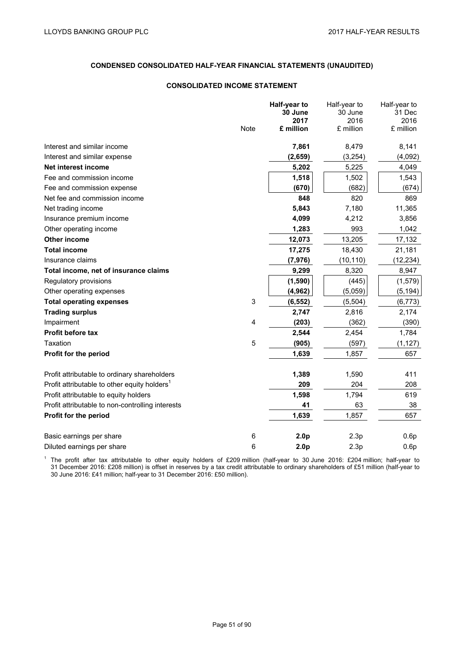# **CONDENSED CONSOLIDATED HALF-YEAR FINANCIAL STATEMENTS (UNAUDITED)**

### **CONSOLIDATED INCOME STATEMENT**

|                                                          |             | Half-year to     | Half-year to    | Half-year to   |
|----------------------------------------------------------|-------------|------------------|-----------------|----------------|
|                                                          |             | 30 June<br>2017  | 30 June<br>2016 | 31 Dec<br>2016 |
|                                                          | <b>Note</b> | £ million        | £ million       | £ million      |
|                                                          |             |                  |                 |                |
| Interest and similar income                              |             | 7,861            | 8,479           | 8,141          |
| Interest and similar expense                             |             | (2,659)          | (3,254)         | (4,092)        |
| Net interest income                                      |             | 5,202            | 5,225           | 4,049          |
| Fee and commission income                                |             | 1,518            | 1,502           | 1,543          |
| Fee and commission expense                               |             | (670)            | (682)           | (674)          |
| Net fee and commission income                            |             | 848              | 820             | 869            |
| Net trading income                                       |             | 5,843            | 7,180           | 11,365         |
| Insurance premium income                                 |             | 4,099            | 4,212           | 3,856          |
| Other operating income                                   |             | 1,283            | 993             | 1,042          |
| Other income                                             |             | 12,073           | 13,205          | 17,132         |
| <b>Total income</b>                                      |             | 17,275           | 18,430          | 21,181         |
| Insurance claims                                         |             | (7, 976)         | (10, 110)       | (12, 234)      |
| Total income, net of insurance claims                    |             | 9,299            | 8,320           | 8,947          |
| Regulatory provisions                                    |             | (1,590)          | (445)           | (1, 579)       |
| Other operating expenses                                 |             | (4, 962)         | (5,059)         | (5, 194)       |
| <b>Total operating expenses</b>                          | 3           | (6, 552)         | (5, 504)        | (6, 773)       |
| <b>Trading surplus</b>                                   |             | 2,747            | 2,816           | 2,174          |
| Impairment                                               | 4           | (203)            | (362)           | (390)          |
| <b>Profit before tax</b>                                 |             | 2,544            | 2,454           | 1,784          |
| Taxation                                                 | 5           | (905)            | (597)           | (1, 127)       |
| Profit for the period                                    |             | 1,639            | 1,857           | 657            |
|                                                          |             |                  |                 |                |
| Profit attributable to ordinary shareholders             |             | 1,389            | 1,590           | 411            |
| Profit attributable to other equity holders <sup>1</sup> |             | 209              | 204             | 208            |
| Profit attributable to equity holders                    |             | 1,598            | 1,794           | 619            |
| Profit attributable to non-controlling interests         |             | 41               | 63              | 38             |
| Profit for the period                                    |             | 1,639            | 1,857           | 657            |
|                                                          |             |                  |                 |                |
| Basic earnings per share                                 | 6           | 2.0 <sub>p</sub> | 2.3p            | 0.6p           |
| Diluted earnings per share                               | 6           | 2.0 <sub>p</sub> | 2.3p            | 0.6p           |

<sup>1</sup> The profit after tax attributable to other equity holders of £209 million (half-year to 30 June 2016: £204 million; half-year to 31 December 2016: £208 million) is offset in reserves by a tax credit attributable to ordinary shareholders of £51 million (half-year to 30 June 2016: £41 million; half-year to 31 December 2016: £50 million).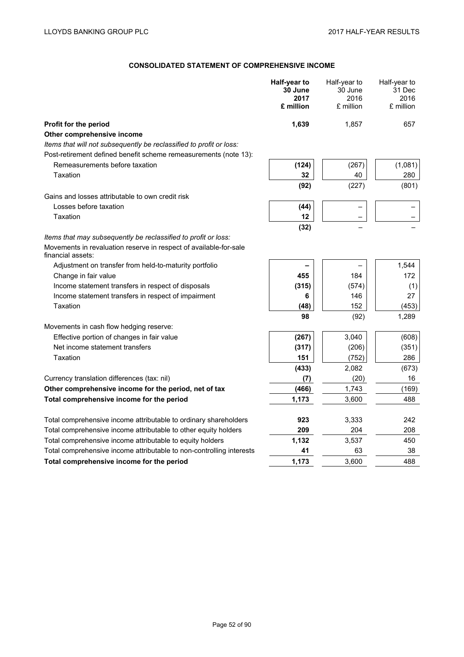# **CONSOLIDATED STATEMENT OF COMPREHENSIVE INCOME**

|                                                                                        | Half-year to<br>30 June<br>2017<br>£ million | Half-year to<br>30 June<br>2016<br>£ million | Half-year to<br>31 Dec<br>2016<br>£ million |
|----------------------------------------------------------------------------------------|----------------------------------------------|----------------------------------------------|---------------------------------------------|
| Profit for the period                                                                  | 1,639                                        | 1,857                                        | 657                                         |
| Other comprehensive income                                                             |                                              |                                              |                                             |
| Items that will not subsequently be reclassified to profit or loss:                    |                                              |                                              |                                             |
| Post-retirement defined benefit scheme remeasurements (note 13):                       |                                              |                                              |                                             |
| Remeasurements before taxation                                                         | (124)                                        | (267)                                        | (1,081)                                     |
| Taxation                                                                               | 32                                           | 40                                           | 280                                         |
|                                                                                        | (92)                                         | (227)                                        | (801)                                       |
| Gains and losses attributable to own credit risk                                       |                                              |                                              |                                             |
| Losses before taxation                                                                 | (44)                                         |                                              |                                             |
| Taxation                                                                               | 12                                           |                                              |                                             |
|                                                                                        | (32)                                         |                                              |                                             |
| Items that may subsequently be reclassified to profit or loss:                         |                                              |                                              |                                             |
| Movements in revaluation reserve in respect of available-for-sale<br>financial assets: |                                              |                                              |                                             |
| Adjustment on transfer from held-to-maturity portfolio                                 |                                              |                                              | 1,544                                       |
| Change in fair value                                                                   | 455                                          | 184                                          | 172                                         |
| Income statement transfers in respect of disposals                                     | (315)                                        | (574)                                        | (1)                                         |
| Income statement transfers in respect of impairment                                    | 6                                            | 146                                          | 27                                          |
| Taxation                                                                               | (48)                                         | 152                                          | (453)                                       |
|                                                                                        | 98                                           | (92)                                         | 1,289                                       |
| Movements in cash flow hedging reserve:                                                |                                              |                                              |                                             |
| Effective portion of changes in fair value                                             | (267)                                        | 3,040                                        | (608)                                       |
| Net income statement transfers                                                         | (317)                                        | (206)                                        | (351)                                       |
| Taxation                                                                               | 151                                          | (752)                                        | 286                                         |
|                                                                                        | (433)                                        | 2,082                                        | (673)                                       |
| Currency translation differences (tax: nil)                                            | (7)                                          | (20)                                         | 16                                          |
| Other comprehensive income for the period, net of tax                                  | (466)                                        | 1,743                                        | (169)                                       |
| Total comprehensive income for the period                                              | 1,173                                        | 3,600                                        | 488                                         |
| Total comprehensive income attributable to ordinary shareholders                       | 923                                          | 3,333                                        | 242                                         |
| Total comprehensive income attributable to other equity holders                        | 209                                          | 204                                          | 208                                         |
| Total comprehensive income attributable to equity holders                              | 1,132                                        | 3,537                                        | 450                                         |
| Total comprehensive income attributable to non-controlling interests                   | 41                                           | 63                                           | 38                                          |
| Total comprehensive income for the period                                              | 1,173                                        | 3,600                                        | 488                                         |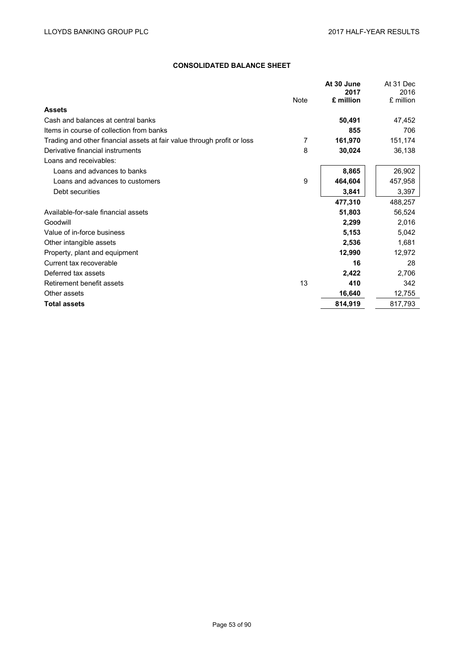# **CONSOLIDATED BALANCE SHEET**

|                                                                         |      | At 30 June<br>2017 | At 31 Dec<br>2016 |
|-------------------------------------------------------------------------|------|--------------------|-------------------|
|                                                                         | Note | £ million          | £ million         |
| <b>Assets</b>                                                           |      |                    |                   |
| Cash and balances at central banks                                      |      | 50,491             | 47,452            |
| Items in course of collection from banks                                |      | 855                | 706               |
| Trading and other financial assets at fair value through profit or loss | 7    | 161,970            | 151,174           |
| Derivative financial instruments                                        | 8    | 30,024             | 36,138            |
| Loans and receivables:                                                  |      |                    |                   |
| Loans and advances to banks                                             |      | 8,865              | 26,902            |
| Loans and advances to customers                                         | 9    | 464,604            | 457,958           |
| Debt securities                                                         |      | 3,841              | 3,397             |
|                                                                         |      | 477,310            | 488,257           |
| Available-for-sale financial assets                                     |      | 51,803             | 56,524            |
| Goodwill                                                                |      | 2,299              | 2,016             |
| Value of in-force business                                              |      | 5,153              | 5,042             |
| Other intangible assets                                                 |      | 2,536              | 1,681             |
| Property, plant and equipment                                           |      | 12,990             | 12,972            |
| Current tax recoverable                                                 |      | 16                 | 28                |
| Deferred tax assets                                                     |      | 2,422              | 2,706             |
| Retirement benefit assets                                               | 13   | 410                | 342               |
| Other assets                                                            |      | 16,640             | 12,755            |
| <b>Total assets</b>                                                     |      | 814,919            | 817,793           |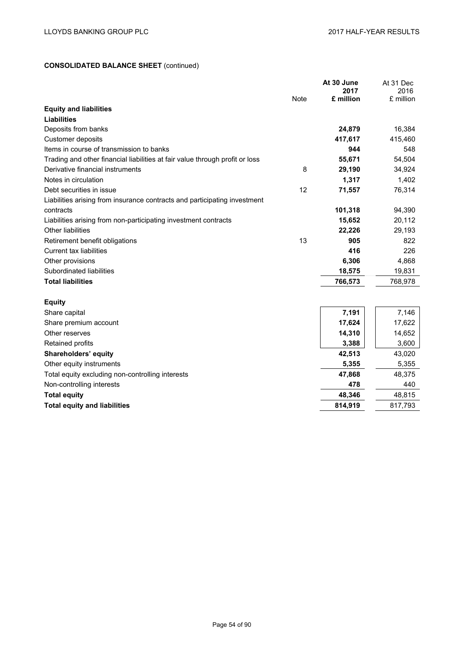# **CONSOLIDATED BALANCE SHEET** (continued)

|                                                                              |             | At 30 June<br>2017 | At 31 Dec         |
|------------------------------------------------------------------------------|-------------|--------------------|-------------------|
|                                                                              | <b>Note</b> | £ million          | 2016<br>£ million |
| <b>Equity and liabilities</b>                                                |             |                    |                   |
| <b>Liabilities</b>                                                           |             |                    |                   |
| Deposits from banks                                                          |             | 24,879             | 16,384            |
| Customer deposits                                                            |             | 417,617            | 415,460           |
| Items in course of transmission to banks                                     |             | 944                | 548               |
| Trading and other financial liabilities at fair value through profit or loss |             | 55,671             | 54,504            |
| Derivative financial instruments                                             | 8           | 29,190             | 34,924            |
| Notes in circulation                                                         |             | 1,317              | 1,402             |
| Debt securities in issue                                                     | 12          | 71,557             | 76,314            |
| Liabilities arising from insurance contracts and participating investment    |             |                    |                   |
| contracts                                                                    |             | 101,318            | 94,390            |
| Liabilities arising from non-participating investment contracts              |             | 15,652             | 20,112            |
| Other liabilities                                                            |             | 22,226             | 29,193            |
| Retirement benefit obligations                                               | 13          | 905                | 822               |
| <b>Current tax liabilities</b>                                               |             | 416                | 226               |
| Other provisions                                                             |             | 6,306              | 4,868             |
| Subordinated liabilities                                                     |             | 18,575             | 19,831            |
| <b>Total liabilities</b>                                                     |             | 766,573            | 768,978           |
|                                                                              |             |                    |                   |
| <b>Equity</b>                                                                |             |                    |                   |
| Share capital                                                                |             | 7,191              | 7,146             |
| Share premium account                                                        |             | 17,624             | 17,622            |
| Other reserves                                                               |             | 14,310             | 14,652            |
| Retained profits                                                             |             | 3,388              | 3,600             |
| Shareholders' equity                                                         |             | 42,513             | 43,020            |

| Other equity instruments                         | 5.355   | 5.355   |
|--------------------------------------------------|---------|---------|
| Total equity excluding non-controlling interests | 47.868  | 48.375  |
| Non-controlling interests                        | 478     | 440     |
| <b>Total equity</b>                              | 48.346  | 48.815  |
| <b>Total equity and liabilities</b>              | 814.919 | 817.793 |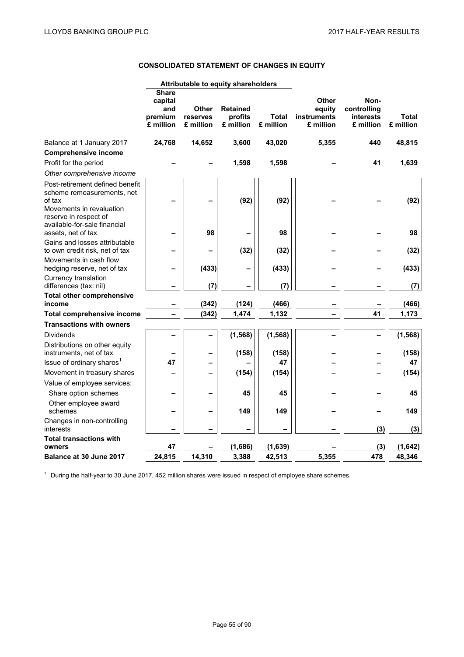# **CONSOLIDATED STATEMENT OF CHANGES IN EQUITY**

|                                                                                                                                                              | <b>Share</b><br>capital<br>and<br>premium<br>£ million | Other<br>reserves<br>£ million | <b>Retained</b><br>profits<br>£ million | <b>Total</b><br>£ million | Other<br>equity<br><b>instruments</b><br>£ million | Non-<br>controlling<br>interests<br>£ million | <b>Total</b><br>£ million |
|--------------------------------------------------------------------------------------------------------------------------------------------------------------|--------------------------------------------------------|--------------------------------|-----------------------------------------|---------------------------|----------------------------------------------------|-----------------------------------------------|---------------------------|
| Balance at 1 January 2017                                                                                                                                    | 24,768                                                 | 14,652                         | 3,600                                   | 43,020                    | 5,355                                              | 440                                           | 48,815                    |
| <b>Comprehensive income</b>                                                                                                                                  |                                                        |                                |                                         |                           |                                                    |                                               |                           |
| Profit for the period                                                                                                                                        |                                                        |                                | 1,598                                   | 1,598                     |                                                    | 41                                            | 1,639                     |
| Other comprehensive income                                                                                                                                   |                                                        |                                |                                         |                           |                                                    |                                               |                           |
| Post-retirement defined benefit<br>scheme remeasurements, net<br>of tax<br>Movements in revaluation<br>reserve in respect of<br>available-for-sale financial |                                                        |                                | (92)                                    | (92)                      |                                                    |                                               | (92)                      |
| assets, net of tax                                                                                                                                           |                                                        | 98                             |                                         | 98                        |                                                    |                                               | 98                        |
| Gains and losses attributable<br>to own credit risk, net of tax                                                                                              |                                                        |                                | (32)                                    | (32)                      |                                                    |                                               | (32)                      |
| Movements in cash flow<br>hedging reserve, net of tax                                                                                                        |                                                        | (433)                          |                                         | (433)                     |                                                    |                                               | (433)                     |
| Currency translation<br>differences (tax: nil)                                                                                                               |                                                        | (7)                            |                                         | (7)                       |                                                    |                                               | (7)                       |
| <b>Total other comprehensive</b><br>income                                                                                                                   |                                                        | (342)                          | (124)                                   | (466)                     |                                                    |                                               | (466)                     |
| Total comprehensive income                                                                                                                                   |                                                        | (342)                          | 1,474                                   | 1,132                     |                                                    | 41                                            | 1,173                     |
| <b>Transactions with owners</b>                                                                                                                              |                                                        |                                |                                         |                           |                                                    |                                               |                           |
| <b>Dividends</b>                                                                                                                                             |                                                        |                                | (1, 568)                                | (1, 568)                  | ۰                                                  |                                               | (1, 568)                  |
| Distributions on other equity<br>instruments, net of tax                                                                                                     |                                                        |                                | (158)                                   | (158)                     |                                                    |                                               | (158)                     |
| Issue of ordinary shares <sup>1</sup>                                                                                                                        | 47                                                     |                                |                                         | 47                        |                                                    | -                                             | 47                        |
| Movement in treasury shares                                                                                                                                  |                                                        |                                | (154)                                   | (154)                     |                                                    |                                               | (154)                     |
| Value of employee services:                                                                                                                                  |                                                        |                                |                                         |                           |                                                    |                                               |                           |
| Share option schemes                                                                                                                                         |                                                        |                                | 45                                      | 45                        |                                                    |                                               | 45                        |
| Other employee award<br>schemes                                                                                                                              |                                                        |                                | 149                                     | 149                       |                                                    | -                                             | 149                       |
| Changes in non-controlling<br>interests                                                                                                                      |                                                        |                                |                                         |                           |                                                    | (3)                                           | (3)                       |
| <b>Total transactions with</b>                                                                                                                               |                                                        |                                |                                         |                           |                                                    |                                               |                           |
| owners                                                                                                                                                       | 47                                                     |                                | (1,686)                                 | (1,639)                   |                                                    | (3)                                           | (1,642)                   |
| Balance at 30 June 2017                                                                                                                                      | 24,815                                                 | 14,310                         | 3,388                                   | 42,513                    | 5,355                                              | 478                                           | 48,346                    |

**Attributable to equity shareholders** 

<sup>1</sup> During the half-year to 30 June 2017, 452 million shares were issued in respect of employee share schemes.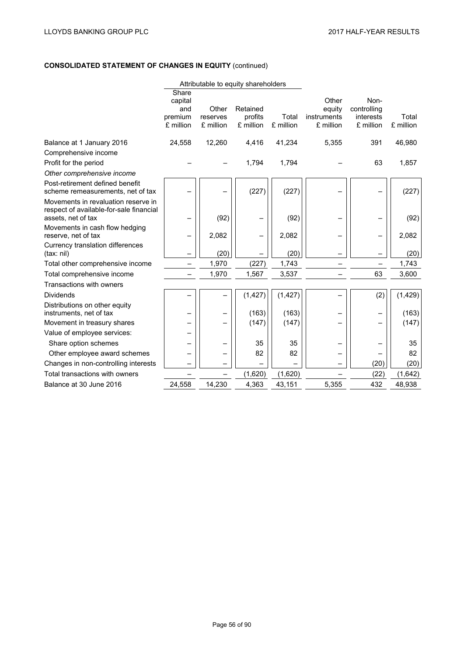# **CONSOLIDATED STATEMENT OF CHANGES IN EQUITY** (continued)

|                                                                                                      |                                                 |                                | Attributable to equity shareholders |                    |                                             |                                               |                    |
|------------------------------------------------------------------------------------------------------|-------------------------------------------------|--------------------------------|-------------------------------------|--------------------|---------------------------------------------|-----------------------------------------------|--------------------|
|                                                                                                      | Share<br>capital<br>and<br>premium<br>£ million | Other<br>reserves<br>£ million | Retained<br>profits<br>£ million    | Total<br>£ million | Other<br>equity<br>instruments<br>£ million | Non-<br>controlling<br>interests<br>£ million | Total<br>£ million |
| Balance at 1 January 2016                                                                            | 24,558                                          | 12,260                         | 4,416                               | 41,234             | 5,355                                       | 391                                           | 46,980             |
| Comprehensive income                                                                                 |                                                 |                                |                                     |                    |                                             |                                               |                    |
| Profit for the period                                                                                |                                                 |                                | 1,794                               | 1,794              |                                             | 63                                            | 1,857              |
| Other comprehensive income                                                                           |                                                 |                                |                                     |                    |                                             |                                               |                    |
| Post-retirement defined benefit<br>scheme remeasurements, net of tax                                 |                                                 |                                | (227)                               | (227)              |                                             |                                               | (227)              |
| Movements in revaluation reserve in<br>respect of available-for-sale financial<br>assets, net of tax |                                                 | (92)                           | $\overline{\phantom{0}}$            | (92)               |                                             |                                               | (92)               |
| Movements in cash flow hedging<br>reserve, net of tax                                                |                                                 | 2,082                          | -                                   | 2,082              |                                             | -                                             | 2,082              |
| Currency translation differences<br>(tax: nil)                                                       |                                                 | (20)                           |                                     | (20)               |                                             |                                               | (20)               |
| Total other comprehensive income                                                                     |                                                 | 1,970                          | (227)                               | 1,743              |                                             |                                               | 1,743              |
| Total comprehensive income                                                                           |                                                 | 1,970                          | 1,567                               | 3,537              |                                             | 63                                            | 3,600              |
| Transactions with owners                                                                             |                                                 |                                |                                     |                    |                                             |                                               |                    |
| <b>Dividends</b>                                                                                     |                                                 |                                | (1, 427)                            | (1, 427)           |                                             | (2)                                           | (1,429)            |
| Distributions on other equity<br>instruments, net of tax                                             |                                                 |                                | (163)                               | (163)              |                                             |                                               | (163)              |
| Movement in treasury shares                                                                          |                                                 |                                | (147)                               | (147)              |                                             |                                               | (147)              |
| Value of employee services:                                                                          |                                                 |                                |                                     |                    |                                             |                                               |                    |
| Share option schemes                                                                                 |                                                 |                                | 35                                  | 35                 |                                             |                                               | 35                 |
| Other employee award schemes                                                                         |                                                 |                                | 82                                  | 82                 |                                             |                                               | 82                 |
| Changes in non-controlling interests                                                                 |                                                 |                                |                                     |                    |                                             | (20)                                          | (20)               |
| Total transactions with owners                                                                       |                                                 |                                | (1,620)                             | (1,620)            |                                             | (22)                                          | (1,642)            |
| Balance at 30 June 2016                                                                              | 24,558                                          | 14,230                         | 4,363                               | 43,151             | 5,355                                       | 432                                           | 48,938             |
|                                                                                                      |                                                 |                                |                                     |                    |                                             |                                               |                    |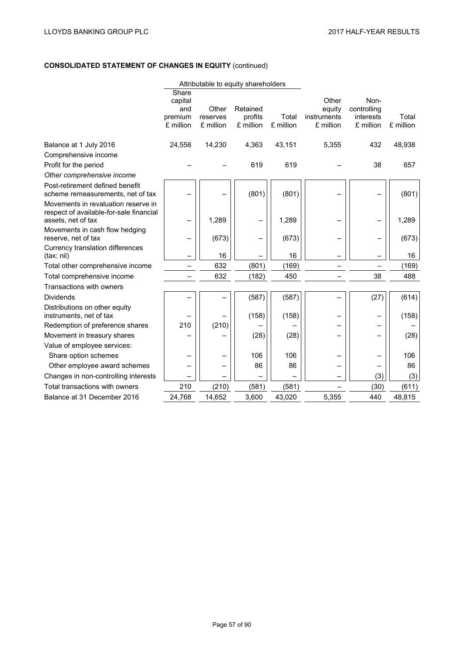# **CONSOLIDATED STATEMENT OF CHANGES IN EQUITY** (continued)

|                                                                                                      |                                                 |                                | Attributable to equity shareholders |                    |                                             |                                               |                    |
|------------------------------------------------------------------------------------------------------|-------------------------------------------------|--------------------------------|-------------------------------------|--------------------|---------------------------------------------|-----------------------------------------------|--------------------|
|                                                                                                      | Share<br>capital<br>and<br>premium<br>£ million | Other<br>reserves<br>£ million | Retained<br>profits<br>£ million    | Total<br>£ million | Other<br>equity<br>instruments<br>£ million | Non-<br>controlling<br>interests<br>£ million | Total<br>£ million |
| Balance at 1 July 2016                                                                               | 24,558                                          | 14,230                         | 4,363                               | 43,151             | 5,355                                       | 432                                           | 48,938             |
| Comprehensive income                                                                                 |                                                 |                                |                                     |                    |                                             |                                               |                    |
| Profit for the period                                                                                |                                                 |                                | 619                                 | 619                |                                             | 38                                            | 657                |
| Other comprehensive income                                                                           |                                                 |                                |                                     |                    |                                             |                                               |                    |
| Post-retirement defined benefit<br>scheme remeasurements, net of tax                                 |                                                 |                                | (801)                               | (801)              |                                             |                                               | (801)              |
| Movements in revaluation reserve in<br>respect of available-for-sale financial<br>assets, net of tax |                                                 | 1,289                          |                                     | 1,289              |                                             |                                               | 1,289              |
| Movements in cash flow hedging<br>reserve, net of tax                                                |                                                 | (673)                          |                                     | (673)              |                                             |                                               | (673)              |
| Currency translation differences<br>(tax: nil)                                                       |                                                 | 16                             |                                     | 16                 |                                             |                                               | 16                 |
| Total other comprehensive income                                                                     |                                                 | 632                            | (801)                               | (169)              |                                             |                                               | (169)              |
| Total comprehensive income                                                                           |                                                 | 632                            | (182)                               | 450                |                                             | 38                                            | 488                |
| Transactions with owners                                                                             |                                                 |                                |                                     |                    |                                             |                                               |                    |
| <b>Dividends</b>                                                                                     |                                                 |                                | (587)                               | (587)              |                                             | (27)                                          | (614)              |
| Distributions on other equity<br>instruments, net of tax                                             |                                                 |                                | (158)                               | (158)              |                                             |                                               | (158)              |
| Redemption of preference shares                                                                      | 210                                             | (210)                          |                                     |                    |                                             |                                               |                    |
| Movement in treasury shares                                                                          |                                                 |                                | (28)                                | (28)               |                                             |                                               | (28)               |
| Value of employee services:                                                                          |                                                 |                                |                                     |                    |                                             |                                               |                    |
| Share option schemes                                                                                 |                                                 |                                | 106                                 | 106                |                                             |                                               | 106                |
| Other employee award schemes                                                                         |                                                 |                                | 86                                  | 86                 |                                             |                                               | 86                 |
| Changes in non-controlling interests                                                                 |                                                 |                                |                                     |                    |                                             | (3)                                           | (3)                |
| Total transactions with owners                                                                       | 210                                             | (210)                          | (581)                               | (581)              |                                             | (30)                                          | (611)              |
| Balance at 31 December 2016                                                                          | 24,768                                          | 14,652                         | 3,600                               | 43,020             | 5,355                                       | 440                                           | 48,815             |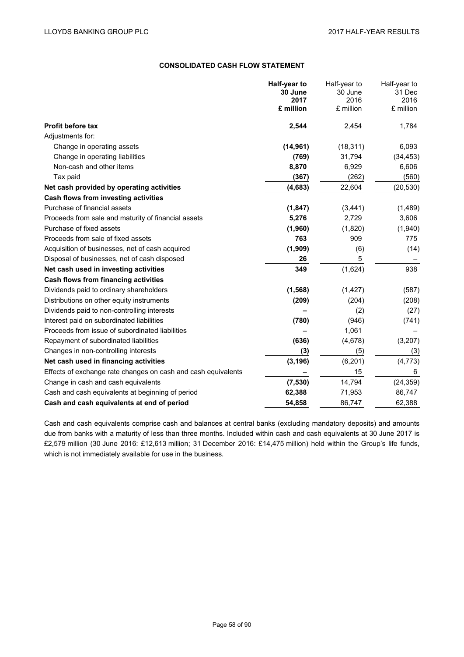# **CONSOLIDATED CASH FLOW STATEMENT**

|                                                               | Half-year to      | Half-year to      | Half-year to      |
|---------------------------------------------------------------|-------------------|-------------------|-------------------|
|                                                               | 30 June           | 30 June           | 31 Dec            |
|                                                               | 2017<br>£ million | 2016<br>£ million | 2016<br>£ million |
|                                                               |                   |                   |                   |
| <b>Profit before tax</b>                                      | 2,544             | 2,454             | 1,784             |
| Adjustments for:                                              |                   |                   |                   |
| Change in operating assets                                    | (14, 961)         | (18, 311)         | 6,093             |
| Change in operating liabilities                               | (769)             | 31,794            | (34, 453)         |
| Non-cash and other items                                      | 8,870             | 6,929             | 6,606             |
| Tax paid                                                      | (367)             | (262)             | (560)             |
| Net cash provided by operating activities                     | (4, 683)          | 22,604            | (20, 530)         |
| Cash flows from investing activities                          |                   |                   |                   |
| Purchase of financial assets                                  | (1, 847)          | (3, 441)          | (1,489)           |
| Proceeds from sale and maturity of financial assets           | 5,276             | 2,729             | 3,606             |
| Purchase of fixed assets                                      | (1,960)           | (1,820)           | (1,940)           |
| Proceeds from sale of fixed assets                            | 763               | 909               | 775               |
| Acquisition of businesses, net of cash acquired               | (1,909)           | (6)               | (14)              |
| Disposal of businesses, net of cash disposed                  | 26                | 5                 |                   |
| Net cash used in investing activities                         | 349               | (1,624)           | 938               |
| Cash flows from financing activities                          |                   |                   |                   |
| Dividends paid to ordinary shareholders                       | (1, 568)          | (1, 427)          | (587)             |
| Distributions on other equity instruments                     | (209)             | (204)             | (208)             |
| Dividends paid to non-controlling interests                   |                   | (2)               | (27)              |
| Interest paid on subordinated liabilities                     | (780)             | (946)             | (741)             |
| Proceeds from issue of subordinated liabilities               |                   | 1,061             |                   |
| Repayment of subordinated liabilities                         | (636)             | (4,678)           | (3, 207)          |
| Changes in non-controlling interests                          | (3)               | (5)               | (3)               |
| Net cash used in financing activities                         | (3, 196)          | (6, 201)          | (4, 773)          |
| Effects of exchange rate changes on cash and cash equivalents |                   | 15                | 6                 |
| Change in cash and cash equivalents                           | (7, 530)          | 14,794            | (24, 359)         |
| Cash and cash equivalents at beginning of period              | 62,388            | 71,953            | 86,747            |
| Cash and cash equivalents at end of period                    | 54,858            | 86,747            | 62,388            |

Cash and cash equivalents comprise cash and balances at central banks (excluding mandatory deposits) and amounts due from banks with a maturity of less than three months. Included within cash and cash equivalents at 30 June 2017 is £2,579 million (30 June 2016: £12,613 million; 31 December 2016: £14,475 million) held within the Group's life funds, which is not immediately available for use in the business.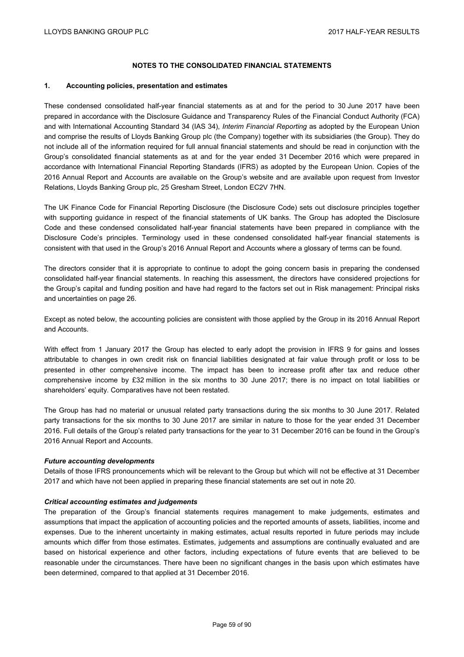## **NOTES TO THE CONSOLIDATED FINANCIAL STATEMENTS**

#### **1. Accounting policies, presentation and estimates**

These condensed consolidated half-year financial statements as at and for the period to 30 June 2017 have been prepared in accordance with the Disclosure Guidance and Transparency Rules of the Financial Conduct Authority (FCA) and with International Accounting Standard 34 (IAS 34), *Interim Financial Reporting* as adopted by the European Union and comprise the results of Lloyds Banking Group plc (the Company) together with its subsidiaries (the Group). They do not include all of the information required for full annual financial statements and should be read in conjunction with the Group's consolidated financial statements as at and for the year ended 31 December 2016 which were prepared in accordance with International Financial Reporting Standards (IFRS) as adopted by the European Union. Copies of the 2016 Annual Report and Accounts are available on the Group's website and are available upon request from Investor Relations, Lloyds Banking Group plc, 25 Gresham Street, London EC2V 7HN.

The UK Finance Code for Financial Reporting Disclosure (the Disclosure Code) sets out disclosure principles together with supporting guidance in respect of the financial statements of UK banks. The Group has adopted the Disclosure Code and these condensed consolidated half-year financial statements have been prepared in compliance with the Disclosure Code's principles. Terminology used in these condensed consolidated half-year financial statements is consistent with that used in the Group's 2016 Annual Report and Accounts where a glossary of terms can be found.

The directors consider that it is appropriate to continue to adopt the going concern basis in preparing the condensed consolidated half-year financial statements. In reaching this assessment, the directors have considered projections for the Group's capital and funding position and have had regard to the factors set out in Risk management: Principal risks and uncertainties on page 26.

Except as noted below, the accounting policies are consistent with those applied by the Group in its 2016 Annual Report and Accounts.

With effect from 1 January 2017 the Group has elected to early adopt the provision in IFRS 9 for gains and losses attributable to changes in own credit risk on financial liabilities designated at fair value through profit or loss to be presented in other comprehensive income. The impact has been to increase profit after tax and reduce other comprehensive income by £32 million in the six months to 30 June 2017; there is no impact on total liabilities or shareholders' equity. Comparatives have not been restated.

The Group has had no material or unusual related party transactions during the six months to 30 June 2017. Related party transactions for the six months to 30 June 2017 are similar in nature to those for the year ended 31 December 2016. Full details of the Group's related party transactions for the year to 31 December 2016 can be found in the Group's 2016 Annual Report and Accounts.

### *Future accounting developments*

Details of those IFRS pronouncements which will be relevant to the Group but which will not be effective at 31 December 2017 and which have not been applied in preparing these financial statements are set out in note 20.

### *Critical accounting estimates and judgements*

The preparation of the Group's financial statements requires management to make judgements, estimates and assumptions that impact the application of accounting policies and the reported amounts of assets, liabilities, income and expenses. Due to the inherent uncertainty in making estimates, actual results reported in future periods may include amounts which differ from those estimates. Estimates, judgements and assumptions are continually evaluated and are based on historical experience and other factors, including expectations of future events that are believed to be reasonable under the circumstances. There have been no significant changes in the basis upon which estimates have been determined, compared to that applied at 31 December 2016.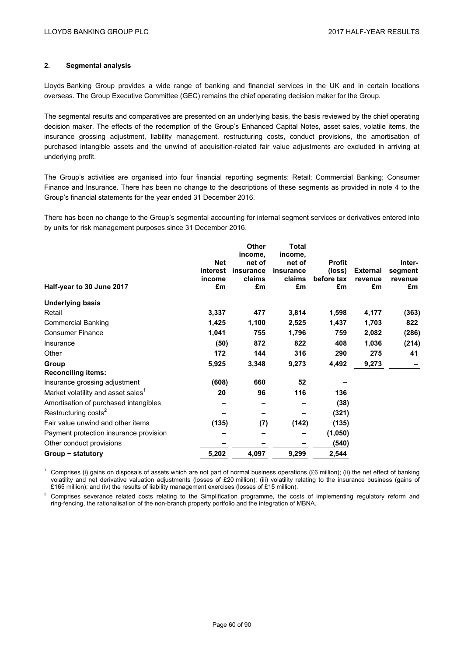# **2. Segmental analysis**

Lloyds Banking Group provides a wide range of banking and financial services in the UK and in certain locations overseas. The Group Executive Committee (GEC) remains the chief operating decision maker for the Group.

The segmental results and comparatives are presented on an underlying basis, the basis reviewed by the chief operating decision maker. The effects of the redemption of the Group's Enhanced Capital Notes, asset sales, volatile items, the insurance grossing adjustment, liability management, restructuring costs, conduct provisions, the amortisation of purchased intangible assets and the unwind of acquisition-related fair value adjustments are excluded in arriving at underlying profit.

The Group's activities are organised into four financial reporting segments: Retail; Commercial Banking; Consumer Finance and Insurance. There has been no change to the descriptions of these segments as provided in note 4 to the Group's financial statements for the year ended 31 December 2016.

There has been no change to the Group's segmental accounting for internal segment services or derivatives entered into by units for risk management purposes since 31 December 2016.

|                                                |            | <b>Other</b> | Total     |               |                 |         |
|------------------------------------------------|------------|--------------|-----------|---------------|-----------------|---------|
|                                                |            | income,      | income,   |               |                 |         |
|                                                | <b>Net</b> | net of       | net of    | <b>Profit</b> |                 | Inter-  |
|                                                | interest   | insurance    | insurance | (loss)        | <b>External</b> | segment |
|                                                | income     | claims       | claims    | before tax    | revenue         | revenue |
| Half-year to 30 June 2017                      | £m         | £m           | £m        | £m            | £m              | £m      |
| <b>Underlying basis</b>                        |            |              |           |               |                 |         |
| Retail                                         | 3,337      | 477          | 3,814     | 1,598         | 4,177           | (363)   |
| <b>Commercial Banking</b>                      | 1,425      | 1,100        | 2,525     | 1,437         | 1,703           | 822     |
| <b>Consumer Finance</b>                        | 1,041      | 755          | 1,796     | 759           | 2,082           | (286)   |
| Insurance                                      | (50)       | 872          | 822       | 408           | 1,036           | (214)   |
| Other                                          | 172        | 144          | 316       | 290           | 275             | 41      |
| Group                                          | 5,925      | 3,348        | 9,273     | 4,492         | 9,273           |         |
| <b>Reconciling items:</b>                      |            |              |           |               |                 |         |
| Insurance grossing adjustment                  | (608)      | 660          | 52        |               |                 |         |
| Market volatility and asset sales <sup>1</sup> | 20         | 96           | 116       | 136           |                 |         |
| Amortisation of purchased intangibles          |            |              |           | (38)          |                 |         |
| Restructuring costs <sup>2</sup>               |            |              |           | (321)         |                 |         |
| Fair value unwind and other items              | (135)      | (7)          | (142)     | (135)         |                 |         |
| Payment protection insurance provision         |            |              |           | (1,050)       |                 |         |
| Other conduct provisions                       |            |              |           | (540)         |                 |         |
| Group - statutory                              | 5,202      | 4,097        | 9,299     | 2,544         |                 |         |

<sup>1</sup> Comprises (i) gains on disposals of assets which are not part of normal business operations (£6 million); (ii) the net effect of banking volatility and net derivative valuation adjustments (losses of £20 million); (iii) volatility relating to the insurance business (gains of £165 million); and (iv) the results of liability management exercises (losses of £15 million).

<sup>2</sup> Comprises severance related costs relating to the Simplification programme, the costs of implementing regulatory reform and ring-fencing, the rationalisation of the non-branch property portfolio and the integration of MBNA.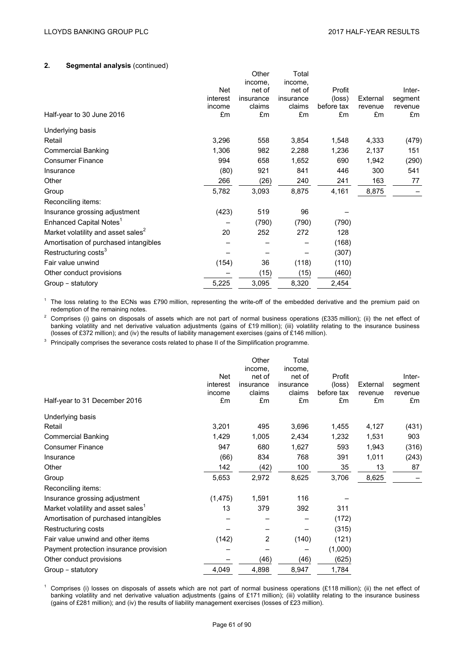## **2. Segmental analysis** (continued)

|                                                |          | Other             | Total             |            |          |         |
|------------------------------------------------|----------|-------------------|-------------------|------------|----------|---------|
|                                                | Net      | income,<br>net of | income,<br>net of | Profit     |          | Inter-  |
|                                                | interest | insurance         | insurance         | (loss)     | External | segment |
|                                                | income   | claims            | claims            | before tax | revenue  | revenue |
| Half-year to 30 June 2016                      | £m       | £m                | £m                | £m         | £m       | £m      |
| Underlying basis                               |          |                   |                   |            |          |         |
| Retail                                         | 3,296    | 558               | 3,854             | 1,548      | 4,333    | (479)   |
| <b>Commercial Banking</b>                      | 1,306    | 982               | 2,288             | 1,236      | 2,137    | 151     |
| <b>Consumer Finance</b>                        | 994      | 658               | 1,652             | 690        | 1,942    | (290)   |
| Insurance                                      | (80)     | 921               | 841               | 446        | 300      | 541     |
| Other                                          | 266      | (26)              | 240               | 241        | 163      | 77      |
| Group                                          | 5,782    | 3,093             | 8,875             | 4,161      | 8,875    |         |
| Reconciling items:                             |          |                   |                   |            |          |         |
| Insurance grossing adjustment                  | (423)    | 519               | 96                |            |          |         |
| Enhanced Capital Notes <sup>1</sup>            |          | (790)             | (790)             | (790)      |          |         |
| Market volatility and asset sales <sup>2</sup> | 20       | 252               | 272               | 128        |          |         |
| Amortisation of purchased intangibles          |          |                   |                   | (168)      |          |         |
| Restructuring costs <sup>3</sup>               |          |                   |                   | (307)      |          |         |
| Fair value unwind                              | (154)    | 36                | (118)             | (110)      |          |         |
| Other conduct provisions                       |          | (15)              | (15)              | (460)      |          |         |
| Group - statutory                              | 5,225    | 3,095             | 8,320             | 2,454      |          |         |

<sup>1</sup> The loss relating to the ECNs was £790 million, representing the write-off of the embedded derivative and the premium paid on redemption of the remaining notes.

<sup>2</sup> Comprises (i) gains on disposals of assets which are not part of normal business operations (£335 million); (ii) the net effect of banking volatility and net derivative valuation adjustments (gains of £19 million); (iii) volatility relating to the insurance business (losses of £372 million); and (iv) the results of liability management exercises (gains of £146 million).

<sup>3</sup> Principally comprises the severance costs related to phase II of the Simplification programme.

| Half-year to 31 December 2016                  | Net<br>interest<br>income<br>£m | Other<br>income.<br>net of<br>insurance<br>claims<br>£m | Total<br>income,<br>net of<br>insurance<br>claims<br>£m | Profit<br>(loss)<br>before tax<br>£m | External<br>revenue<br>£m | Inter-<br>segment<br>revenue<br>£m |
|------------------------------------------------|---------------------------------|---------------------------------------------------------|---------------------------------------------------------|--------------------------------------|---------------------------|------------------------------------|
| Underlying basis                               |                                 |                                                         |                                                         |                                      |                           |                                    |
| Retail                                         | 3,201                           | 495                                                     | 3,696                                                   | 1,455                                | 4,127                     | (431)                              |
| <b>Commercial Banking</b>                      | 1,429                           | 1,005                                                   | 2,434                                                   | 1,232                                | 1,531                     | 903                                |
| <b>Consumer Finance</b>                        | 947                             | 680                                                     | 1,627                                                   | 593                                  | 1,943                     | (316)                              |
| Insurance                                      | (66)                            | 834                                                     | 768                                                     | 391                                  | 1,011                     | (243)                              |
| Other                                          | 142                             | (42)                                                    | 100                                                     | 35                                   | 13                        | 87                                 |
| Group                                          | 5,653                           | 2,972                                                   | 8,625                                                   | 3,706                                | 8,625                     |                                    |
| Reconciling items:                             |                                 |                                                         |                                                         |                                      |                           |                                    |
| Insurance grossing adjustment                  | (1, 475)                        | 1,591                                                   | 116                                                     |                                      |                           |                                    |
| Market volatility and asset sales <sup>1</sup> | 13                              | 379                                                     | 392                                                     | 311                                  |                           |                                    |
| Amortisation of purchased intangibles          |                                 |                                                         |                                                         | (172)                                |                           |                                    |
| Restructuring costs                            |                                 |                                                         |                                                         | (315)                                |                           |                                    |
| Fair value unwind and other items              | (142)                           | 2                                                       | (140)                                                   | (121)                                |                           |                                    |
| Payment protection insurance provision         |                                 |                                                         |                                                         | (1,000)                              |                           |                                    |
| Other conduct provisions                       |                                 | (46)                                                    | (46)                                                    | (625)                                |                           |                                    |
| Group - statutory                              | 4,049                           | 4,898                                                   | 8,947                                                   | 1,784                                |                           |                                    |
|                                                |                                 |                                                         |                                                         |                                      |                           |                                    |

<sup>1</sup> Comprises (i) losses on disposals of assets which are not part of normal business operations (£118 million); (ii) the net effect of banking volatility and net derivative valuation adjustments (gains of £171 million); (iii) volatility relating to the insurance business (gains of £281 million); and (iv) the results of liability management exercises (losses of £23 million).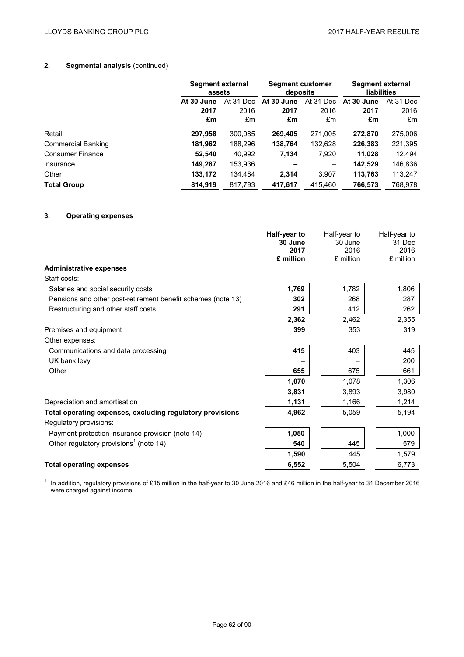# **2. Segmental analysis** (continued)

|                           |            | Segment external<br>assets |            | <b>Segment customer</b><br>deposits |            | Segment external<br><b>liabilities</b> |  |
|---------------------------|------------|----------------------------|------------|-------------------------------------|------------|----------------------------------------|--|
|                           | At 30 June | At 31 Dec                  | At 30 June | At 31 Dec                           | At 30 June | At 31 Dec                              |  |
|                           | 2017       | 2016                       | 2017       | 2016                                | 2017       | 2016                                   |  |
|                           | £m         | £m                         | £m         | £m                                  | £m         | £m                                     |  |
| Retail                    | 297,958    | 300,085                    | 269,405    | 271,005                             | 272.870    | 275,006                                |  |
| <b>Commercial Banking</b> | 181,962    | 188,296                    | 138,764    | 132,628                             | 226,383    | 221,395                                |  |
| <b>Consumer Finance</b>   | 52,540     | 40,992                     | 7,134      | 7,920                               | 11,028     | 12,494                                 |  |
| Insurance                 | 149.287    | 153,936                    |            |                                     | 142,529    | 146,836                                |  |
| Other                     | 133,172    | 134.484                    | 2,314      | 3.907                               | 113,763    | 113,247                                |  |
| <b>Total Group</b>        | 814.919    | 817.793                    | 417.617    | 415.460                             | 766,573    | 768.978                                |  |

# **3. Operating expenses**

| 30 June<br>30 June<br>31 Dec<br>2017<br>2016<br>£ million<br>£ million<br>£ million<br><b>Administrative expenses</b><br>Staff costs:<br>1,806<br>1,769<br>1,782<br>Salaries and social security costs<br>268<br>Pensions and other post-retirement benefit schemes (note 13)<br>302 | 2016<br>287<br>262 |
|--------------------------------------------------------------------------------------------------------------------------------------------------------------------------------------------------------------------------------------------------------------------------------------|--------------------|
|                                                                                                                                                                                                                                                                                      |                    |
|                                                                                                                                                                                                                                                                                      |                    |
|                                                                                                                                                                                                                                                                                      |                    |
|                                                                                                                                                                                                                                                                                      |                    |
|                                                                                                                                                                                                                                                                                      |                    |
|                                                                                                                                                                                                                                                                                      |                    |
|                                                                                                                                                                                                                                                                                      |                    |
| 412<br>Restructuring and other staff costs<br>291                                                                                                                                                                                                                                    |                    |
| 2,362<br>2,462<br>2,355                                                                                                                                                                                                                                                              |                    |
| 399<br>353<br>Premises and equipment                                                                                                                                                                                                                                                 | 319                |
| Other expenses:                                                                                                                                                                                                                                                                      |                    |
| 415<br>403<br>Communications and data processing                                                                                                                                                                                                                                     | 445                |
| UK bank levy                                                                                                                                                                                                                                                                         | 200                |
| 675<br>Other<br>655                                                                                                                                                                                                                                                                  | 661                |
| 1,070<br>1,078                                                                                                                                                                                                                                                                       | 1,306              |
| 3,831<br>3,893<br>3,980                                                                                                                                                                                                                                                              |                    |
| 1,131<br>Depreciation and amortisation<br>1,166                                                                                                                                                                                                                                      | 1,214              |
| 4,962<br>5,194<br>Total operating expenses, excluding regulatory provisions<br>5,059                                                                                                                                                                                                 |                    |
| Regulatory provisions:                                                                                                                                                                                                                                                               |                    |
| Payment protection insurance provision (note 14)<br>1,050<br>1,000                                                                                                                                                                                                                   |                    |
| Other regulatory provisions <sup>1</sup> (note 14)<br>540<br>445                                                                                                                                                                                                                     | 579                |
| 1,590<br>445                                                                                                                                                                                                                                                                         | 1,579              |
| 6,552<br>5,504<br>6,773<br><b>Total operating expenses</b>                                                                                                                                                                                                                           |                    |

<sup>1</sup> In addition, regulatory provisions of £15 million in the half-year to 30 June 2016 and £46 million in the half-year to 31 December 2016 were charged against income.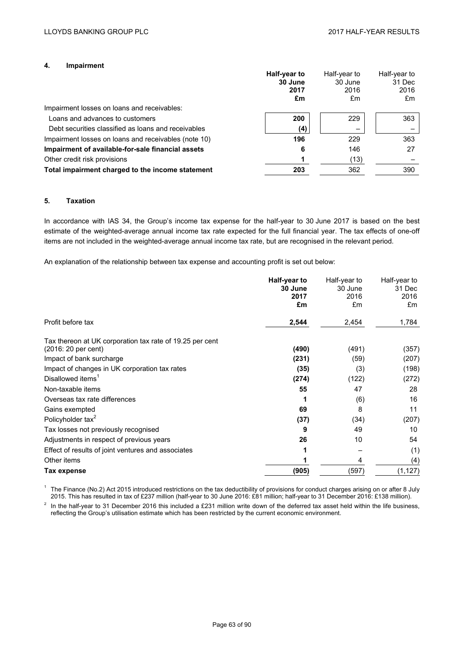### **4. Impairment**

|                                                      | Half-year to<br>30 June | Half-year to<br>30 June | Half-year to<br>31 Dec |
|------------------------------------------------------|-------------------------|-------------------------|------------------------|
|                                                      | 2017                    | 2016                    | 2016                   |
|                                                      | £m                      | £m                      | £m                     |
| Impairment losses on loans and receivables:          |                         |                         |                        |
| Loans and advances to customers                      | 200                     | 229                     | 363                    |
| Debt securities classified as loans and receivables  | (4)                     |                         |                        |
| Impairment losses on loans and receivables (note 10) | 196                     | 229                     | 363                    |
| Impairment of available-for-sale financial assets    | 6                       | 146                     | 27                     |
| Other credit risk provisions                         |                         | (13)                    |                        |
| Total impairment charged to the income statement     | 203                     | 362                     | 390                    |

# **5. Taxation**

In accordance with IAS 34, the Group's income tax expense for the half-year to 30 June 2017 is based on the best estimate of the weighted-average annual income tax rate expected for the full financial year. The tax effects of one-off items are not included in the weighted-average annual income tax rate, but are recognised in the relevant period.

An explanation of the relationship between tax expense and accounting profit is set out below:

|                                                          | Half-year to<br>30 June<br>2017<br>£m | Half-year to<br>30 June<br>2016<br>£m | Half-year to<br>31 Dec<br>2016<br>£m |
|----------------------------------------------------------|---------------------------------------|---------------------------------------|--------------------------------------|
| Profit before tax                                        | 2,544                                 | 2,454                                 | 1,784                                |
| Tax thereon at UK corporation tax rate of 19.25 per cent |                                       |                                       |                                      |
| (2016: 20 per cent)                                      | (490)                                 | (491)                                 | (357)                                |
| Impact of bank surcharge                                 | (231)                                 | (59)                                  | (207)                                |
| Impact of changes in UK corporation tax rates            | (35)                                  | (3)                                   | (198)                                |
| Disallowed items <sup>1</sup>                            | (274)                                 | (122)                                 | (272)                                |
| Non-taxable items                                        | 55                                    | 47                                    | 28                                   |
| Overseas tax rate differences                            |                                       | (6)                                   | 16                                   |
| Gains exempted                                           | 69                                    | 8                                     | 11                                   |
| Policyholder tax <sup>2</sup>                            | (37)                                  | (34)                                  | (207)                                |
| Tax losses not previously recognised                     | 9                                     | 49                                    | 10                                   |
| Adjustments in respect of previous years                 | 26                                    | 10                                    | 54                                   |
| Effect of results of joint ventures and associates       |                                       |                                       | (1)                                  |
| Other items                                              |                                       | 4                                     | (4)                                  |
| Tax expense                                              | (905)                                 | (597)                                 | (1, 127)                             |

 $1$  The Finance (No.2) Act 2015 introduced restrictions on the tax deductibility of provisions for conduct charges arising on or after 8 July 2015. This has resulted in tax of £237 million (half-year to 30 June 2016: £81 million; half-year to 31 December 2016: £138 million).

 $2\,$  In the half-year to 31 December 2016 this included a £231 million write down of the deferred tax asset held within the life business, reflecting the Group's utilisation estimate which has been restricted by the current economic environment.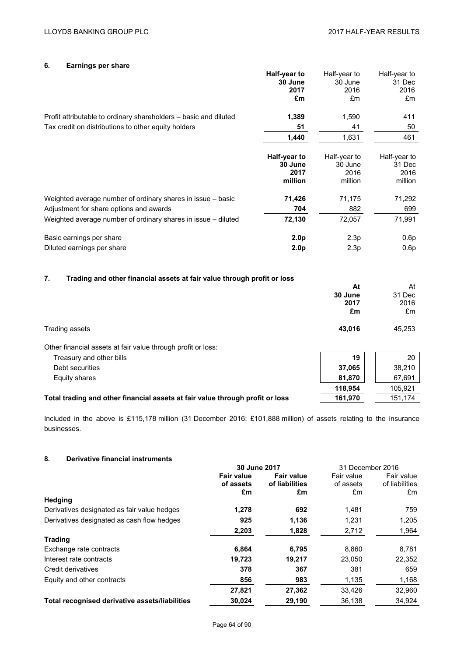# **6. Earnings per share**

|                                                                               | Half-year to<br>30 June<br>2017<br>£m      | Half-year to<br>30 June<br>2016<br>£m      | Half-year to<br>31 Dec<br>2016<br>£m      |
|-------------------------------------------------------------------------------|--------------------------------------------|--------------------------------------------|-------------------------------------------|
| Profit attributable to ordinary shareholders – basic and diluted              | 1,389                                      | 1,590                                      | 411                                       |
| Tax credit on distributions to other equity holders                           | 51                                         | 41                                         | 50                                        |
|                                                                               | 1,440                                      | 1,631                                      | 461                                       |
|                                                                               | Half-year to<br>30 June<br>2017<br>million | Half-year to<br>30 June<br>2016<br>million | Half-year to<br>31 Dec<br>2016<br>million |
| Weighted average number of ordinary shares in issue – basic                   | 71,426                                     | 71,175                                     | 71,292                                    |
| Adjustment for share options and awards                                       | 704                                        | 882                                        | 699                                       |
| Weighted average number of ordinary shares in issue - diluted                 | 72,130                                     | 72,057                                     | 71,991                                    |
| Basic earnings per share<br>Diluted earnings per share                        | 2.0 <sub>p</sub><br>2.0 <sub>p</sub>       | 2.3p<br>2.3p                               | 0.6p<br>0.6p                              |
| 7.<br>Trading and other financial assets at fair value through profit or loss |                                            | <b>A</b> 4                                 | $\mathbf{A}$                              |

|                                                                               | At      | At      |
|-------------------------------------------------------------------------------|---------|---------|
|                                                                               | 30 June | 31 Dec  |
|                                                                               | 2017    | 2016    |
|                                                                               | £m      | £m      |
| Trading assets                                                                | 43,016  | 45,253  |
| Other financial assets at fair value through profit or loss:                  |         |         |
| Treasury and other bills                                                      | 19      | 20      |
| Debt securities                                                               | 37,065  | 38,210  |
| Equity shares                                                                 | 81,870  | 67,691  |
|                                                                               | 118,954 | 105,921 |
| Total trading and other financial assets at fair value through profit or loss | 161,970 | 151,174 |
|                                                                               |         |         |

Included in the above is £115,178 million (31 December 2016: £101,888 million) of assets relating to the insurance businesses.

# **8. Derivative financial instruments**

|                                                | 30 June 2017      |                   | 31 December 2016 |                |
|------------------------------------------------|-------------------|-------------------|------------------|----------------|
|                                                | <b>Fair value</b> | <b>Fair value</b> | Fair value       | Fair value     |
|                                                | of assets         | of liabilities    | of assets        | of liabilities |
|                                                | £m                | £m                | £m               | £m             |
| Hedging                                        |                   |                   |                  |                |
| Derivatives designated as fair value hedges    | 1,278             | 692               | 1.481            | 759            |
| Derivatives designated as cash flow hedges     | 925               | 1,136             | 1,231            | 1,205          |
|                                                | 2,203             | 1,828             | 2,712            | 1.964          |
| <b>Trading</b>                                 |                   |                   |                  |                |
| Exchange rate contracts                        | 6,864             | 6,795             | 8,860            | 8,781          |
| Interest rate contracts                        | 19,723            | 19,217            | 23.050           | 22,352         |
| Credit derivatives                             | 378               | 367               | 381              | 659            |
| Equity and other contracts                     | 856               | 983               | 1,135            | 1,168          |
|                                                | 27,821            | 27,362            | 33.426           | 32,960         |
| Total recognised derivative assets/liabilities | 30.024            | 29.190            | 36.138           | 34.924         |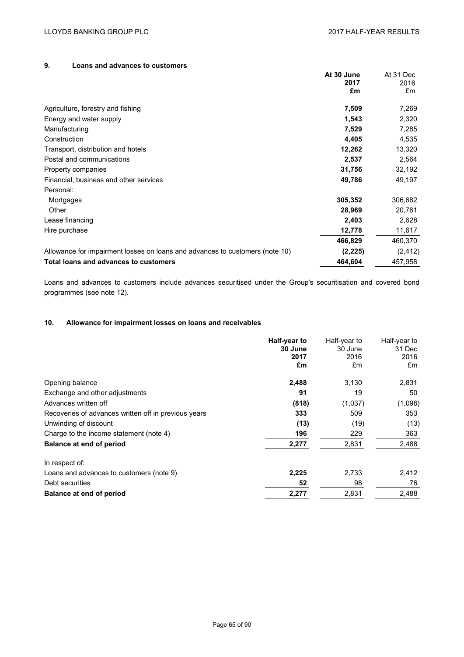# **9. Loans and advances to customers**

|                                                                              | At 30 June | At 31 Dec |
|------------------------------------------------------------------------------|------------|-----------|
|                                                                              | 2017       | 2016      |
|                                                                              | £m         | £m        |
| Agriculture, forestry and fishing                                            | 7,509      | 7,269     |
| Energy and water supply                                                      | 1,543      | 2,320     |
| Manufacturing                                                                | 7,529      | 7,285     |
| Construction                                                                 | 4,405      | 4,535     |
| Transport, distribution and hotels                                           | 12,262     | 13,320    |
| Postal and communications                                                    | 2,537      | 2,564     |
| Property companies                                                           | 31,756     | 32,192    |
| Financial, business and other services                                       | 49,786     | 49,197    |
| Personal:                                                                    |            |           |
| Mortgages                                                                    | 305,352    | 306,682   |
| Other                                                                        | 28,969     | 20,761    |
| Lease financing                                                              | 2,403      | 2,628     |
| Hire purchase                                                                | 12,778     | 11,617    |
|                                                                              | 466,829    | 460,370   |
| Allowance for impairment losses on loans and advances to customers (note 10) | (2, 225)   | (2, 412)  |
| Total loans and advances to customers                                        | 464,604    | 457,958   |
|                                                                              |            |           |

Loans and advances to customers include advances securitised under the Group's securitisation and covered bond programmes (see note 12).

# **10. Allowance for impairment losses on loans and receivables**

|                                                      | Half-year to<br>30 June<br>2017<br>£m | Half-year to<br>30 June<br>2016<br>£m | Half-year to<br>31 Dec<br>2016<br>£m |
|------------------------------------------------------|---------------------------------------|---------------------------------------|--------------------------------------|
| Opening balance                                      | 2,488                                 | 3,130                                 | 2,831                                |
| Exchange and other adjustments                       | 91                                    | 19                                    | 50                                   |
| Advances written off                                 | (818)                                 | (1,037)                               | (1,096)                              |
| Recoveries of advances written off in previous years | 333                                   | 509                                   | 353                                  |
| Unwinding of discount                                | (13)                                  | (19)                                  | (13)                                 |
| Charge to the income statement (note 4)              | 196                                   | 229                                   | 363                                  |
| <b>Balance at end of period</b>                      | 2,277                                 | 2,831                                 | 2,488                                |
| In respect of:                                       |                                       |                                       |                                      |
| Loans and advances to customers (note 9)             | 2,225                                 | 2,733                                 | 2,412                                |
| Debt securities                                      | 52                                    | 98                                    | 76                                   |
| <b>Balance at end of period</b>                      | 2,277                                 | 2,831                                 | 2,488                                |
|                                                      |                                       |                                       |                                      |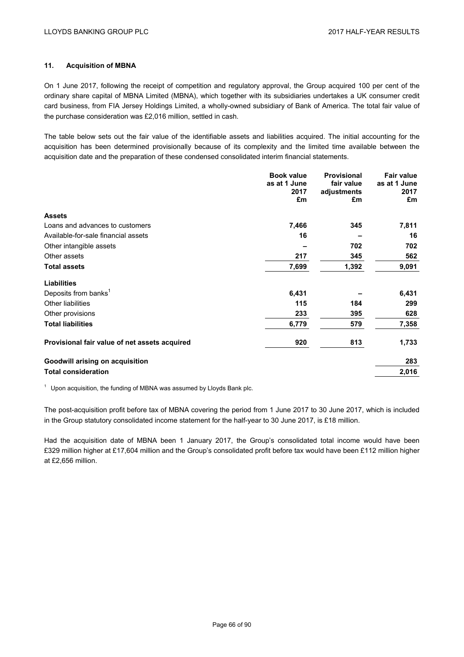## **11. Acquisition of MBNA**

On 1 June 2017, following the receipt of competition and regulatory approval, the Group acquired 100 per cent of the ordinary share capital of MBNA Limited (MBNA), which together with its subsidiaries undertakes a UK consumer credit card business, from FIA Jersey Holdings Limited, a wholly-owned subsidiary of Bank of America. The total fair value of the purchase consideration was £2,016 million, settled in cash.

The table below sets out the fair value of the identifiable assets and liabilities acquired. The initial accounting for the acquisition has been determined provisionally because of its complexity and the limited time available between the acquisition date and the preparation of these condensed consolidated interim financial statements.

|                                               | <b>Book value</b> | <b>Provisional</b> | <b>Fair value</b> |
|-----------------------------------------------|-------------------|--------------------|-------------------|
|                                               | as at 1 June      | fair value         | as at 1 June      |
|                                               | 2017<br>£m        | adjustments<br>£m  | 2017<br>£m        |
|                                               |                   |                    |                   |
| <b>Assets</b>                                 |                   |                    |                   |
| Loans and advances to customers               | 7,466             | 345                | 7,811             |
| Available-for-sale financial assets           | 16                |                    | 16                |
| Other intangible assets                       |                   | 702                | 702               |
| Other assets                                  | 217               | 345                | 562               |
| <b>Total assets</b>                           | 7,699             | 1,392              | 9,091             |
| <b>Liabilities</b>                            |                   |                    |                   |
| Deposits from banks <sup>1</sup>              | 6,431             |                    | 6,431             |
| <b>Other liabilities</b>                      | 115               | 184                | 299               |
| Other provisions                              | 233               | 395                | 628               |
| <b>Total liabilities</b>                      | 6,779             | 579                | 7,358             |
| Provisional fair value of net assets acquired | 920               | 813                | 1,733             |
| <b>Goodwill arising on acquisition</b>        |                   |                    | 283               |
| <b>Total consideration</b>                    |                   |                    | 2,016             |

 $1$  Upon acquisition, the funding of MBNA was assumed by Lloyds Bank plc.

The post-acquisition profit before tax of MBNA covering the period from 1 June 2017 to 30 June 2017, which is included in the Group statutory consolidated income statement for the half-year to 30 June 2017, is £18 million.

Had the acquisition date of MBNA been 1 January 2017, the Group's consolidated total income would have been £329 million higher at £17,604 million and the Group's consolidated profit before tax would have been £112 million higher at £2,656 million.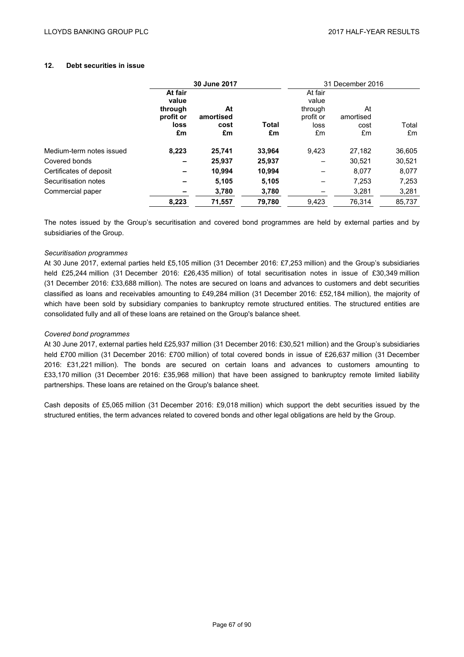# **12. Debt securities in issue**

|                          |                                                  | 30 June 2017            |        |                                                  | 31 December 2016        |        |
|--------------------------|--------------------------------------------------|-------------------------|--------|--------------------------------------------------|-------------------------|--------|
|                          | At fair<br>value<br>through<br>profit or<br>loss | At<br>amortised<br>cost | Total  | At fair<br>value<br>through<br>profit or<br>loss | At<br>amortised<br>cost | Total  |
|                          | £m                                               | £m                      | £m     | £m                                               | £m                      | £m     |
| Medium-term notes issued | 8.223                                            | 25,741                  | 33,964 | 9,423                                            | 27,182                  | 36,605 |
| Covered bonds            |                                                  | 25,937                  | 25,937 |                                                  | 30.521                  | 30,521 |
| Certificates of deposit  |                                                  | 10.994                  | 10,994 |                                                  | 8.077                   | 8.077  |
| Securitisation notes     |                                                  | 5,105                   | 5,105  |                                                  | 7,253                   | 7,253  |
| Commercial paper         |                                                  | 3,780                   | 3,780  |                                                  | 3,281                   | 3,281  |
|                          | 8,223                                            | 71,557                  | 79,780 | 9.423                                            | 76.314                  | 85.737 |

The notes issued by the Group's securitisation and covered bond programmes are held by external parties and by subsidiaries of the Group.

### *Securitisation programmes*

At 30 June 2017, external parties held £5,105 million (31 December 2016: £7,253 million) and the Group's subsidiaries held £25,244 million (31 December 2016: £26,435 million) of total securitisation notes in issue of £30,349 million (31 December 2016: £33,688 million). The notes are secured on loans and advances to customers and debt securities classified as loans and receivables amounting to £49,284 million (31 December 2016: £52,184 million), the majority of which have been sold by subsidiary companies to bankruptcy remote structured entities. The structured entities are consolidated fully and all of these loans are retained on the Group's balance sheet.

### *Covered bond programmes*

At 30 June 2017, external parties held £25,937 million (31 December 2016: £30,521 million) and the Group's subsidiaries held £700 million (31 December 2016: £700 million) of total covered bonds in issue of £26,637 million (31 December 2016: £31,221 million). The bonds are secured on certain loans and advances to customers amounting to £33,170 million (31 December 2016: £35,968 million) that have been assigned to bankruptcy remote limited liability partnerships. These loans are retained on the Group's balance sheet.

Cash deposits of £5,065 million (31 December 2016: £9,018 million) which support the debt securities issued by the structured entities, the term advances related to covered bonds and other legal obligations are held by the Group.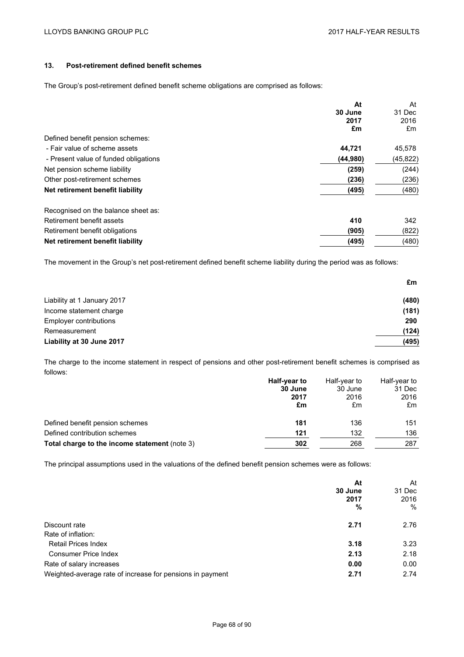# **13. Post-retirement defined benefit schemes**

The Group's post-retirement defined benefit scheme obligations are comprised as follows:

|                                       | At       | At        |
|---------------------------------------|----------|-----------|
|                                       | 30 June  | 31 Dec    |
|                                       | 2017     | 2016      |
|                                       | £m       | £m        |
| Defined benefit pension schemes:      |          |           |
| - Fair value of scheme assets         | 44,721   | 45,578    |
| - Present value of funded obligations | (44,980) | (45, 822) |
| Net pension scheme liability          | (259)    | (244)     |
| Other post-retirement schemes         | (236)    | (236)     |
| Net retirement benefit liability      | (495)    | (480)     |
| Recognised on the balance sheet as:   |          |           |
| Retirement benefit assets             | 410      | 342       |
| Retirement benefit obligations        | (905)    | (822)     |
| Net retirement benefit liability      | (495)    | (480)     |

The movement in the Group's net post-retirement defined benefit scheme liability during the period was as follows:

|                             | £m    |
|-----------------------------|-------|
| Liability at 1 January 2017 | (480) |
| Income statement charge     | (181) |
| Employer contributions      | 290   |
| Remeasurement               | (124) |
| Liability at 30 June 2017   | (495) |

The charge to the income statement in respect of pensions and other post-retirement benefit schemes is comprised as follows:

|                                               | Half-year to | Half-year to | Half-year to |
|-----------------------------------------------|--------------|--------------|--------------|
|                                               | 30 June      | 30 June      | 31 Dec       |
|                                               | 2017         | 2016         | 2016         |
|                                               | £m           | £m           | £m           |
| Defined benefit pension schemes               | 181          | 136          | 151          |
| Defined contribution schemes                  | 121          | 132          | 136          |
| Total charge to the income statement (note 3) | 302          | 268          | 287          |

The principal assumptions used in the valuations of the defined benefit pension schemes were as follows:

|                                                           | At<br>30 June<br>2017<br>% | At<br>31 Dec<br>2016<br>% |
|-----------------------------------------------------------|----------------------------|---------------------------|
| Discount rate                                             | 2.71                       | 2.76                      |
| Rate of inflation:                                        |                            |                           |
| <b>Retail Prices Index</b>                                | 3.18                       | 3.23                      |
| <b>Consumer Price Index</b>                               | 2.13                       | 2.18                      |
| Rate of salary increases                                  | 0.00                       | 0.00                      |
| Weighted-average rate of increase for pensions in payment | 2.71                       | 2.74                      |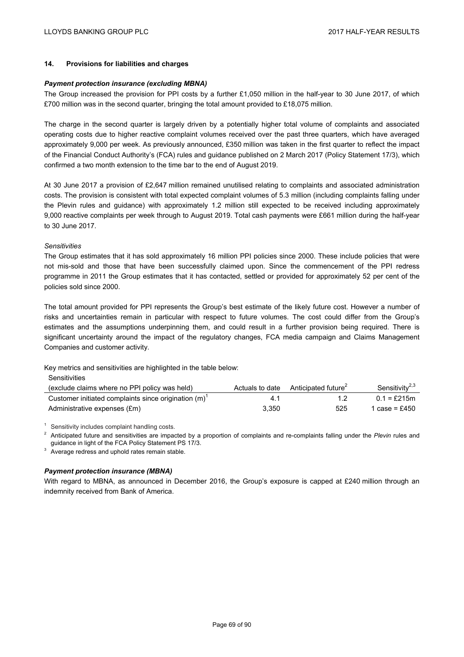## **14. Provisions for liabilities and charges**

### *Payment protection insurance (excluding MBNA)*

The Group increased the provision for PPI costs by a further £1,050 million in the half-year to 30 June 2017, of which £700 million was in the second quarter, bringing the total amount provided to £18,075 million.

The charge in the second quarter is largely driven by a potentially higher total volume of complaints and associated operating costs due to higher reactive complaint volumes received over the past three quarters, which have averaged approximately 9,000 per week. As previously announced, £350 million was taken in the first quarter to reflect the impact of the Financial Conduct Authority's (FCA) rules and guidance published on 2 March 2017 (Policy Statement 17/3), which confirmed a two month extension to the time bar to the end of August 2019.

At 30 June 2017 a provision of £2,647 million remained unutilised relating to complaints and associated administration costs. The provision is consistent with total expected complaint volumes of 5.3 million (including complaints falling under the Plevin rules and guidance) with approximately 1.2 million still expected to be received including approximately 9,000 reactive complaints per week through to August 2019. Total cash payments were £661 million during the half-year to 30 June 2017.

## *Sensitivities*

The Group estimates that it has sold approximately 16 million PPI policies since 2000. These include policies that were not mis-sold and those that have been successfully claimed upon. Since the commencement of the PPI redress programme in 2011 the Group estimates that it has contacted, settled or provided for approximately 52 per cent of the policies sold since 2000.

The total amount provided for PPI represents the Group's best estimate of the likely future cost. However a number of risks and uncertainties remain in particular with respect to future volumes. The cost could differ from the Group's estimates and the assumptions underpinning them, and could result in a further provision being required. There is significant uncertainty around the impact of the regulatory changes, FCA media campaign and Claims Management Companies and customer activity.

Key metrics and sensitivities are highlighted in the table below:

| (exclude claims where no PPI policy was held)           | Actuals to date | Anticipated future <sup>2</sup> | Sensitivity <sup>2,3</sup> |
|---------------------------------------------------------|-----------------|---------------------------------|----------------------------|
| Customer initiated complaints since origination $(m)^T$ |                 |                                 | $0.1 = £215m$              |
| Administrative expenses (£m)                            | 3.350           | 525                             | 1 case = £450              |

Sensitivity includes complaint handling costs.

<sup>2</sup> Anticipated future and sensitivities are impacted by a proportion of complaints and re-complaints falling under the *Plevin* rules and guidance in light of the FCA Policy Statement PS 17/3.<br>Average redress and uphold rates remain stable.

### *Payment protection insurance (MBNA)*

With regard to MBNA, as announced in December 2016, the Group's exposure is capped at £240 million through an indemnity received from Bank of America.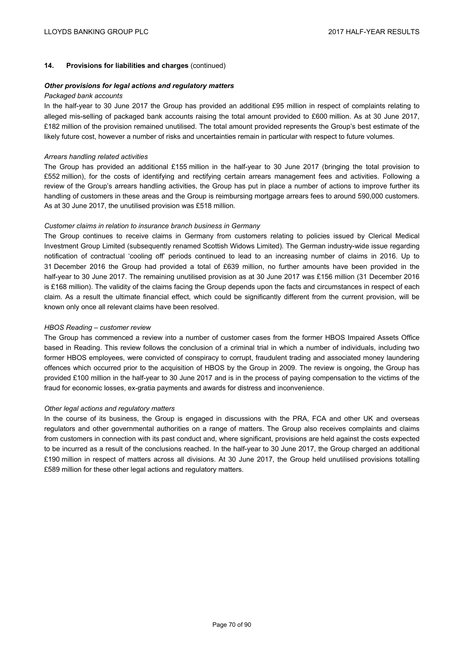## **14. Provisions for liabilities and charges** (continued)

#### *Other provisions for legal actions and regulatory matters*

#### *Packaged bank accounts*

In the half-year to 30 June 2017 the Group has provided an additional £95 million in respect of complaints relating to alleged mis-selling of packaged bank accounts raising the total amount provided to £600 million. As at 30 June 2017, £182 million of the provision remained unutilised*.* The total amount provided represents the Group's best estimate of the likely future cost, however a number of risks and uncertainties remain in particular with respect to future volumes.

#### *Arrears handling related activities*

The Group has provided an additional £155 million in the half-year to 30 June 2017 (bringing the total provision to £552 million), for the costs of identifying and rectifying certain arrears management fees and activities. Following a review of the Group's arrears handling activities, the Group has put in place a number of actions to improve further its handling of customers in these areas and the Group is reimbursing mortgage arrears fees to around 590,000 customers. As at 30 June 2017, the unutilised provision was £518 million.

### *Customer claims in relation to insurance branch business in Germany*

The Group continues to receive claims in Germany from customers relating to policies issued by Clerical Medical Investment Group Limited (subsequently renamed Scottish Widows Limited). The German industry-wide issue regarding notification of contractual 'cooling off' periods continued to lead to an increasing number of claims in 2016. Up to 31 December 2016 the Group had provided a total of £639 million, no further amounts have been provided in the half-year to 30 June 2017. The remaining unutilised provision as at 30 June 2017 was £156 million (31 December 2016 is £168 million). The validity of the claims facing the Group depends upon the facts and circumstances in respect of each claim. As a result the ultimate financial effect, which could be significantly different from the current provision, will be known only once all relevant claims have been resolved.

#### *HBOS Reading – customer review*

The Group has commenced a review into a number of customer cases from the former HBOS Impaired Assets Office based in Reading. This review follows the conclusion of a criminal trial in which a number of individuals, including two former HBOS employees, were convicted of conspiracy to corrupt, fraudulent trading and associated money laundering offences which occurred prior to the acquisition of HBOS by the Group in 2009. The review is ongoing, the Group has provided £100 million in the half-year to 30 June 2017 and is in the process of paying compensation to the victims of the fraud for economic losses, ex-gratia payments and awards for distress and inconvenience.

#### *Other legal actions and regulatory matters*

In the course of its business, the Group is engaged in discussions with the PRA, FCA and other UK and overseas regulators and other governmental authorities on a range of matters. The Group also receives complaints and claims from customers in connection with its past conduct and, where significant, provisions are held against the costs expected to be incurred as a result of the conclusions reached. In the half-year to 30 June 2017, the Group charged an additional £190 million in respect of matters across all divisions. At 30 June 2017, the Group held unutilised provisions totalling £589 million for these other legal actions and regulatory matters.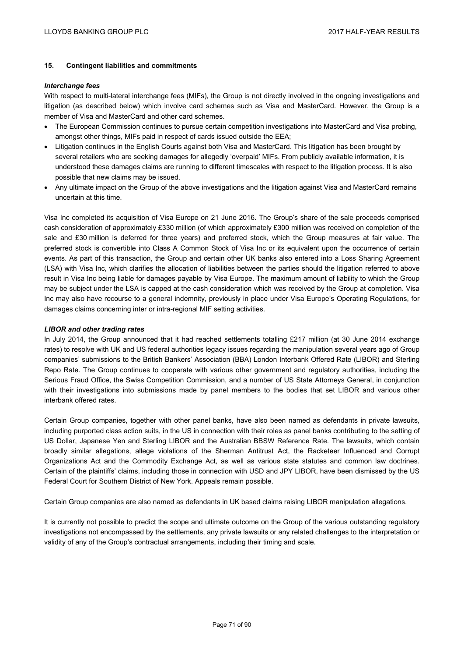## **15. Contingent liabilities and commitments**

### *Interchange fees*

With respect to multi-lateral interchange fees (MIFs), the Group is not directly involved in the ongoing investigations and litigation (as described below) which involve card schemes such as Visa and MasterCard. However, the Group is a member of Visa and MasterCard and other card schemes.

- The European Commission continues to pursue certain competition investigations into MasterCard and Visa probing, amongst other things, MIFs paid in respect of cards issued outside the EEA;
- Litigation continues in the English Courts against both Visa and MasterCard. This litigation has been brought by several retailers who are seeking damages for allegedly 'overpaid' MIFs. From publicly available information, it is understood these damages claims are running to different timescales with respect to the litigation process. It is also possible that new claims may be issued.
- Any ultimate impact on the Group of the above investigations and the litigation against Visa and MasterCard remains uncertain at this time.

Visa Inc completed its acquisition of Visa Europe on 21 June 2016. The Group's share of the sale proceeds comprised cash consideration of approximately £330 million (of which approximately £300 million was received on completion of the sale and £30 million is deferred for three years) and preferred stock, which the Group measures at fair value. The preferred stock is convertible into Class A Common Stock of Visa Inc or its equivalent upon the occurrence of certain events. As part of this transaction, the Group and certain other UK banks also entered into a Loss Sharing Agreement (LSA) with Visa Inc, which clarifies the allocation of liabilities between the parties should the litigation referred to above result in Visa Inc being liable for damages payable by Visa Europe. The maximum amount of liability to which the Group may be subject under the LSA is capped at the cash consideration which was received by the Group at completion. Visa Inc may also have recourse to a general indemnity, previously in place under Visa Europe's Operating Regulations, for damages claims concerning inter or intra-regional MIF setting activities.

### *LIBOR and other trading rates*

In July 2014, the Group announced that it had reached settlements totalling £217 million (at 30 June 2014 exchange rates) to resolve with UK and US federal authorities legacy issues regarding the manipulation several years ago of Group companies' submissions to the British Bankers' Association (BBA) London Interbank Offered Rate (LIBOR) and Sterling Repo Rate. The Group continues to cooperate with various other government and regulatory authorities, including the Serious Fraud Office, the Swiss Competition Commission, and a number of US State Attorneys General, in conjunction with their investigations into submissions made by panel members to the bodies that set LIBOR and various other interbank offered rates.

Certain Group companies, together with other panel banks, have also been named as defendants in private lawsuits, including purported class action suits, in the US in connection with their roles as panel banks contributing to the setting of US Dollar, Japanese Yen and Sterling LIBOR and the Australian BBSW Reference Rate. The lawsuits, which contain broadly similar allegations, allege violations of the Sherman Antitrust Act, the Racketeer Influenced and Corrupt Organizations Act and the Commodity Exchange Act, as well as various state statutes and common law doctrines. Certain of the plaintiffs' claims, including those in connection with USD and JPY LIBOR, have been dismissed by the US Federal Court for Southern District of New York. Appeals remain possible.

Certain Group companies are also named as defendants in UK based claims raising LIBOR manipulation allegations.

It is currently not possible to predict the scope and ultimate outcome on the Group of the various outstanding regulatory investigations not encompassed by the settlements, any private lawsuits or any related challenges to the interpretation or validity of any of the Group's contractual arrangements, including their timing and scale.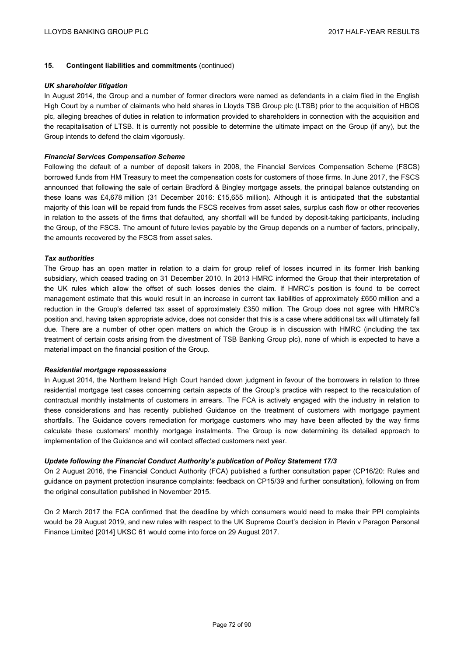## **15. Contingent liabilities and commitments** (continued)

### *UK shareholder litigation*

In August 2014, the Group and a number of former directors were named as defendants in a claim filed in the English High Court by a number of claimants who held shares in Lloyds TSB Group plc (LTSB) prior to the acquisition of HBOS plc, alleging breaches of duties in relation to information provided to shareholders in connection with the acquisition and the recapitalisation of LTSB. It is currently not possible to determine the ultimate impact on the Group (if any), but the Group intends to defend the claim vigorously.

### *Financial Services Compensation Scheme*

Following the default of a number of deposit takers in 2008, the Financial Services Compensation Scheme (FSCS) borrowed funds from HM Treasury to meet the compensation costs for customers of those firms. In June 2017, the FSCS announced that following the sale of certain Bradford & Bingley mortgage assets, the principal balance outstanding on these loans was £4,678 million (31 December 2016: £15,655 million). Although it is anticipated that the substantial majority of this loan will be repaid from funds the FSCS receives from asset sales, surplus cash flow or other recoveries in relation to the assets of the firms that defaulted, any shortfall will be funded by deposit-taking participants, including the Group, of the FSCS. The amount of future levies payable by the Group depends on a number of factors, principally, the amounts recovered by the FSCS from asset sales.

### *Tax authorities*

The Group has an open matter in relation to a claim for group relief of losses incurred in its former Irish banking subsidiary, which ceased trading on 31 December 2010. In 2013 HMRC informed the Group that their interpretation of the UK rules which allow the offset of such losses denies the claim. If HMRC's position is found to be correct management estimate that this would result in an increase in current tax liabilities of approximately £650 million and a reduction in the Group's deferred tax asset of approximately £350 million. The Group does not agree with HMRC's position and, having taken appropriate advice, does not consider that this is a case where additional tax will ultimately fall due. There are a number of other open matters on which the Group is in discussion with HMRC (including the tax treatment of certain costs arising from the divestment of TSB Banking Group plc), none of which is expected to have a material impact on the financial position of the Group.

#### *Residential mortgage repossessions*

In August 2014, the Northern Ireland High Court handed down judgment in favour of the borrowers in relation to three residential mortgage test cases concerning certain aspects of the Group's practice with respect to the recalculation of contractual monthly instalments of customers in arrears. The FCA is actively engaged with the industry in relation to these considerations and has recently published Guidance on the treatment of customers with mortgage payment shortfalls. The Guidance covers remediation for mortgage customers who may have been affected by the way firms calculate these customers' monthly mortgage instalments. The Group is now determining its detailed approach to implementation of the Guidance and will contact affected customers next year.

## *Update following the Financial Conduct Authority's publication of Policy Statement 17/3*

On 2 August 2016, the Financial Conduct Authority (FCA) published a further consultation paper (CP16/20: Rules and guidance on payment protection insurance complaints: feedback on CP15/39 and further consultation), following on from the original consultation published in November 2015.

On 2 March 2017 the FCA confirmed that the deadline by which consumers would need to make their PPI complaints would be 29 August 2019, and new rules with respect to the UK Supreme Court's decision in Plevin v Paragon Personal Finance Limited [2014] UKSC 61 would come into force on 29 August 2017.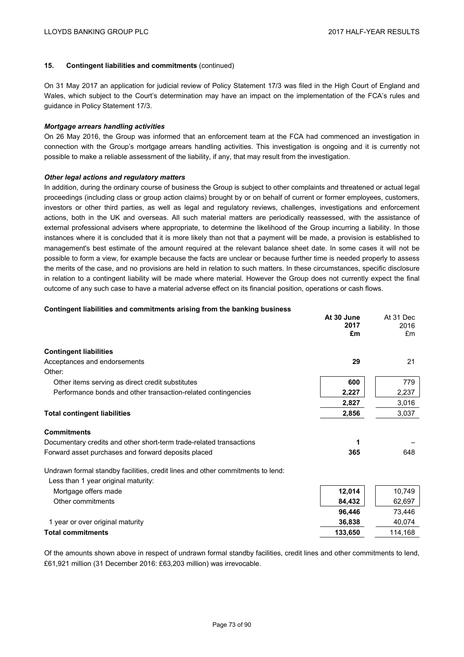## **15. Contingent liabilities and commitments** (continued)

On 31 May 2017 an application for judicial review of Policy Statement 17/3 was filed in the High Court of England and Wales, which subject to the Court's determination may have an impact on the implementation of the FCA's rules and guidance in Policy Statement 17/3.

### *Mortgage arrears handling activities*

On 26 May 2016, the Group was informed that an enforcement team at the FCA had commenced an investigation in connection with the Group's mortgage arrears handling activities. This investigation is ongoing and it is currently not possible to make a reliable assessment of the liability, if any, that may result from the investigation.

## *Other legal actions and regulatory matters*

In addition, during the ordinary course of business the Group is subject to other complaints and threatened or actual legal proceedings (including class or group action claims) brought by or on behalf of current or former employees, customers, investors or other third parties, as well as legal and regulatory reviews, challenges, investigations and enforcement actions, both in the UK and overseas. All such material matters are periodically reassessed, with the assistance of external professional advisers where appropriate, to determine the likelihood of the Group incurring a liability. In those instances where it is concluded that it is more likely than not that a payment will be made, a provision is established to management's best estimate of the amount required at the relevant balance sheet date. In some cases it will not be possible to form a view, for example because the facts are unclear or because further time is needed properly to assess the merits of the case, and no provisions are held in relation to such matters. In these circumstances, specific disclosure in relation to a contingent liability will be made where material. However the Group does not currently expect the final outcome of any such case to have a material adverse effect on its financial position, operations or cash flows.

## **Contingent liabilities and commitments arising from the banking business**

|                                                                                                                       | At 30 June<br>2017<br>£m | At 31 Dec<br>2016<br>Em |
|-----------------------------------------------------------------------------------------------------------------------|--------------------------|-------------------------|
| <b>Contingent liabilities</b>                                                                                         |                          |                         |
| Acceptances and endorsements                                                                                          | 29                       | 21                      |
| Other:                                                                                                                |                          |                         |
| Other items serving as direct credit substitutes                                                                      | 600                      | 779                     |
| Performance bonds and other transaction-related contingencies                                                         | 2,227                    | 2,237                   |
|                                                                                                                       | 2,827                    | 3,016                   |
| <b>Total contingent liabilities</b>                                                                                   | 2,856                    | 3,037                   |
| <b>Commitments</b>                                                                                                    |                          |                         |
| Documentary credits and other short-term trade-related transactions                                                   | 1                        |                         |
| Forward asset purchases and forward deposits placed                                                                   | 365                      | 648                     |
| Undrawn formal standby facilities, credit lines and other commitments to lend:<br>Less than 1 year original maturity: |                          |                         |
| Mortgage offers made                                                                                                  | 12,014                   | 10,749                  |
| Other commitments                                                                                                     | 84,432                   | 62,697                  |
|                                                                                                                       | 96,446                   | 73,446                  |
| 1 year or over original maturity                                                                                      | 36,838                   | 40,074                  |
| <b>Total commitments</b>                                                                                              | 133,650                  | 114,168                 |

Of the amounts shown above in respect of undrawn formal standby facilities, credit lines and other commitments to lend, £61,921 million (31 December 2016: £63,203 million) was irrevocable.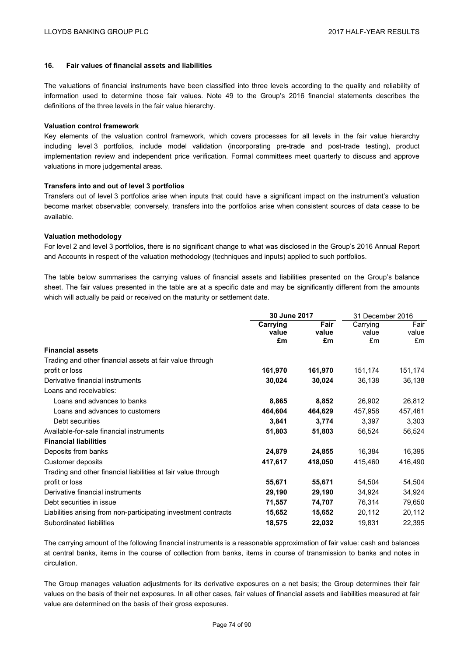## **16. Fair values of financial assets and liabilities**

The valuations of financial instruments have been classified into three levels according to the quality and reliability of information used to determine those fair values. Note 49 to the Group's 2016 financial statements describes the definitions of the three levels in the fair value hierarchy.

### **Valuation control framework**

Key elements of the valuation control framework, which covers processes for all levels in the fair value hierarchy including level 3 portfolios, include model validation (incorporating pre-trade and post-trade testing), product implementation review and independent price verification. Formal committees meet quarterly to discuss and approve valuations in more judgemental areas.

### **Transfers into and out of level 3 portfolios**

Transfers out of level 3 portfolios arise when inputs that could have a significant impact on the instrument's valuation become market observable; conversely, transfers into the portfolios arise when consistent sources of data cease to be available.

## **Valuation methodology**

For level 2 and level 3 portfolios, there is no significant change to what was disclosed in the Group's 2016 Annual Report and Accounts in respect of the valuation methodology (techniques and inputs) applied to such portfolios.

The table below summarises the carrying values of financial assets and liabilities presented on the Group's balance sheet. The fair values presented in the table are at a specific date and may be significantly different from the amounts which will actually be paid or received on the maturity or settlement date.

|                                                                 | 30 June 2017                       |         | 31 December 2016  |               |
|-----------------------------------------------------------------|------------------------------------|---------|-------------------|---------------|
|                                                                 | Fair<br>Carrying<br>value<br>value |         | Carrying<br>value | Fair<br>value |
|                                                                 | £m                                 | £m      | £m                | £m            |
| <b>Financial assets</b>                                         |                                    |         |                   |               |
| Trading and other financial assets at fair value through        |                                    |         |                   |               |
| profit or loss                                                  | 161,970                            | 161,970 | 151,174           | 151,174       |
| Derivative financial instruments                                | 30,024                             | 30,024  | 36,138            | 36,138        |
| Loans and receivables:                                          |                                    |         |                   |               |
| Loans and advances to banks                                     | 8,865                              | 8,852   | 26,902            | 26,812        |
| Loans and advances to customers                                 | 464,604                            | 464,629 | 457,958           | 457,461       |
| Debt securities                                                 | 3,841                              | 3,774   | 3,397             | 3,303         |
| Available-for-sale financial instruments                        | 51,803                             | 51,803  | 56,524            | 56,524        |
| <b>Financial liabilities</b>                                    |                                    |         |                   |               |
| Deposits from banks                                             | 24,879                             | 24,855  | 16,384            | 16,395        |
| Customer deposits                                               | 417,617                            | 418,050 | 415,460           | 416,490       |
| Trading and other financial liabilities at fair value through   |                                    |         |                   |               |
| profit or loss                                                  | 55,671                             | 55,671  | 54,504            | 54,504        |
| Derivative financial instruments                                | 29,190                             | 29,190  | 34,924            | 34,924        |
| Debt securities in issue                                        | 71,557                             | 74,707  | 76,314            | 79,650        |
| Liabilities arising from non-participating investment contracts | 15,652                             | 15,652  | 20,112            | 20,112        |
| Subordinated liabilities                                        | 18,575                             | 22,032  | 19,831            | 22,395        |

The carrying amount of the following financial instruments is a reasonable approximation of fair value: cash and balances at central banks, items in the course of collection from banks, items in course of transmission to banks and notes in circulation.

The Group manages valuation adjustments for its derivative exposures on a net basis; the Group determines their fair values on the basis of their net exposures. In all other cases, fair values of financial assets and liabilities measured at fair value are determined on the basis of their gross exposures.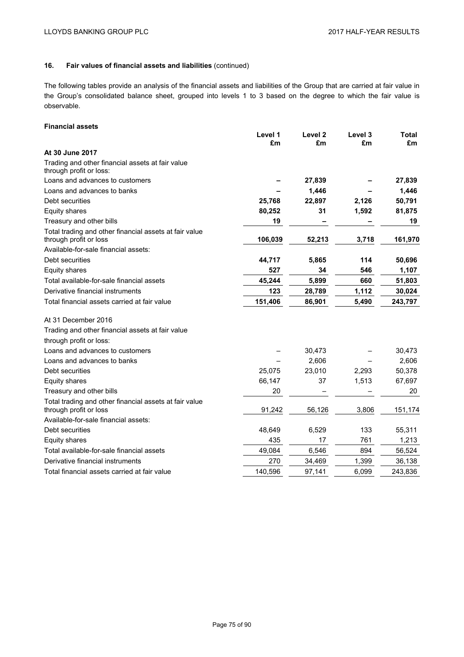The following tables provide an analysis of the financial assets and liabilities of the Group that are carried at fair value in the Group's consolidated balance sheet, grouped into levels 1 to 3 based on the degree to which the fair value is observable.

# **Financial assets**

|                                                                                  | Level 1<br>£m | Level <sub>2</sub><br>£m | Level 3<br>£m | <b>Total</b><br>£m |
|----------------------------------------------------------------------------------|---------------|--------------------------|---------------|--------------------|
| At 30 June 2017                                                                  |               |                          |               |                    |
| Trading and other financial assets at fair value<br>through profit or loss:      |               |                          |               |                    |
| Loans and advances to customers                                                  |               | 27,839                   |               | 27,839             |
| Loans and advances to banks                                                      |               | 1,446                    |               | 1,446              |
| Debt securities                                                                  | 25,768        | 22,897                   | 2,126         | 50,791             |
| <b>Equity shares</b>                                                             | 80,252        | 31                       | 1,592         | 81,875             |
| Treasury and other bills                                                         | 19            |                          |               | 19                 |
| Total trading and other financial assets at fair value<br>through profit or loss | 106,039       | 52,213                   | 3,718         | 161,970            |
| Available-for-sale financial assets:                                             |               |                          |               |                    |
| Debt securities                                                                  | 44,717        | 5,865                    | 114           | 50,696             |
| <b>Equity shares</b>                                                             | 527           | 34                       | 546           | 1,107              |
| Total available-for-sale financial assets                                        | 45,244        | 5,899                    | 660           | 51,803             |
| Derivative financial instruments                                                 | 123           | 28,789                   | 1,112         | 30,024             |
| Total financial assets carried at fair value                                     | 151,406       | 86,901                   | 5,490         | 243,797            |
| At 31 December 2016                                                              |               |                          |               |                    |
| Trading and other financial assets at fair value                                 |               |                          |               |                    |
| through profit or loss:                                                          |               |                          |               |                    |
| Loans and advances to customers                                                  |               | 30,473                   |               | 30,473             |
| Loans and advances to banks                                                      |               | 2,606                    |               | 2,606              |
| Debt securities                                                                  | 25,075        | 23,010                   | 2,293         | 50,378             |
| <b>Equity shares</b>                                                             | 66,147        | 37                       | 1,513         | 67,697             |
| Treasury and other bills                                                         | 20            |                          |               | 20                 |
| Total trading and other financial assets at fair value<br>through profit or loss | 91,242        | 56,126                   | 3,806         | 151,174            |
| Available-for-sale financial assets:                                             |               |                          |               |                    |
| Debt securities                                                                  | 48,649        | 6,529                    | 133           | 55,311             |
| Equity shares                                                                    | 435           | 17                       | 761           | 1,213              |
| Total available-for-sale financial assets                                        | 49,084        | 6,546                    | 894           | 56,524             |
| Derivative financial instruments                                                 | 270           | 34,469                   | 1,399         | 36,138             |
| Total financial assets carried at fair value                                     | 140,596       | 97,141                   | 6,099         | 243,836            |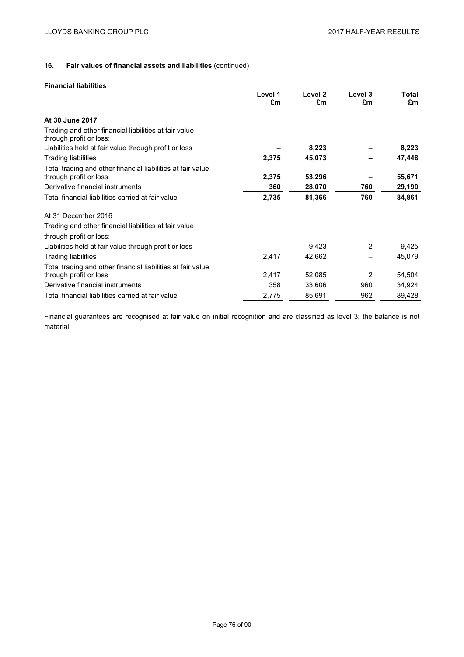## **Financial liabilities**

|                                                                                  | Level 1<br>£m | Level <sub>2</sub><br>£m | Level 3<br>£m | Total<br>£m |
|----------------------------------------------------------------------------------|---------------|--------------------------|---------------|-------------|
|                                                                                  |               |                          |               |             |
| At 30 June 2017                                                                  |               |                          |               |             |
| Trading and other financial liabilities at fair value<br>through profit or loss: |               |                          |               |             |
| Liabilities held at fair value through profit or loss                            |               | 8,223                    |               | 8,223       |
| <b>Trading liabilities</b>                                                       | 2,375         | 45,073                   |               | 47,448      |
| Total trading and other financial liabilities at fair value                      |               |                          |               |             |
| through profit or loss                                                           | 2,375         | 53,296                   |               | 55,671      |
| Derivative financial instruments                                                 | 360           | 28,070                   | 760           | 29,190      |
| Total financial liabilities carried at fair value                                | 2,735         | 81,366                   | 760           | 84,861      |
| At 31 December 2016                                                              |               |                          |               |             |
| Trading and other financial liabilities at fair value                            |               |                          |               |             |
| through profit or loss:                                                          |               |                          |               |             |
| Liabilities held at fair value through profit or loss                            |               | 9,423                    | 2             | 9,425       |
| <b>Trading liabilities</b>                                                       | 2,417         | 42,662                   |               | 45,079      |
| Total trading and other financial liabilities at fair value                      |               |                          |               |             |
| through profit or loss                                                           | 2,417         | 52,085                   | 2             | 54,504      |
| Derivative financial instruments                                                 | 358           | 33,606                   | 960           | 34,924      |
| Total financial liabilities carried at fair value                                | 2,775         | 85,691                   | 962           | 89,428      |

Financial guarantees are recognised at fair value on initial recognition and are classified as level 3; the balance is not material.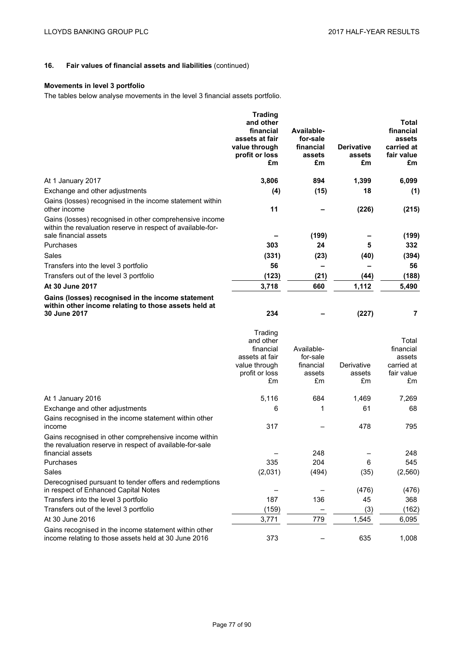# **Movements in level 3 portfolio**

The tables below analyse movements in the level 3 financial assets portfolio.

|                                                                                                                                       | <b>Trading</b><br>and other<br>financial<br>assets at fair<br>value through<br>profit or loss<br>£m | Available-<br>for-sale<br>financial<br>assets<br>£m | <b>Derivative</b><br>assets<br>£m | Total<br>financial<br>assets<br>carried at<br>fair value<br>£m |
|---------------------------------------------------------------------------------------------------------------------------------------|-----------------------------------------------------------------------------------------------------|-----------------------------------------------------|-----------------------------------|----------------------------------------------------------------|
| At 1 January 2017                                                                                                                     | 3,806                                                                                               | 894                                                 | 1,399                             | 6,099                                                          |
| Exchange and other adjustments                                                                                                        | (4)                                                                                                 | (15)                                                | 18                                | (1)                                                            |
| Gains (losses) recognised in the income statement within<br>other income                                                              | 11                                                                                                  |                                                     | (226)                             | (215)                                                          |
| Gains (losses) recognised in other comprehensive income<br>within the revaluation reserve in respect of available-for-                |                                                                                                     |                                                     |                                   |                                                                |
| sale financial assets<br>Purchases                                                                                                    | 303                                                                                                 | (199)<br>24                                         | 5                                 | (199)<br>332                                                   |
| Sales                                                                                                                                 | (331)                                                                                               | (23)                                                | (40)                              | (394)                                                          |
| Transfers into the level 3 portfolio                                                                                                  | 56                                                                                                  |                                                     |                                   | 56                                                             |
| Transfers out of the level 3 portfolio                                                                                                | (123)                                                                                               | (21)                                                | (44)                              | (188)                                                          |
| At 30 June 2017                                                                                                                       | 3,718                                                                                               | 660                                                 | 1,112                             | 5,490                                                          |
| Gains (losses) recognised in the income statement<br>within other income relating to those assets held at                             |                                                                                                     |                                                     |                                   |                                                                |
| 30 June 2017                                                                                                                          | 234                                                                                                 |                                                     | (227)                             | 7                                                              |
|                                                                                                                                       | Trading<br>and other<br>financial<br>assets at fair<br>value through<br>profit or loss<br>£m        | Available-<br>for-sale<br>financial<br>assets<br>£m | Derivative<br>assets<br>£m        | Total<br>financial<br>assets<br>carried at<br>fair value<br>£m |
| At 1 January 2016                                                                                                                     | 5,116                                                                                               | 684                                                 | 1,469                             | 7,269                                                          |
| Exchange and other adjustments                                                                                                        | 6                                                                                                   | 1                                                   | 61                                | 68                                                             |
| Gains recognised in the income statement within other<br>income                                                                       | 317                                                                                                 |                                                     | 478                               | 795                                                            |
| Gains recognised in other comprehensive income within<br>the revaluation reserve in respect of available-for-sale<br>financial assets |                                                                                                     | 248                                                 |                                   | 248                                                            |
| Purchases                                                                                                                             | 335                                                                                                 | 204                                                 | 6                                 | 545                                                            |
| Sales                                                                                                                                 | (2,031)                                                                                             | (494)                                               | (35)                              | (2,560)                                                        |
| Derecognised pursuant to tender offers and redemptions<br>in respect of Enhanced Capital Notes                                        |                                                                                                     |                                                     | (476)                             | (476)                                                          |
| Transfers into the level 3 portfolio                                                                                                  | 187                                                                                                 | 136                                                 | 45                                | 368                                                            |
| Transfers out of the level 3 portfolio                                                                                                | (159)                                                                                               |                                                     | (3)                               | (162)                                                          |
| At 30 June 2016                                                                                                                       | 3,771                                                                                               | 779                                                 | 1,545                             | 6,095                                                          |
| Gains recognised in the income statement within other<br>income relating to those assets held at 30 June 2016                         | 373                                                                                                 |                                                     | 635                               | 1,008                                                          |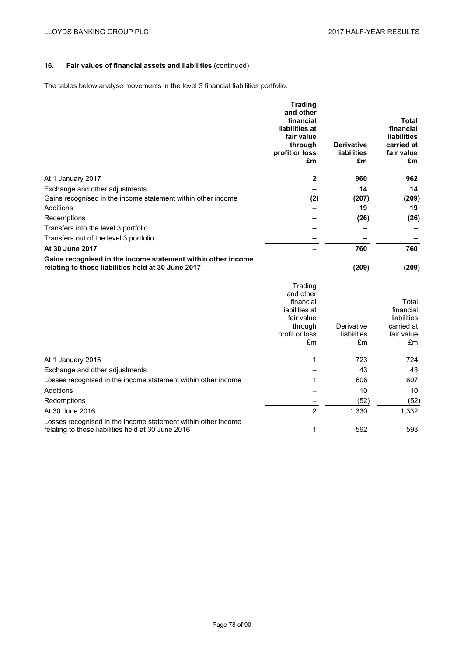The tables below analyse movements in the level 3 financial liabilities portfolio.

|                                                                                                                    | <b>Trading</b><br>and other<br>financial<br>liabilities at<br>fair value<br>through<br>profit or loss<br>£m | <b>Derivative</b><br><b>liabilities</b><br>£m | Total<br>financial<br><b>liabilities</b><br>carried at<br>fair value<br>£m |
|--------------------------------------------------------------------------------------------------------------------|-------------------------------------------------------------------------------------------------------------|-----------------------------------------------|----------------------------------------------------------------------------|
| At 1 January 2017                                                                                                  | $\mathbf{2}$                                                                                                | 960                                           | 962                                                                        |
| Exchange and other adjustments                                                                                     |                                                                                                             | 14                                            | 14                                                                         |
| Gains recognised in the income statement within other income                                                       | (2)                                                                                                         | (207)                                         | (209)                                                                      |
| Additions                                                                                                          |                                                                                                             | 19                                            | 19                                                                         |
| Redemptions                                                                                                        |                                                                                                             | (26)                                          | (26)                                                                       |
| Transfers into the level 3 portfolio                                                                               |                                                                                                             |                                               |                                                                            |
| Transfers out of the level 3 portfolio                                                                             |                                                                                                             |                                               |                                                                            |
| At 30 June 2017                                                                                                    |                                                                                                             | 760                                           | 760                                                                        |
| Gains recognised in the income statement within other income<br>relating to those liabilities held at 30 June 2017 |                                                                                                             | (209)                                         | (209)                                                                      |

|                                                                                                                     | Trading        |             |             |
|---------------------------------------------------------------------------------------------------------------------|----------------|-------------|-------------|
|                                                                                                                     | and other      |             |             |
|                                                                                                                     | financial      |             | Total       |
|                                                                                                                     | liabilities at |             | financial   |
|                                                                                                                     | fair value     |             | liabilities |
|                                                                                                                     | through        | Derivative  | carried at  |
|                                                                                                                     | profit or loss | liabilities | fair value  |
|                                                                                                                     | £m             | £m          | £m          |
| At 1 January 2016                                                                                                   | 1              | 723         | 724         |
| Exchange and other adjustments                                                                                      |                | 43          | 43          |
| Losses recognised in the income statement within other income                                                       | 1              | 606         | 607         |
| Additions                                                                                                           |                | 10          | 10          |
| Redemptions                                                                                                         |                | (52)        | (52)        |
| At 30 June 2016                                                                                                     | 2              | 1,330       | 1,332       |
| Losses recognised in the income statement within other income<br>relating to those liabilities held at 30 June 2016 | 1              | 592         | 593         |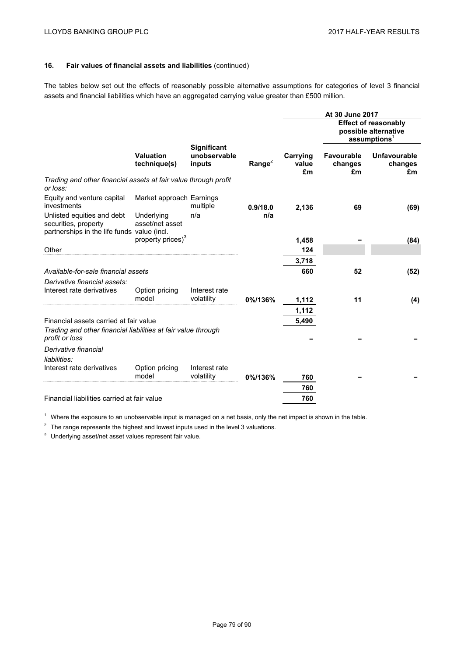The tables below set out the effects of reasonably possible alternative assumptions for categories of level 3 financial assets and financial liabilities which have an aggregated carrying value greater than £500 million.

|                                                                                                   |                                  |                                              |           |                         | At 30 June 2017                    |                                                                                 |
|---------------------------------------------------------------------------------------------------|----------------------------------|----------------------------------------------|-----------|-------------------------|------------------------------------|---------------------------------------------------------------------------------|
|                                                                                                   |                                  |                                              |           |                         |                                    | <b>Effect of reasonably</b><br>possible alternative<br>$\mathsf{assumptions}^1$ |
|                                                                                                   | <b>Valuation</b><br>technique(s) | <b>Significant</b><br>unobservable<br>inputs | Range $2$ | Carrying<br>value<br>£m | <b>Favourable</b><br>changes<br>£m | <b>Unfavourable</b><br>changes<br>£m                                            |
| Trading and other financial assets at fair value through profit<br>or loss:                       |                                  |                                              |           |                         |                                    |                                                                                 |
| Equity and venture capital<br>investments                                                         | Market approach Earnings         | multiple                                     | 0.9/18.0  | 2,136                   | 69                                 | (69)                                                                            |
| Unlisted equities and debt<br>securities, property<br>partnerships in the life funds value (incl. | Underlying<br>asset/net asset    | n/a                                          | n/a       |                         |                                    |                                                                                 |
|                                                                                                   | property prices) <sup>3</sup>    |                                              |           | 1,458                   |                                    | (84)                                                                            |
| Other                                                                                             |                                  |                                              |           | 124                     |                                    |                                                                                 |
|                                                                                                   |                                  |                                              |           | 3,718                   |                                    |                                                                                 |
| Available-for-sale financial assets                                                               |                                  |                                              |           | 660                     | 52                                 | (52)                                                                            |
| Derivative financial assets:                                                                      |                                  |                                              |           |                         |                                    |                                                                                 |
| Interest rate derivatives                                                                         | Option pricing<br>model          | Interest rate<br>volatility                  | 0%/136%   | 1,112                   | 11                                 | (4)                                                                             |
|                                                                                                   |                                  |                                              |           | 1,112                   |                                    |                                                                                 |
| Financial assets carried at fair value                                                            |                                  |                                              |           | 5,490                   |                                    |                                                                                 |
| Trading and other financial liabilities at fair value through<br>profit or loss                   |                                  |                                              |           |                         |                                    |                                                                                 |
| Derivative financial<br>liabilities:                                                              |                                  |                                              |           |                         |                                    |                                                                                 |
| Interest rate derivatives                                                                         | Option pricing                   | Interest rate                                |           |                         |                                    |                                                                                 |
|                                                                                                   | model                            | volatility                                   | 0%/136%   | 760                     |                                    |                                                                                 |
|                                                                                                   |                                  |                                              |           | 760                     |                                    |                                                                                 |
| Financial liabilities carried at fair value                                                       |                                  |                                              |           | 760                     |                                    |                                                                                 |

 $1$  Where the exposure to an unobservable input is managed on a net basis, only the net impact is shown in the table.

 $2\text{ }$  The range represents the highest and lowest inputs used in the level 3 valuations.

<sup>3</sup> Underlying asset/net asset values represent fair value.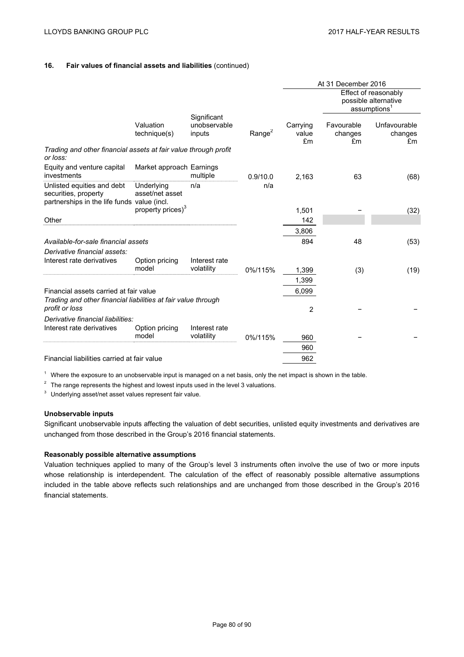|                                                                                                   |                               |                                       |                    |                                                                          | At 31 December 2016         |                               |
|---------------------------------------------------------------------------------------------------|-------------------------------|---------------------------------------|--------------------|--------------------------------------------------------------------------|-----------------------------|-------------------------------|
|                                                                                                   |                               |                                       |                    | Effect of reasonably<br>possible alternative<br>assumptions <sup>1</sup> |                             |                               |
|                                                                                                   | Valuation<br>technique(s)     | Significant<br>unobservable<br>inputs | Range <sup>2</sup> | Carrying<br>value<br>£m                                                  | Favourable<br>changes<br>£m | Unfavourable<br>changes<br>£m |
| Trading and other financial assets at fair value through profit<br>or loss:                       |                               |                                       |                    |                                                                          |                             |                               |
| Equity and venture capital<br>investments                                                         | Market approach Earnings      | multiple                              | 0.9/10.0           | 2,163                                                                    | 63                          | (68)                          |
| Unlisted equities and debt<br>securities, property<br>partnerships in the life funds value (incl. | Underlying<br>asset/net asset | n/a                                   | n/a                |                                                                          |                             |                               |
|                                                                                                   | property prices) <sup>3</sup> |                                       |                    | 1,501                                                                    |                             | (32)                          |
| Other                                                                                             |                               |                                       |                    | 142                                                                      |                             |                               |
|                                                                                                   |                               |                                       |                    | 3,806                                                                    |                             |                               |
| Available-for-sale financial assets                                                               |                               |                                       |                    | 894                                                                      | 48                          | (53)                          |
| Derivative financial assets:<br>Interest rate derivatives                                         | Option pricing                | Interest rate                         |                    |                                                                          |                             |                               |
|                                                                                                   | model                         | volatility                            | 0%/115%            | 1,399                                                                    | (3)                         | (19)                          |
|                                                                                                   |                               |                                       |                    | 1,399                                                                    |                             |                               |
| Financial assets carried at fair value                                                            |                               |                                       |                    | 6,099                                                                    |                             |                               |
| Trading and other financial liabilities at fair value through<br>profit or loss                   |                               |                                       |                    | 2                                                                        |                             |                               |
| Derivative financial liabilities:                                                                 |                               |                                       |                    |                                                                          |                             |                               |
| Interest rate derivatives                                                                         | Option pricing<br>model       | Interest rate<br>volatility           | 0%/115%            | 960                                                                      |                             |                               |
|                                                                                                   |                               |                                       |                    | 960                                                                      |                             |                               |
| Financial liabilities carried at fair value                                                       |                               |                                       |                    | 962                                                                      |                             |                               |
|                                                                                                   |                               |                                       |                    |                                                                          |                             |                               |

 $1$  Where the exposure to an unobservable input is managed on a net basis, only the net impact is shown in the table.

 $2$  The range represents the highest and lowest inputs used in the level 3 valuations.

<sup>3</sup> Underlying asset/net asset values represent fair value.

## **Unobservable inputs**

Significant unobservable inputs affecting the valuation of debt securities, unlisted equity investments and derivatives are unchanged from those described in the Group's 2016 financial statements.

## **Reasonably possible alternative assumptions**

Valuation techniques applied to many of the Group's level 3 instruments often involve the use of two or more inputs whose relationship is interdependent. The calculation of the effect of reasonably possible alternative assumptions included in the table above reflects such relationships and are unchanged from those described in the Group's 2016 financial statements.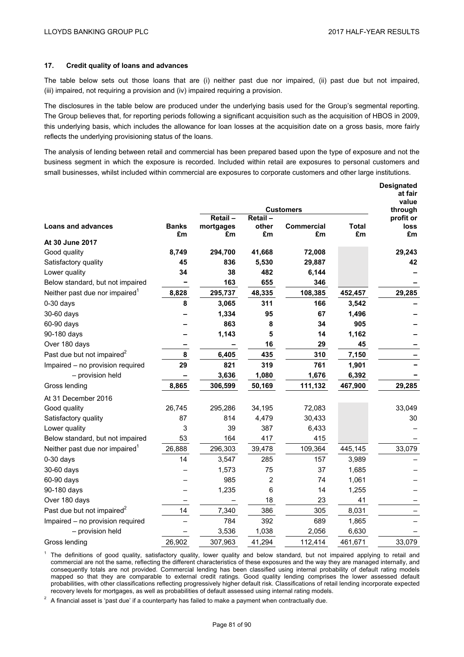## **17. Credit quality of loans and advances**

The table below sets out those loans that are (i) neither past due nor impaired, (ii) past due but not impaired, (iii) impaired, not requiring a provision and (iv) impaired requiring a provision.

The disclosures in the table below are produced under the underlying basis used for the Group's segmental reporting. The Group believes that, for reporting periods following a significant acquisition such as the acquisition of HBOS in 2009, this underlying basis, which includes the allowance for loan losses at the acquisition date on a gross basis, more fairly reflects the underlying provisioning status of the loans.

The analysis of lending between retail and commercial has been prepared based upon the type of exposure and not the business segment in which the exposure is recorded. Included within retail are exposures to personal customers and small businesses, whilst included within commercial are exposures to corporate customers and other large institutions.

|                                            |              |                 |         |                  |             | <b>Designated</b><br>at fair |
|--------------------------------------------|--------------|-----------------|---------|------------------|-------------|------------------------------|
|                                            |              |                 |         | <b>Customers</b> |             | value<br>through             |
|                                            |              | Retail-         | Retail- |                  |             | profit or                    |
| <b>Loans and advances</b>                  | <b>Banks</b> | mortgages<br>£m | other   | Commercial       | Total<br>£m | loss                         |
| At 30 June 2017                            | £m           |                 | £m      | £m               |             | £m                           |
| Good quality                               | 8,749        | 294,700         | 41,668  | 72,008           |             | 29,243                       |
| Satisfactory quality                       | 45           | 836             | 5,530   | 29,887           |             | 42                           |
| Lower quality                              | 34           | 38              | 482     | 6,144            |             |                              |
| Below standard, but not impaired           |              | 163             | 655     | 346              |             |                              |
| Neither past due nor impaired <sup>1</sup> | 8,828        | 295,737         | 48,335  | 108,385          | 452,457     | 29,285                       |
| $0-30$ days                                | 8            | 3,065           | 311     | 166              | 3,542       |                              |
| 30-60 days                                 |              | 1,334           | 95      | 67               | 1,496       |                              |
| 60-90 days                                 |              | 863             | 8       | 34               | 905         |                              |
| 90-180 days                                |              | 1,143           | 5       | 14               | 1,162       |                              |
| Over 180 days                              |              |                 | 16      | 29               | 45          |                              |
| Past due but not impaired <sup>2</sup>     | 8            | 6,405           | 435     | 310              | 7,150       |                              |
| Impaired - no provision required           | 29           | 821             | 319     | 761              | 1,901       |                              |
| - provision held                           |              | 3,636           | 1,080   | 1,676            | 6,392       |                              |
| Gross lending                              | 8,865        | 306,599         | 50,169  | 111,132          | 467,900     | 29,285                       |
| At 31 December 2016                        |              |                 |         |                  |             |                              |
| Good quality                               | 26,745       | 295,286         | 34,195  | 72,083           |             | 33,049                       |
| Satisfactory quality                       | 87           | 814             | 4,479   | 30,433           |             | 30                           |
| Lower quality                              | 3            | 39              | 387     | 6,433            |             |                              |
| Below standard, but not impaired           | 53           | 164             | 417     | 415              |             |                              |
| Neither past due nor impaired <sup>1</sup> | 26,888       | 296,303         | 39,478  | 109,364          | 445,145     | 33,079                       |
| $0-30$ days                                | 14           | 3,547           | 285     | 157              | 3,989       |                              |
| 30-60 days                                 |              | 1,573           | 75      | 37               | 1,685       |                              |
| 60-90 days                                 |              | 985             | 2       | 74               | 1,061       |                              |
| 90-180 days                                |              | 1,235           | 6       | 14               | 1,255       |                              |
| Over 180 days                              |              |                 | 18      | 23               | 41          |                              |
| Past due but not impaired <sup>2</sup>     | 14           | 7,340           | 386     | 305              | 8,031       |                              |
| Impaired - no provision required           |              | 784             | 392     | 689              | 1,865       |                              |
| - provision held                           |              | 3,536           | 1,038   | 2,056            | 6,630       |                              |
| Gross lending                              | 26,902       | 307,963         | 41,294  | 112,414          | 461,671     | 33,079                       |

<sup>1</sup> The definitions of good quality, satisfactory quality, lower quality and below standard, but not impaired applying to retail and commercial are not the same, reflecting the different characteristics of these exposures and the way they are managed internally, and consequently totals are not provided. Commercial lending has been classified using internal probability of default rating models mapped so that they are comparable to external credit ratings. Good quality lending comprises the lower assessed default probabilities, with other classifications reflecting progressively higher default risk. Classifications of retail lending incorporate expected recovery levels for mortgages, as well as probabilities of default assessed using internal rating models.

 $2\text{ A}$  financial asset is 'past due' if a counterparty has failed to make a payment when contractually due.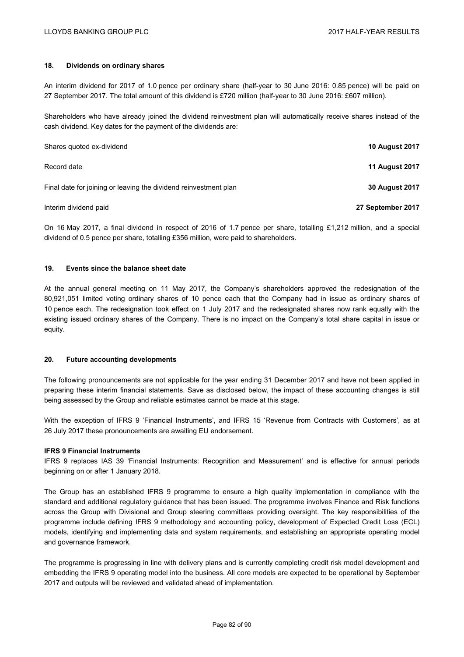## **18. Dividends on ordinary shares**

An interim dividend for 2017 of 1.0 pence per ordinary share (half-year to 30 June 2016: 0.85 pence) will be paid on 27 September 2017. The total amount of this dividend is £720 million (half-year to 30 June 2016: £607 million).

Shareholders who have already joined the dividend reinvestment plan will automatically receive shares instead of the cash dividend. Key dates for the payment of the dividends are:

| Shares quoted ex-dividend                                        | <b>10 August 2017</b> |
|------------------------------------------------------------------|-----------------------|
| Record date                                                      | <b>11 August 2017</b> |
| Final date for joining or leaving the dividend reinvestment plan | <b>30 August 2017</b> |
| Interim dividend paid                                            | 27 September 2017     |

On 16 May 2017, a final dividend in respect of 2016 of 1.7 pence per share, totalling £1,212 million, and a special dividend of 0.5 pence per share, totalling £356 million, were paid to shareholders.

## **19. Events since the balance sheet date**

At the annual general meeting on 11 May 2017, the Company's shareholders approved the redesignation of the 80,921,051 limited voting ordinary shares of 10 pence each that the Company had in issue as ordinary shares of 10 pence each. The redesignation took effect on 1 July 2017 and the redesignated shares now rank equally with the existing issued ordinary shares of the Company. There is no impact on the Company's total share capital in issue or equity.

### **20. Future accounting developments**

The following pronouncements are not applicable for the year ending 31 December 2017 and have not been applied in preparing these interim financial statements. Save as disclosed below, the impact of these accounting changes is still being assessed by the Group and reliable estimates cannot be made at this stage.

With the exception of IFRS 9 'Financial Instruments', and IFRS 15 'Revenue from Contracts with Customers', as at 26 July 2017 these pronouncements are awaiting EU endorsement.

### **IFRS 9 Financial Instruments**

IFRS 9 replaces IAS 39 'Financial Instruments: Recognition and Measurement' and is effective for annual periods beginning on or after 1 January 2018.

The Group has an established IFRS 9 programme to ensure a high quality implementation in compliance with the standard and additional regulatory guidance that has been issued. The programme involves Finance and Risk functions across the Group with Divisional and Group steering committees providing oversight. The key responsibilities of the programme include defining IFRS 9 methodology and accounting policy, development of Expected Credit Loss (ECL) models, identifying and implementing data and system requirements, and establishing an appropriate operating model and governance framework.

The programme is progressing in line with delivery plans and is currently completing credit risk model development and embedding the IFRS 9 operating model into the business. All core models are expected to be operational by September 2017 and outputs will be reviewed and validated ahead of implementation.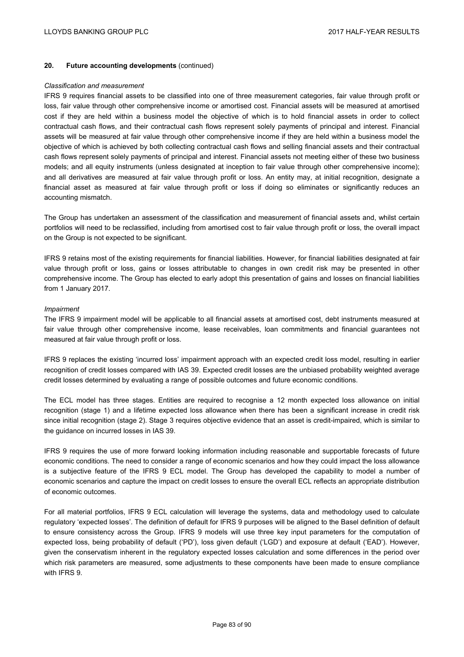## **20. Future accounting developments** (continued)

#### *Classification and measurement*

IFRS 9 requires financial assets to be classified into one of three measurement categories, fair value through profit or loss, fair value through other comprehensive income or amortised cost. Financial assets will be measured at amortised cost if they are held within a business model the objective of which is to hold financial assets in order to collect contractual cash flows, and their contractual cash flows represent solely payments of principal and interest. Financial assets will be measured at fair value through other comprehensive income if they are held within a business model the objective of which is achieved by both collecting contractual cash flows and selling financial assets and their contractual cash flows represent solely payments of principal and interest. Financial assets not meeting either of these two business models; and all equity instruments (unless designated at inception to fair value through other comprehensive income); and all derivatives are measured at fair value through profit or loss. An entity may, at initial recognition, designate a financial asset as measured at fair value through profit or loss if doing so eliminates or significantly reduces an accounting mismatch.

The Group has undertaken an assessment of the classification and measurement of financial assets and, whilst certain portfolios will need to be reclassified, including from amortised cost to fair value through profit or loss, the overall impact on the Group is not expected to be significant.

IFRS 9 retains most of the existing requirements for financial liabilities. However, for financial liabilities designated at fair value through profit or loss, gains or losses attributable to changes in own credit risk may be presented in other comprehensive income. The Group has elected to early adopt this presentation of gains and losses on financial liabilities from 1 January 2017.

### *Impairment*

The IFRS 9 impairment model will be applicable to all financial assets at amortised cost, debt instruments measured at fair value through other comprehensive income, lease receivables, loan commitments and financial guarantees not measured at fair value through profit or loss.

IFRS 9 replaces the existing 'incurred loss' impairment approach with an expected credit loss model, resulting in earlier recognition of credit losses compared with IAS 39. Expected credit losses are the unbiased probability weighted average credit losses determined by evaluating a range of possible outcomes and future economic conditions.

The ECL model has three stages. Entities are required to recognise a 12 month expected loss allowance on initial recognition (stage 1) and a lifetime expected loss allowance when there has been a significant increase in credit risk since initial recognition (stage 2). Stage 3 requires objective evidence that an asset is credit-impaired, which is similar to the guidance on incurred losses in IAS 39.

IFRS 9 requires the use of more forward looking information including reasonable and supportable forecasts of future economic conditions. The need to consider a range of economic scenarios and how they could impact the loss allowance is a subjective feature of the IFRS 9 ECL model. The Group has developed the capability to model a number of economic scenarios and capture the impact on credit losses to ensure the overall ECL reflects an appropriate distribution of economic outcomes.

For all material portfolios, IFRS 9 ECL calculation will leverage the systems, data and methodology used to calculate regulatory 'expected losses'. The definition of default for IFRS 9 purposes will be aligned to the Basel definition of default to ensure consistency across the Group. IFRS 9 models will use three key input parameters for the computation of expected loss, being probability of default ('PD'), loss given default ('LGD') and exposure at default ('EAD'). However, given the conservatism inherent in the regulatory expected losses calculation and some differences in the period over which risk parameters are measured, some adjustments to these components have been made to ensure compliance with **IFRS 9**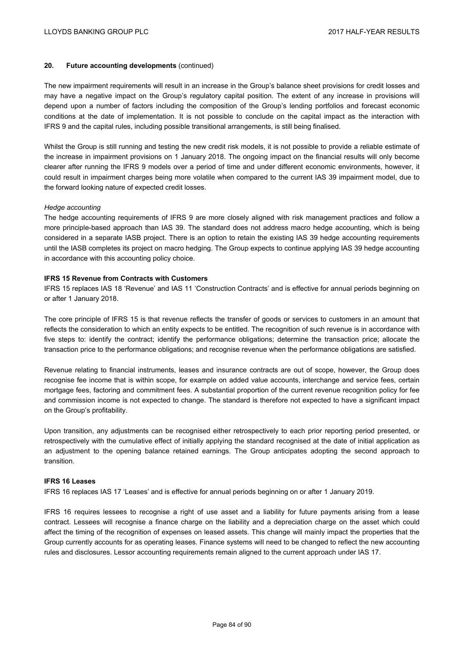## **20. Future accounting developments** (continued)

The new impairment requirements will result in an increase in the Group's balance sheet provisions for credit losses and may have a negative impact on the Group's regulatory capital position. The extent of any increase in provisions will depend upon a number of factors including the composition of the Group's lending portfolios and forecast economic conditions at the date of implementation. It is not possible to conclude on the capital impact as the interaction with IFRS 9 and the capital rules, including possible transitional arrangements, is still being finalised.

Whilst the Group is still running and testing the new credit risk models, it is not possible to provide a reliable estimate of the increase in impairment provisions on 1 January 2018. The ongoing impact on the financial results will only become clearer after running the IFRS 9 models over a period of time and under different economic environments, however, it could result in impairment charges being more volatile when compared to the current IAS 39 impairment model, due to the forward looking nature of expected credit losses.

### *Hedge accounting*

The hedge accounting requirements of IFRS 9 are more closely aligned with risk management practices and follow a more principle-based approach than IAS 39. The standard does not address macro hedge accounting, which is being considered in a separate IASB project. There is an option to retain the existing IAS 39 hedge accounting requirements until the IASB completes its project on macro hedging. The Group expects to continue applying IAS 39 hedge accounting in accordance with this accounting policy choice.

## **IFRS 15 Revenue from Contracts with Customers**

IFRS 15 replaces IAS 18 'Revenue' and IAS 11 'Construction Contracts' and is effective for annual periods beginning on or after 1 January 2018.

The core principle of IFRS 15 is that revenue reflects the transfer of goods or services to customers in an amount that reflects the consideration to which an entity expects to be entitled. The recognition of such revenue is in accordance with five steps to: identify the contract; identify the performance obligations; determine the transaction price; allocate the transaction price to the performance obligations; and recognise revenue when the performance obligations are satisfied.

Revenue relating to financial instruments, leases and insurance contracts are out of scope, however, the Group does recognise fee income that is within scope, for example on added value accounts, interchange and service fees, certain mortgage fees, factoring and commitment fees. A substantial proportion of the current revenue recognition policy for fee and commission income is not expected to change. The standard is therefore not expected to have a significant impact on the Group's profitability.

Upon transition, any adjustments can be recognised either retrospectively to each prior reporting period presented, or retrospectively with the cumulative effect of initially applying the standard recognised at the date of initial application as an adjustment to the opening balance retained earnings. The Group anticipates adopting the second approach to transition.

## **IFRS 16 Leases**

IFRS 16 replaces IAS 17 'Leases' and is effective for annual periods beginning on or after 1 January 2019.

IFRS 16 requires lessees to recognise a right of use asset and a liability for future payments arising from a lease contract. Lessees will recognise a finance charge on the liability and a depreciation charge on the asset which could affect the timing of the recognition of expenses on leased assets. This change will mainly impact the properties that the Group currently accounts for as operating leases. Finance systems will need to be changed to reflect the new accounting rules and disclosures. Lessor accounting requirements remain aligned to the current approach under IAS 17.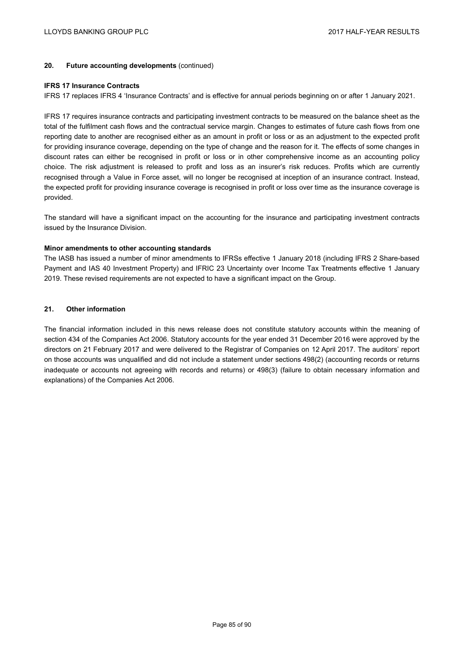## **20. Future accounting developments** (continued)

#### **IFRS 17 Insurance Contracts**

IFRS 17 replaces IFRS 4 'Insurance Contracts' and is effective for annual periods beginning on or after 1 January 2021.

IFRS 17 requires insurance contracts and participating investment contracts to be measured on the balance sheet as the total of the fulfilment cash flows and the contractual service margin. Changes to estimates of future cash flows from one reporting date to another are recognised either as an amount in profit or loss or as an adjustment to the expected profit for providing insurance coverage, depending on the type of change and the reason for it. The effects of some changes in discount rates can either be recognised in profit or loss or in other comprehensive income as an accounting policy choice. The risk adjustment is released to profit and loss as an insurer's risk reduces. Profits which are currently recognised through a Value in Force asset, will no longer be recognised at inception of an insurance contract. Instead, the expected profit for providing insurance coverage is recognised in profit or loss over time as the insurance coverage is provided.

The standard will have a significant impact on the accounting for the insurance and participating investment contracts issued by the Insurance Division.

### **Minor amendments to other accounting standards**

The IASB has issued a number of minor amendments to IFRSs effective 1 January 2018 (including IFRS 2 Share-based Payment and IAS 40 Investment Property) and IFRIC 23 Uncertainty over Income Tax Treatments effective 1 January 2019. These revised requirements are not expected to have a significant impact on the Group.

### **21. Other information**

The financial information included in this news release does not constitute statutory accounts within the meaning of section 434 of the Companies Act 2006. Statutory accounts for the year ended 31 December 2016 were approved by the directors on 21 February 2017 and were delivered to the Registrar of Companies on 12 April 2017. The auditors' report on those accounts was unqualified and did not include a statement under sections 498(2) (accounting records or returns inadequate or accounts not agreeing with records and returns) or 498(3) (failure to obtain necessary information and explanations) of the Companies Act 2006.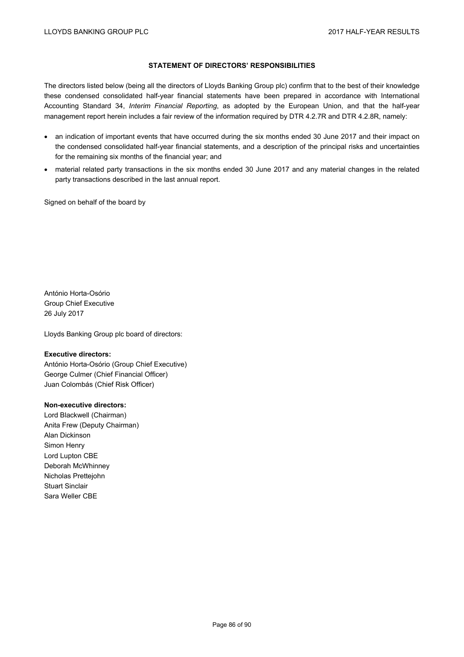## **STATEMENT OF DIRECTORS' RESPONSIBILITIES**

The directors listed below (being all the directors of Lloyds Banking Group plc) confirm that to the best of their knowledge these condensed consolidated half-year financial statements have been prepared in accordance with International Accounting Standard 34, *Interim Financial Reporting*, as adopted by the European Union, and that the half-year management report herein includes a fair review of the information required by DTR 4.2.7R and DTR 4.2.8R, namely:

- an indication of important events that have occurred during the six months ended 30 June 2017 and their impact on the condensed consolidated half-year financial statements, and a description of the principal risks and uncertainties for the remaining six months of the financial year; and
- material related party transactions in the six months ended 30 June 2017 and any material changes in the related party transactions described in the last annual report.

Signed on behalf of the board by

António Horta-Osório Group Chief Executive 26 July 2017

Lloyds Banking Group plc board of directors:

## **Executive directors:**

António Horta-Osório (Group Chief Executive) George Culmer (Chief Financial Officer) Juan Colombás (Chief Risk Officer)

### **Non-executive directors:**

Lord Blackwell (Chairman) Anita Frew (Deputy Chairman) Alan Dickinson Simon Henry Lord Lupton CBE Deborah McWhinney Nicholas Prettejohn Stuart Sinclair Sara Weller CBE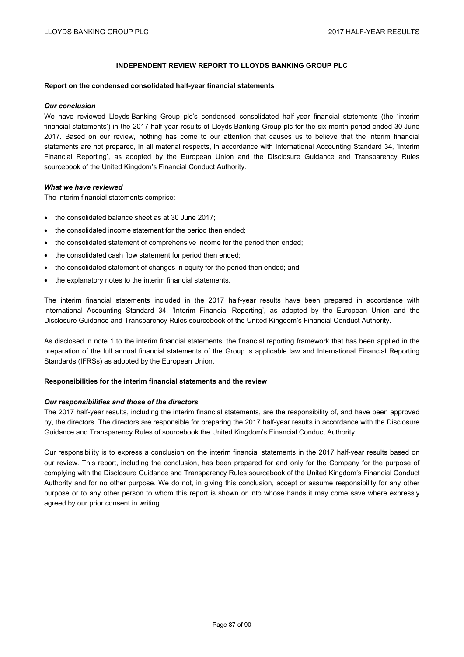# **INDEPENDENT REVIEW REPORT TO LLOYDS BANKING GROUP PLC**

#### **Report on the condensed consolidated half-year financial statements**

#### *Our conclusion*

We have reviewed Lloyds Banking Group plc's condensed consolidated half-year financial statements (the 'interim financial statements') in the 2017 half-year results of Lloyds Banking Group plc for the six month period ended 30 June 2017. Based on our review, nothing has come to our attention that causes us to believe that the interim financial statements are not prepared, in all material respects, in accordance with International Accounting Standard 34, 'Interim Financial Reporting', as adopted by the European Union and the Disclosure Guidance and Transparency Rules sourcebook of the United Kingdom's Financial Conduct Authority.

## *What we have reviewed*

The interim financial statements comprise:

- the consolidated balance sheet as at 30 June 2017;
- the consolidated income statement for the period then ended;
- the consolidated statement of comprehensive income for the period then ended;
- the consolidated cash flow statement for period then ended:
- the consolidated statement of changes in equity for the period then ended; and
- the explanatory notes to the interim financial statements.

The interim financial statements included in the 2017 half-year results have been prepared in accordance with International Accounting Standard 34, 'Interim Financial Reporting', as adopted by the European Union and the Disclosure Guidance and Transparency Rules sourcebook of the United Kingdom's Financial Conduct Authority.

As disclosed in note 1 to the interim financial statements, the financial reporting framework that has been applied in the preparation of the full annual financial statements of the Group is applicable law and International Financial Reporting Standards (IFRSs) as adopted by the European Union.

## **Responsibilities for the interim financial statements and the review**

#### *Our responsibilities and those of the directors*

The 2017 half-year results, including the interim financial statements, are the responsibility of, and have been approved by, the directors. The directors are responsible for preparing the 2017 half-year results in accordance with the Disclosure Guidance and Transparency Rules of sourcebook the United Kingdom's Financial Conduct Authority.

Our responsibility is to express a conclusion on the interim financial statements in the 2017 half-year results based on our review. This report, including the conclusion, has been prepared for and only for the Company for the purpose of complying with the Disclosure Guidance and Transparency Rules sourcebook of the United Kingdom's Financial Conduct Authority and for no other purpose. We do not, in giving this conclusion, accept or assume responsibility for any other purpose or to any other person to whom this report is shown or into whose hands it may come save where expressly agreed by our prior consent in writing.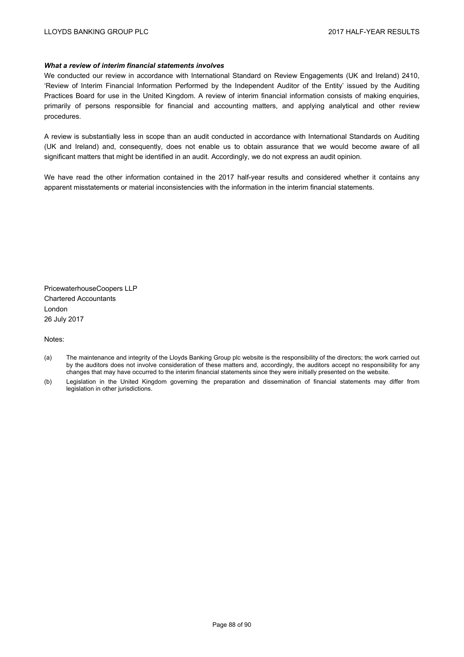## *What a review of interim financial statements involves*

We conducted our review in accordance with International Standard on Review Engagements (UK and Ireland) 2410, 'Review of Interim Financial Information Performed by the Independent Auditor of the Entity' issued by the Auditing Practices Board for use in the United Kingdom. A review of interim financial information consists of making enquiries, primarily of persons responsible for financial and accounting matters, and applying analytical and other review procedures.

A review is substantially less in scope than an audit conducted in accordance with International Standards on Auditing (UK and Ireland) and, consequently, does not enable us to obtain assurance that we would become aware of all significant matters that might be identified in an audit. Accordingly, we do not express an audit opinion.

We have read the other information contained in the 2017 half-year results and considered whether it contains any apparent misstatements or material inconsistencies with the information in the interim financial statements.

PricewaterhouseCoopers LLP Chartered Accountants London 26 July 2017

Notes:

- (a) The maintenance and integrity of the Lloyds Banking Group plc website is the responsibility of the directors; the work carried out by the auditors does not involve consideration of these matters and, accordingly, the auditors accept no responsibility for any changes that may have occurred to the interim financial statements since they were initially presented on the website.
- (b) Legislation in the United Kingdom governing the preparation and dissemination of financial statements may differ from legislation in other jurisdictions.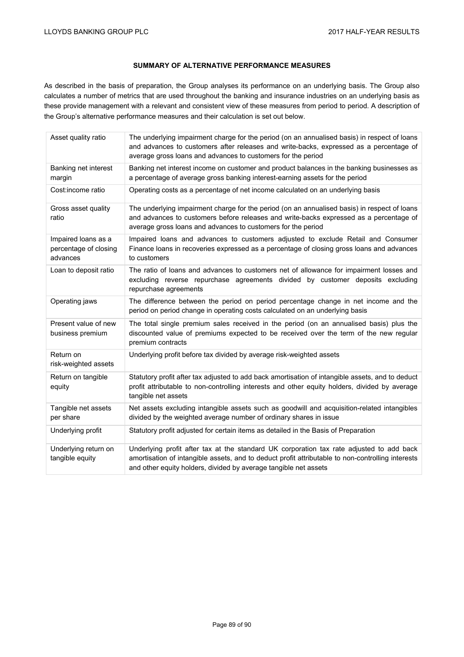# **SUMMARY OF ALTERNATIVE PERFORMANCE MEASURES**

As described in the basis of preparation, the Group analyses its performance on an underlying basis. The Group also calculates a number of metrics that are used throughout the banking and insurance industries on an underlying basis as these provide management with a relevant and consistent view of these measures from period to period. A description of the Group's alternative performance measures and their calculation is set out below.

| Asset quality ratio                                      | The underlying impairment charge for the period (on an annualised basis) in respect of loans<br>and advances to customers after releases and write-backs, expressed as a percentage of<br>average gross loans and advances to customers for the period            |
|----------------------------------------------------------|-------------------------------------------------------------------------------------------------------------------------------------------------------------------------------------------------------------------------------------------------------------------|
| Banking net interest<br>margin                           | Banking net interest income on customer and product balances in the banking businesses as<br>a percentage of average gross banking interest-earning assets for the period                                                                                         |
| Cost:income ratio                                        | Operating costs as a percentage of net income calculated on an underlying basis                                                                                                                                                                                   |
| Gross asset quality<br>ratio                             | The underlying impairment charge for the period (on an annualised basis) in respect of loans<br>and advances to customers before releases and write-backs expressed as a percentage of<br>average gross loans and advances to customers for the period            |
| Impaired loans as a<br>percentage of closing<br>advances | Impaired loans and advances to customers adjusted to exclude Retail and Consumer<br>Finance loans in recoveries expressed as a percentage of closing gross loans and advances<br>to customers                                                                     |
| Loan to deposit ratio                                    | The ratio of loans and advances to customers net of allowance for impairment losses and<br>excluding reverse repurchase agreements divided by customer deposits excluding<br>repurchase agreements                                                                |
| Operating jaws                                           | The difference between the period on period percentage change in net income and the<br>period on period change in operating costs calculated on an underlying basis                                                                                               |
| Present value of new<br>business premium                 | The total single premium sales received in the period (on an annualised basis) plus the<br>discounted value of premiums expected to be received over the term of the new regular<br>premium contracts                                                             |
| Return on<br>risk-weighted assets                        | Underlying profit before tax divided by average risk-weighted assets                                                                                                                                                                                              |
| Return on tangible<br>equity                             | Statutory profit after tax adjusted to add back amortisation of intangible assets, and to deduct<br>profit attributable to non-controlling interests and other equity holders, divided by average<br>tangible net assets                                          |
| Tangible net assets<br>per share                         | Net assets excluding intangible assets such as goodwill and acquisition-related intangibles<br>divided by the weighted average number of ordinary shares in issue                                                                                                 |
| Underlying profit                                        | Statutory profit adjusted for certain items as detailed in the Basis of Preparation                                                                                                                                                                               |
| Underlying return on<br>tangible equity                  | Underlying profit after tax at the standard UK corporation tax rate adjusted to add back<br>amortisation of intangible assets, and to deduct profit attributable to non-controlling interests<br>and other equity holders, divided by average tangible net assets |